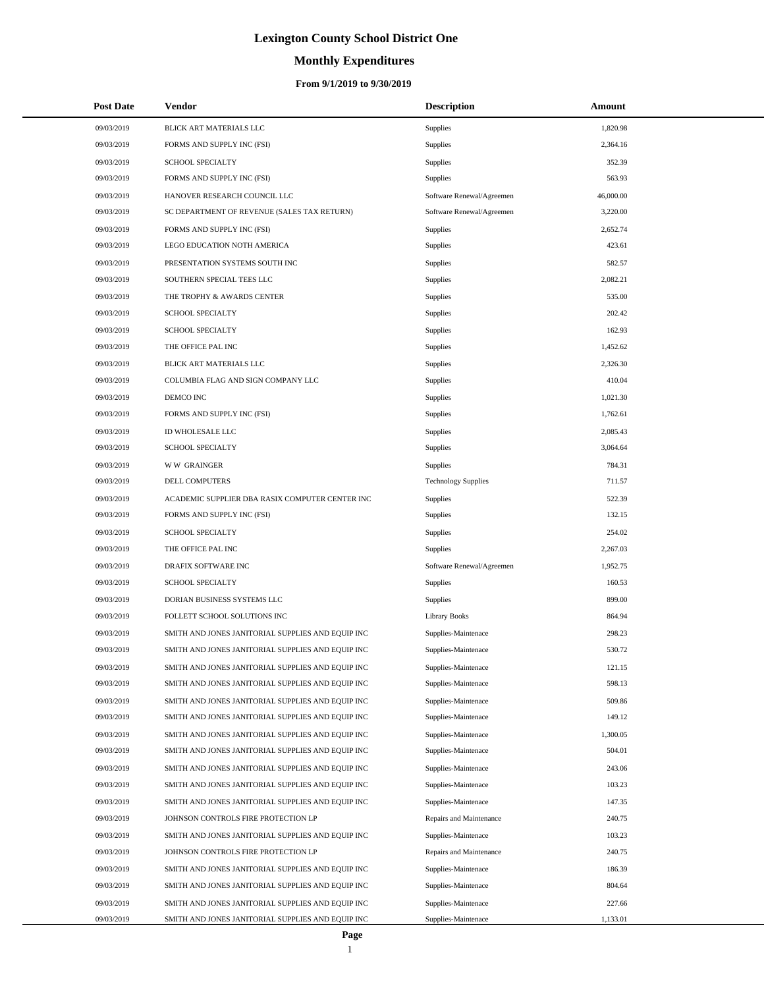# **Monthly Expenditures**

| <b>Post Date</b> | <b>Vendor</b>                                     | <b>Description</b>         | Amount    |
|------------------|---------------------------------------------------|----------------------------|-----------|
| 09/03/2019       | BLICK ART MATERIALS LLC                           | Supplies                   | 1,820.98  |
| 09/03/2019       | FORMS AND SUPPLY INC (FSI)                        | Supplies                   | 2,364.16  |
| 09/03/2019       | SCHOOL SPECIALTY                                  | Supplies                   | 352.39    |
| 09/03/2019       | FORMS AND SUPPLY INC (FSI)                        | Supplies                   | 563.93    |
| 09/03/2019       | HANOVER RESEARCH COUNCIL LLC                      | Software Renewal/Agreemen  | 46,000.00 |
| 09/03/2019       | SC DEPARTMENT OF REVENUE (SALES TAX RETURN)       | Software Renewal/Agreemen  | 3,220.00  |
| 09/03/2019       | FORMS AND SUPPLY INC (FSI)                        | Supplies                   | 2,652.74  |
| 09/03/2019       | LEGO EDUCATION NOTH AMERICA                       | Supplies                   | 423.61    |
| 09/03/2019       | PRESENTATION SYSTEMS SOUTH INC                    | Supplies                   | 582.57    |
| 09/03/2019       | SOUTHERN SPECIAL TEES LLC                         | Supplies                   | 2,082.21  |
| 09/03/2019       | THE TROPHY & AWARDS CENTER                        | Supplies                   | 535.00    |
| 09/03/2019       | <b>SCHOOL SPECIALTY</b>                           | Supplies                   | 202.42    |
| 09/03/2019       | <b>SCHOOL SPECIALTY</b>                           | Supplies                   | 162.93    |
| 09/03/2019       | THE OFFICE PAL INC                                | Supplies                   | 1,452.62  |
| 09/03/2019       | BLICK ART MATERIALS LLC                           | Supplies                   | 2,326.30  |
| 09/03/2019       | COLUMBIA FLAG AND SIGN COMPANY LLC                | Supplies                   | 410.04    |
| 09/03/2019       | DEMCO INC                                         | Supplies                   | 1,021.30  |
| 09/03/2019       | FORMS AND SUPPLY INC (FSI)                        | Supplies                   | 1,762.61  |
| 09/03/2019       | ID WHOLESALE LLC                                  | Supplies                   | 2,085.43  |
| 09/03/2019       | <b>SCHOOL SPECIALTY</b>                           | Supplies                   | 3,064.64  |
| 09/03/2019       | <b>WW GRAINGER</b>                                | Supplies                   | 784.31    |
| 09/03/2019       | DELL COMPUTERS                                    | <b>Technology Supplies</b> | 711.57    |
| 09/03/2019       | ACADEMIC SUPPLIER DBA RASIX COMPUTER CENTER INC   | Supplies                   | 522.39    |
| 09/03/2019       | FORMS AND SUPPLY INC (FSI)                        | Supplies                   | 132.15    |
| 09/03/2019       | SCHOOL SPECIALTY                                  | Supplies                   | 254.02    |
| 09/03/2019       | THE OFFICE PAL INC                                | Supplies                   | 2,267.03  |
| 09/03/2019       | DRAFIX SOFTWARE INC                               | Software Renewal/Agreemen  | 1,952.75  |
| 09/03/2019       | <b>SCHOOL SPECIALTY</b>                           | Supplies                   | 160.53    |
| 09/03/2019       | DORIAN BUSINESS SYSTEMS LLC                       | Supplies                   | 899.00    |
| 09/03/2019       | FOLLETT SCHOOL SOLUTIONS INC                      | <b>Library Books</b>       | 864.94    |
| 09/03/2019       | SMITH AND JONES JANITORIAL SUPPLIES AND EQUIP INC | Supplies-Maintenace        | 298.23    |
| 09/03/2019       | SMITH AND JONES JANITORIAL SUPPLIES AND EQUIP INC | Supplies-Maintenace        | 530.72    |
| 09/03/2019       | SMITH AND JONES JANITORIAL SUPPLIES AND EQUIP INC | Supplies-Maintenace        | 121.15    |
| 09/03/2019       | SMITH AND JONES JANITORIAL SUPPLIES AND EQUIP INC | Supplies-Maintenace        | 598.13    |
| 09/03/2019       | SMITH AND JONES JANITORIAL SUPPLIES AND EQUIP INC | Supplies-Maintenace        | 509.86    |
| 09/03/2019       | SMITH AND JONES JANITORIAL SUPPLIES AND EQUIP INC | Supplies-Maintenace        | 149.12    |
| 09/03/2019       | SMITH AND JONES JANITORIAL SUPPLIES AND EQUIP INC | Supplies-Maintenace        | 1,300.05  |
| 09/03/2019       | SMITH AND JONES JANITORIAL SUPPLIES AND EQUIP INC | Supplies-Maintenace        | 504.01    |
| 09/03/2019       | SMITH AND JONES JANITORIAL SUPPLIES AND EQUIP INC | Supplies-Maintenace        | 243.06    |
| 09/03/2019       | SMITH AND JONES JANITORIAL SUPPLIES AND EQUIP INC | Supplies-Maintenace        | 103.23    |
| 09/03/2019       | SMITH AND JONES JANITORIAL SUPPLIES AND EQUIP INC | Supplies-Maintenace        | 147.35    |
| 09/03/2019       | JOHNSON CONTROLS FIRE PROTECTION LP               | Repairs and Maintenance    | 240.75    |
| 09/03/2019       | SMITH AND JONES JANITORIAL SUPPLIES AND EQUIP INC | Supplies-Maintenace        | 103.23    |
| 09/03/2019       | JOHNSON CONTROLS FIRE PROTECTION LP               | Repairs and Maintenance    | 240.75    |
| 09/03/2019       | SMITH AND JONES JANITORIAL SUPPLIES AND EQUIP INC | Supplies-Maintenace        | 186.39    |
| 09/03/2019       | SMITH AND JONES JANITORIAL SUPPLIES AND EQUIP INC | Supplies-Maintenace        | 804.64    |
| 09/03/2019       | SMITH AND JONES JANITORIAL SUPPLIES AND EQUIP INC | Supplies-Maintenace        | 227.66    |
| 09/03/2019       | SMITH AND JONES JANITORIAL SUPPLIES AND EQUIP INC | Supplies-Maintenace        | 1,133.01  |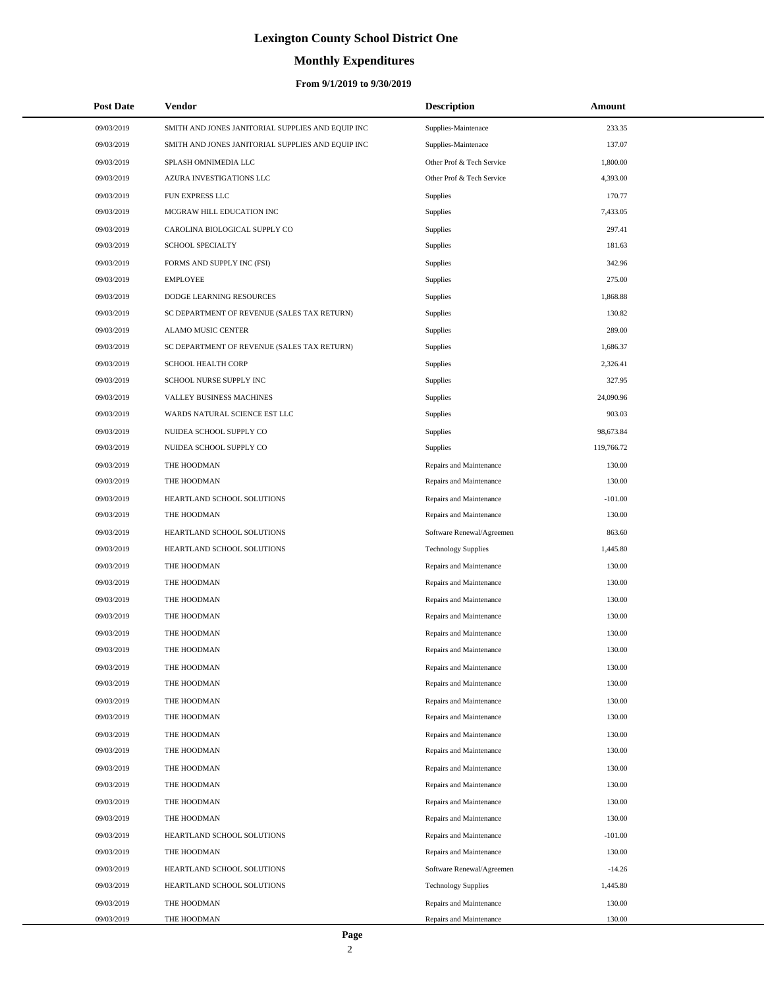# **Monthly Expenditures**

| <b>Post Date</b> | <b>Vendor</b>                                     | <b>Description</b>         | Amount     |  |
|------------------|---------------------------------------------------|----------------------------|------------|--|
| 09/03/2019       | SMITH AND JONES JANITORIAL SUPPLIES AND EQUIP INC | Supplies-Maintenace        | 233.35     |  |
| 09/03/2019       | SMITH AND JONES JANITORIAL SUPPLIES AND EQUIP INC | Supplies-Maintenace        | 137.07     |  |
| 09/03/2019       | SPLASH OMNIMEDIA LLC                              | Other Prof & Tech Service  | 1,800.00   |  |
| 09/03/2019       | AZURA INVESTIGATIONS LLC                          | Other Prof & Tech Service  | 4,393.00   |  |
| 09/03/2019       | FUN EXPRESS LLC                                   | Supplies                   | 170.77     |  |
| 09/03/2019       | MCGRAW HILL EDUCATION INC                         | Supplies                   | 7,433.05   |  |
| 09/03/2019       | CAROLINA BIOLOGICAL SUPPLY CO                     | Supplies                   | 297.41     |  |
| 09/03/2019       | SCHOOL SPECIALTY                                  | Supplies                   | 181.63     |  |
| 09/03/2019       | FORMS AND SUPPLY INC (FSI)                        | Supplies                   | 342.96     |  |
| 09/03/2019       | <b>EMPLOYEE</b>                                   | Supplies                   | 275.00     |  |
| 09/03/2019       | DODGE LEARNING RESOURCES                          | Supplies                   | 1,868.88   |  |
| 09/03/2019       | SC DEPARTMENT OF REVENUE (SALES TAX RETURN)       | Supplies                   | 130.82     |  |
| 09/03/2019       | ALAMO MUSIC CENTER                                | Supplies                   | 289.00     |  |
| 09/03/2019       | SC DEPARTMENT OF REVENUE (SALES TAX RETURN)       | Supplies                   | 1,686.37   |  |
| 09/03/2019       | SCHOOL HEALTH CORP                                | Supplies                   | 2,326.41   |  |
| 09/03/2019       | SCHOOL NURSE SUPPLY INC                           | Supplies                   | 327.95     |  |
| 09/03/2019       | VALLEY BUSINESS MACHINES                          | Supplies                   | 24,090.96  |  |
| 09/03/2019       | WARDS NATURAL SCIENCE EST LLC                     | Supplies                   | 903.03     |  |
| 09/03/2019       | NUIDEA SCHOOL SUPPLY CO                           | Supplies                   | 98,673.84  |  |
| 09/03/2019       | NUIDEA SCHOOL SUPPLY CO                           | Supplies                   | 119,766.72 |  |
| 09/03/2019       | THE HOODMAN                                       | Repairs and Maintenance    | 130.00     |  |
| 09/03/2019       | THE HOODMAN                                       | Repairs and Maintenance    | 130.00     |  |
| 09/03/2019       | HEARTLAND SCHOOL SOLUTIONS                        | Repairs and Maintenance    | $-101.00$  |  |
| 09/03/2019       | THE HOODMAN                                       | Repairs and Maintenance    | 130.00     |  |
| 09/03/2019       | HEARTLAND SCHOOL SOLUTIONS                        | Software Renewal/Agreemen  | 863.60     |  |
| 09/03/2019       | HEARTLAND SCHOOL SOLUTIONS                        | <b>Technology Supplies</b> | 1,445.80   |  |
| 09/03/2019       | THE HOODMAN                                       | Repairs and Maintenance    | 130.00     |  |
| 09/03/2019       | THE HOODMAN                                       | Repairs and Maintenance    | 130.00     |  |
| 09/03/2019       | THE HOODMAN                                       | Repairs and Maintenance    | 130.00     |  |
| 09/03/2019       | THE HOODMAN                                       | Repairs and Maintenance    | 130.00     |  |
| 09/03/2019       | THE HOODMAN                                       | Repairs and Maintenance    | 130.00     |  |
| 09/03/2019       | THE HOODMAN                                       | Repairs and Maintenance    | 130.00     |  |
| 09/03/2019       | THE HOODMAN                                       | Repairs and Maintenance    | 130.00     |  |
| 09/03/2019       | THE HOODMAN                                       | Repairs and Maintenance    | 130.00     |  |
| 09/03/2019       | THE HOODMAN                                       | Repairs and Maintenance    | 130.00     |  |
| 09/03/2019       | THE HOODMAN                                       | Repairs and Maintenance    | 130.00     |  |
| 09/03/2019       | THE HOODMAN                                       | Repairs and Maintenance    | 130.00     |  |
| 09/03/2019       | THE HOODMAN                                       | Repairs and Maintenance    | 130.00     |  |
| 09/03/2019       | THE HOODMAN                                       | Repairs and Maintenance    | 130.00     |  |
| 09/03/2019       | THE HOODMAN                                       | Repairs and Maintenance    | 130.00     |  |
| 09/03/2019       | THE HOODMAN                                       | Repairs and Maintenance    | 130.00     |  |
| 09/03/2019       | THE HOODMAN                                       | Repairs and Maintenance    | 130.00     |  |
| 09/03/2019       | HEARTLAND SCHOOL SOLUTIONS                        | Repairs and Maintenance    | $-101.00$  |  |
| 09/03/2019       | THE HOODMAN                                       | Repairs and Maintenance    | 130.00     |  |
| 09/03/2019       | HEARTLAND SCHOOL SOLUTIONS                        | Software Renewal/Agreemen  | $-14.26$   |  |
| 09/03/2019       | HEARTLAND SCHOOL SOLUTIONS                        | <b>Technology Supplies</b> | 1,445.80   |  |
| 09/03/2019       | THE HOODMAN                                       | Repairs and Maintenance    | 130.00     |  |
| 09/03/2019       | THE HOODMAN                                       | Repairs and Maintenance    | 130.00     |  |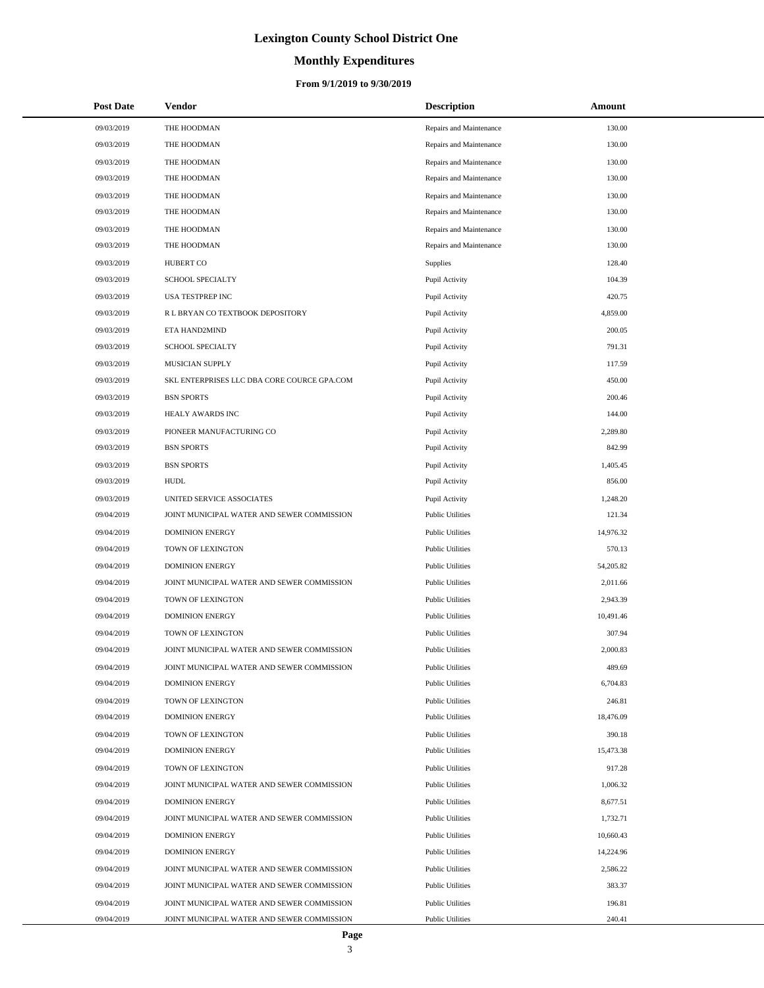# **Monthly Expenditures**

### **From 9/1/2019 to 9/30/2019**

| <b>Post Date</b> | Vendor                                      | <b>Description</b>      | Amount    |
|------------------|---------------------------------------------|-------------------------|-----------|
| 09/03/2019       | THE HOODMAN                                 | Repairs and Maintenance | 130.00    |
| 09/03/2019       | THE HOODMAN                                 | Repairs and Maintenance | 130.00    |
| 09/03/2019       | THE HOODMAN                                 | Repairs and Maintenance | 130.00    |
| 09/03/2019       | THE HOODMAN                                 | Repairs and Maintenance | 130.00    |
| 09/03/2019       | THE HOODMAN                                 | Repairs and Maintenance | 130.00    |
| 09/03/2019       | THE HOODMAN                                 | Repairs and Maintenance | 130.00    |
| 09/03/2019       | THE HOODMAN                                 | Repairs and Maintenance | 130.00    |
| 09/03/2019       | THE HOODMAN                                 | Repairs and Maintenance | 130.00    |
| 09/03/2019       | <b>HUBERT CO</b>                            | Supplies                | 128.40    |
| 09/03/2019       | <b>SCHOOL SPECIALTY</b>                     | Pupil Activity          | 104.39    |
| 09/03/2019       | USA TESTPREP INC                            | Pupil Activity          | 420.75    |
| 09/03/2019       | R L BRYAN CO TEXTBOOK DEPOSITORY            | Pupil Activity          | 4,859.00  |
| 09/03/2019       | ETA HAND2MIND                               | Pupil Activity          | 200.05    |
| 09/03/2019       | SCHOOL SPECIALTY                            | Pupil Activity          | 791.31    |
| 09/03/2019       | MUSICIAN SUPPLY                             | Pupil Activity          | 117.59    |
| 09/03/2019       | SKL ENTERPRISES LLC DBA CORE COURCE GPA.COM | Pupil Activity          | 450.00    |
| 09/03/2019       | <b>BSN SPORTS</b>                           | Pupil Activity          | 200.46    |
| 09/03/2019       | HEALY AWARDS INC                            | Pupil Activity          | 144.00    |
| 09/03/2019       | PIONEER MANUFACTURING CO                    | Pupil Activity          | 2,289.80  |
| 09/03/2019       | <b>BSN SPORTS</b>                           | Pupil Activity          | 842.99    |
| 09/03/2019       | <b>BSN SPORTS</b>                           | Pupil Activity          | 1,405.45  |
| 09/03/2019       | <b>HUDL</b>                                 | Pupil Activity          | 856.00    |
| 09/03/2019       | UNITED SERVICE ASSOCIATES                   | Pupil Activity          | 1,248.20  |
| 09/04/2019       | JOINT MUNICIPAL WATER AND SEWER COMMISSION  | <b>Public Utilities</b> | 121.34    |
| 09/04/2019       | <b>DOMINION ENERGY</b>                      | <b>Public Utilities</b> | 14,976.32 |
| 09/04/2019       | TOWN OF LEXINGTON                           | <b>Public Utilities</b> | 570.13    |
| 09/04/2019       | <b>DOMINION ENERGY</b>                      | <b>Public Utilities</b> | 54,205.82 |
| 09/04/2019       | JOINT MUNICIPAL WATER AND SEWER COMMISSION  | <b>Public Utilities</b> | 2,011.66  |
| 09/04/2019       | TOWN OF LEXINGTON                           | <b>Public Utilities</b> | 2,943.39  |
| 09/04/2019       | <b>DOMINION ENERGY</b>                      | <b>Public Utilities</b> | 10,491.46 |
| 09/04/2019       | TOWN OF LEXINGTON                           | <b>Public Utilities</b> | 307.94    |
| 09/04/2019       | JOINT MUNICIPAL WATER AND SEWER COMMISSION  | <b>Public Utilities</b> | 2,000.83  |
| 09/04/2019       | JOINT MUNICIPAL WATER AND SEWER COMMISSION  | <b>Public Utilities</b> | 489.69    |
| 09/04/2019       | <b>DOMINION ENERGY</b>                      | <b>Public Utilities</b> | 6,704.83  |
| 09/04/2019       | TOWN OF LEXINGTON                           | <b>Public Utilities</b> | 246.81    |
| 09/04/2019       | <b>DOMINION ENERGY</b>                      | <b>Public Utilities</b> | 18,476.09 |
| 09/04/2019       | TOWN OF LEXINGTON                           | <b>Public Utilities</b> | 390.18    |
| 09/04/2019       | <b>DOMINION ENERGY</b>                      | <b>Public Utilities</b> | 15,473.38 |
| 09/04/2019       | TOWN OF LEXINGTON                           | <b>Public Utilities</b> | 917.28    |
| 09/04/2019       | JOINT MUNICIPAL WATER AND SEWER COMMISSION  | <b>Public Utilities</b> | 1,006.32  |
| 09/04/2019       | <b>DOMINION ENERGY</b>                      | <b>Public Utilities</b> | 8,677.51  |
| 09/04/2019       | JOINT MUNICIPAL WATER AND SEWER COMMISSION  | <b>Public Utilities</b> | 1,732.71  |
| 09/04/2019       | <b>DOMINION ENERGY</b>                      | <b>Public Utilities</b> | 10,660.43 |
| 09/04/2019       | <b>DOMINION ENERGY</b>                      | <b>Public Utilities</b> | 14,224.96 |
| 09/04/2019       | JOINT MUNICIPAL WATER AND SEWER COMMISSION  | <b>Public Utilities</b> | 2,586.22  |
| 09/04/2019       | JOINT MUNICIPAL WATER AND SEWER COMMISSION  | <b>Public Utilities</b> | 383.37    |
| 09/04/2019       | JOINT MUNICIPAL WATER AND SEWER COMMISSION  | <b>Public Utilities</b> | 196.81    |
| 09/04/2019       | JOINT MUNICIPAL WATER AND SEWER COMMISSION  | <b>Public Utilities</b> | 240.41    |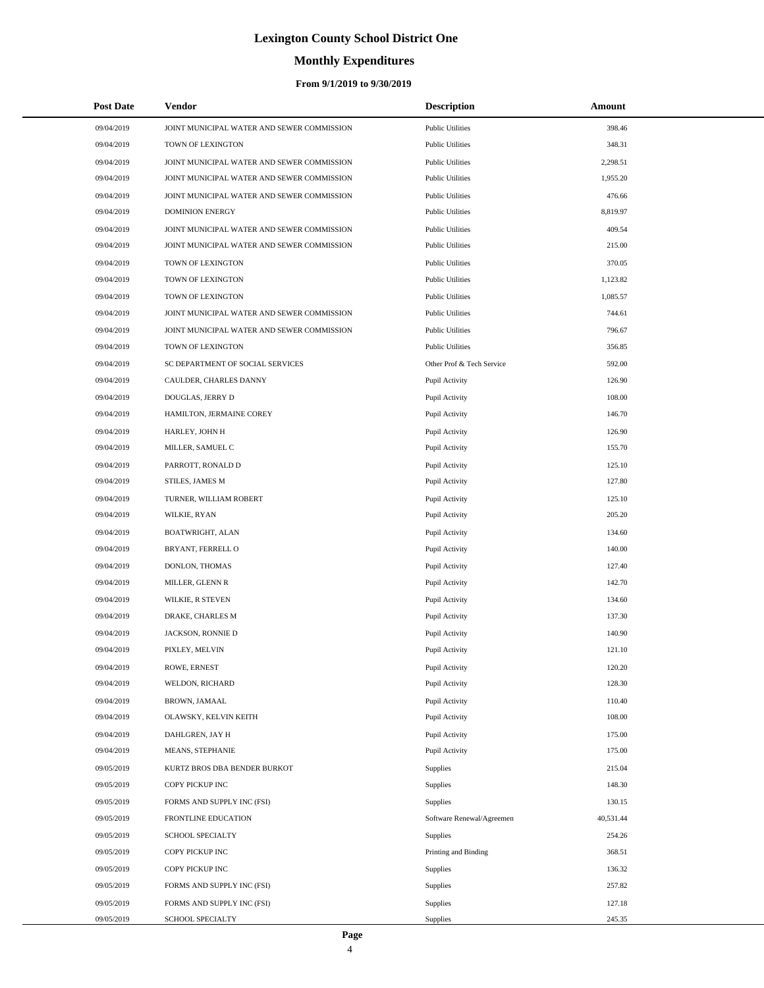# **Monthly Expenditures**

### **From 9/1/2019 to 9/30/2019**

| <b>Post Date</b> | Vendor                                     | <b>Description</b>        | Amount    |  |
|------------------|--------------------------------------------|---------------------------|-----------|--|
| 09/04/2019       | JOINT MUNICIPAL WATER AND SEWER COMMISSION | <b>Public Utilities</b>   | 398.46    |  |
| 09/04/2019       | TOWN OF LEXINGTON                          | <b>Public Utilities</b>   | 348.31    |  |
| 09/04/2019       | JOINT MUNICIPAL WATER AND SEWER COMMISSION | <b>Public Utilities</b>   | 2,298.51  |  |
| 09/04/2019       | JOINT MUNICIPAL WATER AND SEWER COMMISSION | <b>Public Utilities</b>   | 1,955.20  |  |
| 09/04/2019       | JOINT MUNICIPAL WATER AND SEWER COMMISSION | <b>Public Utilities</b>   | 476.66    |  |
| 09/04/2019       | <b>DOMINION ENERGY</b>                     | <b>Public Utilities</b>   | 8,819.97  |  |
| 09/04/2019       | JOINT MUNICIPAL WATER AND SEWER COMMISSION | <b>Public Utilities</b>   | 409.54    |  |
| 09/04/2019       | JOINT MUNICIPAL WATER AND SEWER COMMISSION | <b>Public Utilities</b>   | 215.00    |  |
| 09/04/2019       | TOWN OF LEXINGTON                          | <b>Public Utilities</b>   | 370.05    |  |
| 09/04/2019       | TOWN OF LEXINGTON                          | <b>Public Utilities</b>   | 1,123.82  |  |
| 09/04/2019       | TOWN OF LEXINGTON                          | <b>Public Utilities</b>   | 1,085.57  |  |
| 09/04/2019       | JOINT MUNICIPAL WATER AND SEWER COMMISSION | <b>Public Utilities</b>   | 744.61    |  |
| 09/04/2019       | JOINT MUNICIPAL WATER AND SEWER COMMISSION | <b>Public Utilities</b>   | 796.67    |  |
| 09/04/2019       | TOWN OF LEXINGTON                          | <b>Public Utilities</b>   | 356.85    |  |
| 09/04/2019       | SC DEPARTMENT OF SOCIAL SERVICES           | Other Prof & Tech Service | 592.00    |  |
| 09/04/2019       | CAULDER, CHARLES DANNY                     | Pupil Activity            | 126.90    |  |
| 09/04/2019       | DOUGLAS, JERRY D                           | Pupil Activity            | 108.00    |  |
| 09/04/2019       | HAMILTON, JERMAINE COREY                   | Pupil Activity            | 146.70    |  |
| 09/04/2019       | HARLEY, JOHN H                             | Pupil Activity            | 126.90    |  |
| 09/04/2019       | MILLER, SAMUEL C                           | Pupil Activity            | 155.70    |  |
| 09/04/2019       | PARROTT, RONALD D                          | Pupil Activity            | 125.10    |  |
| 09/04/2019       | STILES, JAMES M                            | Pupil Activity            | 127.80    |  |
| 09/04/2019       | TURNER, WILLIAM ROBERT                     | Pupil Activity            | 125.10    |  |
| 09/04/2019       | WILKIE, RYAN                               | Pupil Activity            | 205.20    |  |
| 09/04/2019       | BOATWRIGHT, ALAN                           | Pupil Activity            | 134.60    |  |
| 09/04/2019       | BRYANT, FERRELL O                          | Pupil Activity            | 140.00    |  |
| 09/04/2019       | DONLON, THOMAS                             | Pupil Activity            | 127.40    |  |
| 09/04/2019       | MILLER, GLENN R                            | Pupil Activity            | 142.70    |  |
| 09/04/2019       | WILKIE, R STEVEN                           | Pupil Activity            | 134.60    |  |
| 09/04/2019       | DRAKE, CHARLES M                           | Pupil Activity            | 137.30    |  |
| 09/04/2019       | JACKSON, RONNIE D                          | Pupil Activity            | 140.90    |  |
| 09/04/2019       | PIXLEY, MELVIN                             | Pupil Activity            | 121.10    |  |
| 09/04/2019       | ROWE, ERNEST                               | Pupil Activity            | 120.20    |  |
| 09/04/2019       | WELDON, RICHARD                            | Pupil Activity            | 128.30    |  |
| 09/04/2019       | BROWN, JAMAAL                              | Pupil Activity            | 110.40    |  |
| 09/04/2019       | OLAWSKY, KELVIN KEITH                      | Pupil Activity            | 108.00    |  |
| 09/04/2019       | DAHLGREN, JAY H                            | Pupil Activity            | 175.00    |  |
| 09/04/2019       | MEANS, STEPHANIE                           | Pupil Activity            | 175.00    |  |
| 09/05/2019       | KURTZ BROS DBA BENDER BURKOT               | Supplies                  | 215.04    |  |
| 09/05/2019       | COPY PICKUP INC                            | Supplies                  | 148.30    |  |
| 09/05/2019       | FORMS AND SUPPLY INC (FSI)                 | Supplies                  | 130.15    |  |
| 09/05/2019       | FRONTLINE EDUCATION                        | Software Renewal/Agreemen | 40,531.44 |  |
| 09/05/2019       | SCHOOL SPECIALTY                           | Supplies                  | 254.26    |  |
| 09/05/2019       | COPY PICKUP INC                            | Printing and Binding      | 368.51    |  |
| 09/05/2019       | COPY PICKUP INC                            | Supplies                  | 136.32    |  |
| 09/05/2019       | FORMS AND SUPPLY INC (FSI)                 | Supplies                  | 257.82    |  |
| 09/05/2019       | FORMS AND SUPPLY INC (FSI)                 | Supplies                  | 127.18    |  |
| 09/05/2019       | SCHOOL SPECIALTY                           | Supplies                  | 245.35    |  |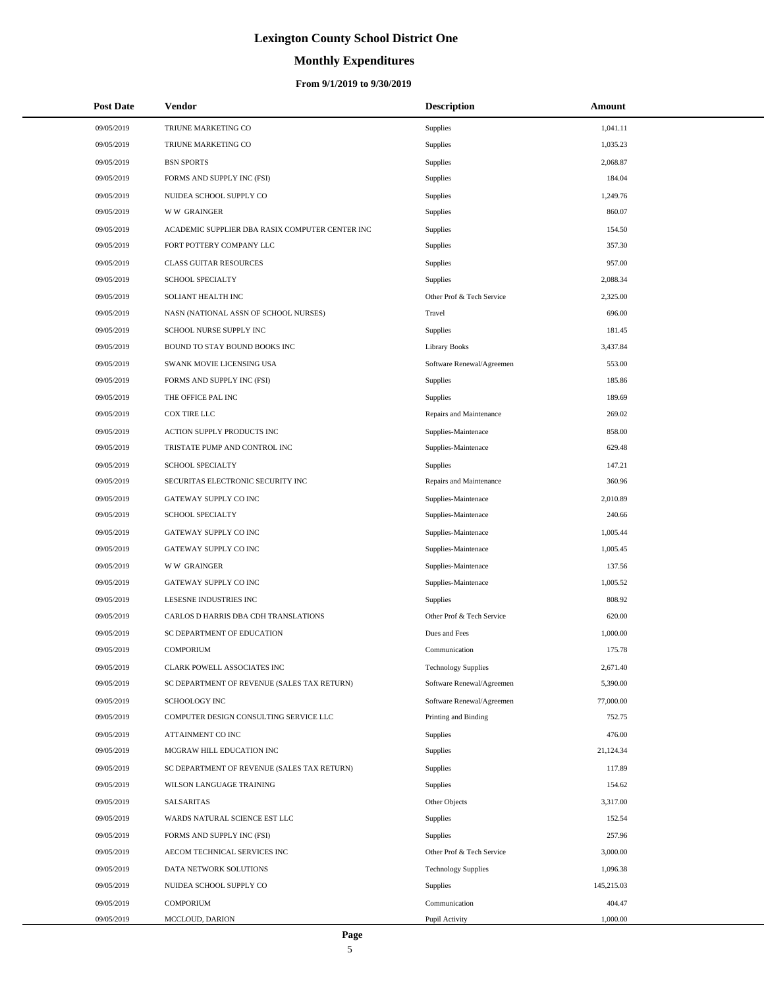# **Monthly Expenditures**

| <b>Post Date</b> | Vendor                                          | <b>Description</b>         | Amount     |
|------------------|-------------------------------------------------|----------------------------|------------|
| 09/05/2019       | TRIUNE MARKETING CO                             | <b>Supplies</b>            | 1,041.11   |
| 09/05/2019       | TRIUNE MARKETING CO                             | Supplies                   | 1,035.23   |
| 09/05/2019       | <b>BSN SPORTS</b>                               | Supplies                   | 2,068.87   |
| 09/05/2019       | FORMS AND SUPPLY INC (FSI)                      | Supplies                   | 184.04     |
| 09/05/2019       | NUIDEA SCHOOL SUPPLY CO                         | Supplies                   | 1,249.76   |
| 09/05/2019       | <b>WW GRAINGER</b>                              | Supplies                   | 860.07     |
| 09/05/2019       | ACADEMIC SUPPLIER DBA RASIX COMPUTER CENTER INC | <b>Supplies</b>            | 154.50     |
| 09/05/2019       | FORT POTTERY COMPANY LLC                        | Supplies                   | 357.30     |
| 09/05/2019       | <b>CLASS GUITAR RESOURCES</b>                   | Supplies                   | 957.00     |
| 09/05/2019       | <b>SCHOOL SPECIALTY</b>                         | Supplies                   | 2,088.34   |
| 09/05/2019       | SOLIANT HEALTH INC                              | Other Prof & Tech Service  | 2,325.00   |
| 09/05/2019       | NASN (NATIONAL ASSN OF SCHOOL NURSES)           | Travel                     | 696.00     |
| 09/05/2019       | SCHOOL NURSE SUPPLY INC                         | Supplies                   | 181.45     |
| 09/05/2019       | BOUND TO STAY BOUND BOOKS INC                   | <b>Library Books</b>       | 3,437.84   |
| 09/05/2019       | SWANK MOVIE LICENSING USA                       | Software Renewal/Agreemen  | 553.00     |
| 09/05/2019       | FORMS AND SUPPLY INC (FSI)                      | Supplies                   | 185.86     |
| 09/05/2019       | THE OFFICE PAL INC                              | Supplies                   | 189.69     |
| 09/05/2019       | COX TIRE LLC                                    | Repairs and Maintenance    | 269.02     |
| 09/05/2019       | ACTION SUPPLY PRODUCTS INC                      | Supplies-Maintenace        | 858.00     |
| 09/05/2019       | TRISTATE PUMP AND CONTROL INC                   | Supplies-Maintenace        | 629.48     |
| 09/05/2019       | <b>SCHOOL SPECIALTY</b>                         | Supplies                   | 147.21     |
| 09/05/2019       | SECURITAS ELECTRONIC SECURITY INC               | Repairs and Maintenance    | 360.96     |
| 09/05/2019       | GATEWAY SUPPLY CO INC                           | Supplies-Maintenace        | 2,010.89   |
| 09/05/2019       | <b>SCHOOL SPECIALTY</b>                         | Supplies-Maintenace        | 240.66     |
| 09/05/2019       | GATEWAY SUPPLY CO INC                           | Supplies-Maintenace        | 1,005.44   |
| 09/05/2019       | GATEWAY SUPPLY CO INC                           | Supplies-Maintenace        | 1,005.45   |
| 09/05/2019       | <b>WW GRAINGER</b>                              | Supplies-Maintenace        | 137.56     |
| 09/05/2019       | GATEWAY SUPPLY CO INC                           | Supplies-Maintenace        | 1,005.52   |
| 09/05/2019       | LESESNE INDUSTRIES INC                          | Supplies                   | 808.92     |
| 09/05/2019       | CARLOS D HARRIS DBA CDH TRANSLATIONS            | Other Prof & Tech Service  | 620.00     |
| 09/05/2019       | SC DEPARTMENT OF EDUCATION                      | Dues and Fees              | 1,000.00   |
| 09/05/2019       | <b>COMPORIUM</b>                                | Communication              | 175.78     |
| 09/05/2019       | CLARK POWELL ASSOCIATES INC                     | <b>Technology Supplies</b> | 2,671.40   |
| 09/05/2019       | SC DEPARTMENT OF REVENUE (SALES TAX RETURN)     | Software Renewal/Agreemen  | 5,390.00   |
| 09/05/2019       | SCHOOLOGY INC                                   | Software Renewal/Agreemen  | 77,000.00  |
| 09/05/2019       | COMPUTER DESIGN CONSULTING SERVICE LLC          | Printing and Binding       | 752.75     |
| 09/05/2019       | ATTAINMENT CO INC                               | Supplies                   | 476.00     |
| 09/05/2019       | MCGRAW HILL EDUCATION INC                       | Supplies                   | 21,124.34  |
| 09/05/2019       | SC DEPARTMENT OF REVENUE (SALES TAX RETURN)     | Supplies                   | 117.89     |
| 09/05/2019       | WILSON LANGUAGE TRAINING                        | Supplies                   | 154.62     |
| 09/05/2019       | SALSARITAS                                      | Other Objects              | 3,317.00   |
| 09/05/2019       | WARDS NATURAL SCIENCE EST LLC                   | Supplies                   | 152.54     |
| 09/05/2019       | FORMS AND SUPPLY INC (FSI)                      | <b>Supplies</b>            | 257.96     |
| 09/05/2019       | AECOM TECHNICAL SERVICES INC                    | Other Prof & Tech Service  | 3,000.00   |
| 09/05/2019       | DATA NETWORK SOLUTIONS                          | <b>Technology Supplies</b> | 1,096.38   |
| 09/05/2019       | NUIDEA SCHOOL SUPPLY CO                         | Supplies                   | 145,215.03 |
| 09/05/2019       | <b>COMPORIUM</b>                                | Communication              | 404.47     |
| 09/05/2019       | MCCLOUD, DARION                                 | Pupil Activity             | 1,000.00   |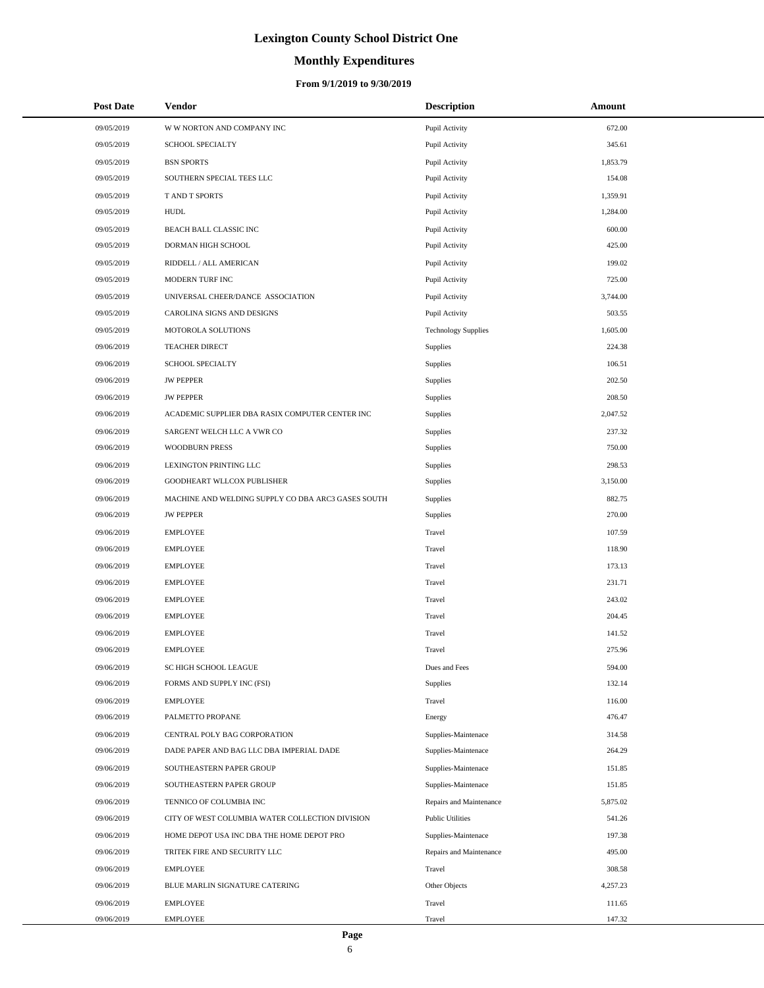# **Monthly Expenditures**

## **From 9/1/2019 to 9/30/2019**

| <b>Post Date</b> | Vendor                                             | <b>Description</b>         | Amount   |  |
|------------------|----------------------------------------------------|----------------------------|----------|--|
| 09/05/2019       | W W NORTON AND COMPANY INC                         | Pupil Activity             | 672.00   |  |
| 09/05/2019       | SCHOOL SPECIALTY                                   | Pupil Activity             | 345.61   |  |
| 09/05/2019       | <b>BSN SPORTS</b>                                  | Pupil Activity             | 1,853.79 |  |
| 09/05/2019       | SOUTHERN SPECIAL TEES LLC                          | Pupil Activity             | 154.08   |  |
| 09/05/2019       | <b>TAND T SPORTS</b>                               | Pupil Activity             | 1,359.91 |  |
| 09/05/2019       | <b>HUDL</b>                                        | Pupil Activity             | 1,284.00 |  |
| 09/05/2019       | BEACH BALL CLASSIC INC                             | Pupil Activity             | 600.00   |  |
| 09/05/2019       | DORMAN HIGH SCHOOL                                 | Pupil Activity             | 425.00   |  |
| 09/05/2019       | RIDDELL / ALL AMERICAN                             | Pupil Activity             | 199.02   |  |
| 09/05/2019       | MODERN TURF INC                                    | Pupil Activity             | 725.00   |  |
| 09/05/2019       | UNIVERSAL CHEER/DANCE ASSOCIATION                  | Pupil Activity             | 3,744.00 |  |
| 09/05/2019       | CAROLINA SIGNS AND DESIGNS                         | Pupil Activity             | 503.55   |  |
| 09/05/2019       | MOTOROLA SOLUTIONS                                 | <b>Technology Supplies</b> | 1,605.00 |  |
| 09/06/2019       | <b>TEACHER DIRECT</b>                              | <b>Supplies</b>            | 224.38   |  |
| 09/06/2019       | SCHOOL SPECIALTY                                   | Supplies                   | 106.51   |  |
| 09/06/2019       | <b>JW PEPPER</b>                                   | Supplies                   | 202.50   |  |
| 09/06/2019       | <b>JW PEPPER</b>                                   | Supplies                   | 208.50   |  |
| 09/06/2019       | ACADEMIC SUPPLIER DBA RASIX COMPUTER CENTER INC    | Supplies                   | 2,047.52 |  |
| 09/06/2019       | SARGENT WELCH LLC A VWR CO                         | Supplies                   | 237.32   |  |
| 09/06/2019       | <b>WOODBURN PRESS</b>                              | Supplies                   | 750.00   |  |
| 09/06/2019       | LEXINGTON PRINTING LLC                             | Supplies                   | 298.53   |  |
| 09/06/2019       | GOODHEART WLLCOX PUBLISHER                         | Supplies                   | 3,150.00 |  |
| 09/06/2019       | MACHINE AND WELDING SUPPLY CO DBA ARC3 GASES SOUTH | Supplies                   | 882.75   |  |
| 09/06/2019       | <b>JW PEPPER</b>                                   | Supplies                   | 270.00   |  |
| 09/06/2019       | <b>EMPLOYEE</b>                                    | Travel                     | 107.59   |  |
| 09/06/2019       | <b>EMPLOYEE</b>                                    | Travel                     | 118.90   |  |
| 09/06/2019       | <b>EMPLOYEE</b>                                    | Travel                     | 173.13   |  |
| 09/06/2019       | <b>EMPLOYEE</b>                                    | Travel                     | 231.71   |  |
| 09/06/2019       | <b>EMPLOYEE</b>                                    | Travel                     | 243.02   |  |
| 09/06/2019       | <b>EMPLOYEE</b>                                    | Travel                     | 204.45   |  |
| 09/06/2019       | <b>EMPLOYEE</b>                                    | Travel                     | 141.52   |  |
| 09/06/2019       | <b>EMPLOYEE</b>                                    | Travel                     | 275.96   |  |
| 09/06/2019       | SC HIGH SCHOOL LEAGUE                              | Dues and Fees              | 594.00   |  |
| 09/06/2019       | FORMS AND SUPPLY INC (FSI)                         | Supplies                   | 132.14   |  |
| 09/06/2019       | <b>EMPLOYEE</b>                                    | Travel                     | 116.00   |  |
| 09/06/2019       | PALMETTO PROPANE                                   | Energy                     | 476.47   |  |
| 09/06/2019       | CENTRAL POLY BAG CORPORATION                       | Supplies-Maintenace        | 314.58   |  |
| 09/06/2019       | DADE PAPER AND BAG LLC DBA IMPERIAL DADE           | Supplies-Maintenace        | 264.29   |  |
| 09/06/2019       | SOUTHEASTERN PAPER GROUP                           | Supplies-Maintenace        | 151.85   |  |
| 09/06/2019       | SOUTHEASTERN PAPER GROUP                           | Supplies-Maintenace        | 151.85   |  |
| 09/06/2019       | TENNICO OF COLUMBIA INC                            | Repairs and Maintenance    | 5,875.02 |  |
| 09/06/2019       | CITY OF WEST COLUMBIA WATER COLLECTION DIVISION    | <b>Public Utilities</b>    | 541.26   |  |
| 09/06/2019       | HOME DEPOT USA INC DBA THE HOME DEPOT PRO          | Supplies-Maintenace        | 197.38   |  |
| 09/06/2019       | TRITEK FIRE AND SECURITY LLC                       | Repairs and Maintenance    | 495.00   |  |
| 09/06/2019       | <b>EMPLOYEE</b>                                    | Travel                     | 308.58   |  |
| 09/06/2019       | BLUE MARLIN SIGNATURE CATERING                     | Other Objects              | 4,257.23 |  |
| 09/06/2019       | <b>EMPLOYEE</b>                                    | Travel                     | 111.65   |  |
| 09/06/2019       | EMPLOYEE                                           | Travel                     | 147.32   |  |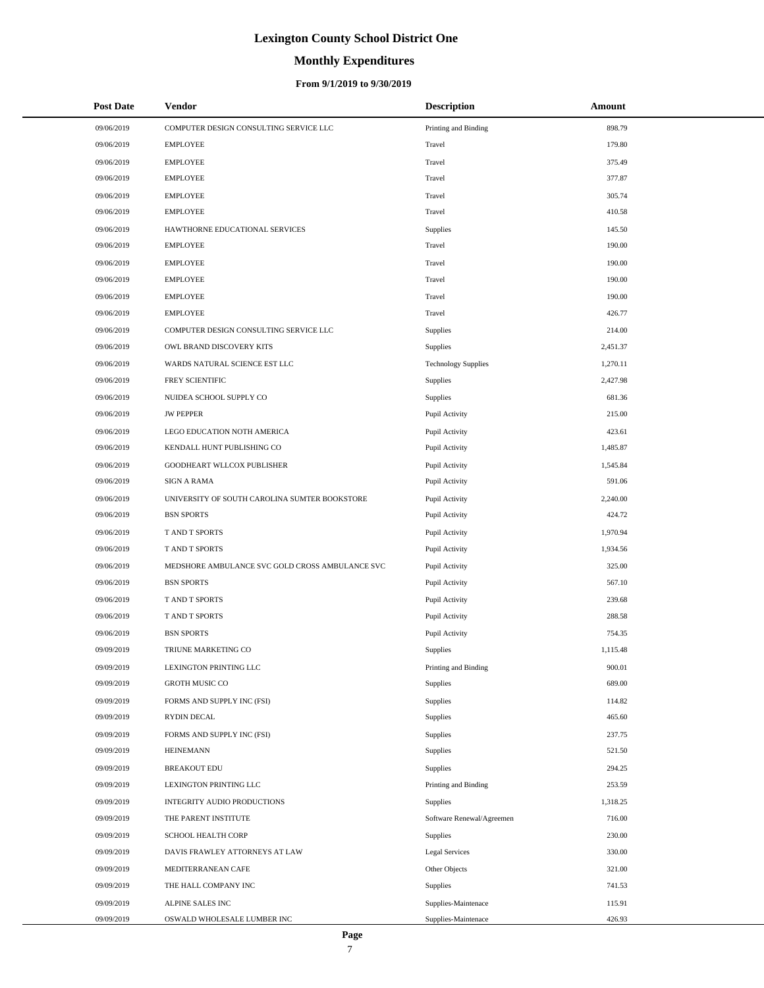## **Monthly Expenditures**

### **From 9/1/2019 to 9/30/2019**

| <b>Post Date</b> | <b>Vendor</b>                                   | <b>Description</b>         | Amount   |
|------------------|-------------------------------------------------|----------------------------|----------|
| 09/06/2019       | COMPUTER DESIGN CONSULTING SERVICE LLC          | Printing and Binding       | 898.79   |
| 09/06/2019       | <b>EMPLOYEE</b>                                 | Travel                     | 179.80   |
| 09/06/2019       | <b>EMPLOYEE</b>                                 | Travel                     | 375.49   |
| 09/06/2019       | <b>EMPLOYEE</b>                                 | Travel                     | 377.87   |
| 09/06/2019       | <b>EMPLOYEE</b>                                 | Travel                     | 305.74   |
| 09/06/2019       | <b>EMPLOYEE</b>                                 | Travel                     | 410.58   |
| 09/06/2019       | HAWTHORNE EDUCATIONAL SERVICES                  | Supplies                   | 145.50   |
| 09/06/2019       | <b>EMPLOYEE</b>                                 | Travel                     | 190.00   |
| 09/06/2019       | <b>EMPLOYEE</b>                                 | Travel                     | 190.00   |
| 09/06/2019       | <b>EMPLOYEE</b>                                 | Travel                     | 190.00   |
| 09/06/2019       | <b>EMPLOYEE</b>                                 | Travel                     | 190.00   |
| 09/06/2019       | <b>EMPLOYEE</b>                                 | Travel                     | 426.77   |
| 09/06/2019       | COMPUTER DESIGN CONSULTING SERVICE LLC          | Supplies                   | 214.00   |
| 09/06/2019       | OWL BRAND DISCOVERY KITS                        | Supplies                   | 2,451.37 |
| 09/06/2019       | WARDS NATURAL SCIENCE EST LLC                   | <b>Technology Supplies</b> | 1,270.11 |
| 09/06/2019       | FREY SCIENTIFIC                                 | Supplies                   | 2,427.98 |
| 09/06/2019       | NUIDEA SCHOOL SUPPLY CO                         | Supplies                   | 681.36   |
| 09/06/2019       | <b>JW PEPPER</b>                                | Pupil Activity             | 215.00   |
| 09/06/2019       | LEGO EDUCATION NOTH AMERICA                     | Pupil Activity             | 423.61   |
| 09/06/2019       | KENDALL HUNT PUBLISHING CO                      | Pupil Activity             | 1,485.87 |
| 09/06/2019       | GOODHEART WLLCOX PUBLISHER                      | Pupil Activity             | 1,545.84 |
| 09/06/2019       | <b>SIGN A RAMA</b>                              | Pupil Activity             | 591.06   |
| 09/06/2019       | UNIVERSITY OF SOUTH CAROLINA SUMTER BOOKSTORE   | Pupil Activity             | 2,240.00 |
| 09/06/2019       | <b>BSN SPORTS</b>                               | Pupil Activity             | 424.72   |
| 09/06/2019       | T AND T SPORTS                                  | Pupil Activity             | 1,970.94 |
| 09/06/2019       | T AND T SPORTS                                  | Pupil Activity             | 1,934.56 |
| 09/06/2019       | MEDSHORE AMBULANCE SVC GOLD CROSS AMBULANCE SVC | Pupil Activity             | 325.00   |
| 09/06/2019       | <b>BSN SPORTS</b>                               | Pupil Activity             | 567.10   |
| 09/06/2019       | T AND T SPORTS                                  | Pupil Activity             | 239.68   |
| 09/06/2019       | T AND T SPORTS                                  | Pupil Activity             | 288.58   |
| 09/06/2019       | <b>BSN SPORTS</b>                               | Pupil Activity             | 754.35   |
| 09/09/2019       | TRIUNE MARKETING CO                             | Supplies                   | 1,115.48 |
| 09/09/2019       | LEXINGTON PRINTING LLC                          | Printing and Binding       | 900.01   |
| 09/09/2019       | <b>GROTH MUSIC CO</b>                           | Supplies                   | 689.00   |
| 09/09/2019       | FORMS AND SUPPLY INC (FSI)                      | Supplies                   | 114.82   |
| 09/09/2019       | RYDIN DECAL                                     | Supplies                   | 465.60   |
| 09/09/2019       | FORMS AND SUPPLY INC (FSI)                      | Supplies                   | 237.75   |
| 09/09/2019       | <b>HEINEMANN</b>                                | Supplies                   | 521.50   |
| 09/09/2019       | <b>BREAKOUT EDU</b>                             | Supplies                   | 294.25   |
| 09/09/2019       | LEXINGTON PRINTING LLC                          | Printing and Binding       | 253.59   |
| 09/09/2019       | INTEGRITY AUDIO PRODUCTIONS                     | Supplies                   | 1,318.25 |
| 09/09/2019       | THE PARENT INSTITUTE                            | Software Renewal/Agreemen  | 716.00   |
| 09/09/2019       | SCHOOL HEALTH CORP                              | Supplies                   | 230.00   |
| 09/09/2019       | DAVIS FRAWLEY ATTORNEYS AT LAW                  | <b>Legal Services</b>      | 330.00   |
| 09/09/2019       | MEDITERRANEAN CAFE                              | Other Objects              | 321.00   |
| 09/09/2019       | THE HALL COMPANY INC                            | Supplies                   | 741.53   |
| 09/09/2019       | ALPINE SALES INC                                | Supplies-Maintenace        | 115.91   |
| 09/09/2019       | OSWALD WHOLESALE LUMBER INC                     | Supplies-Maintenace        | 426.93   |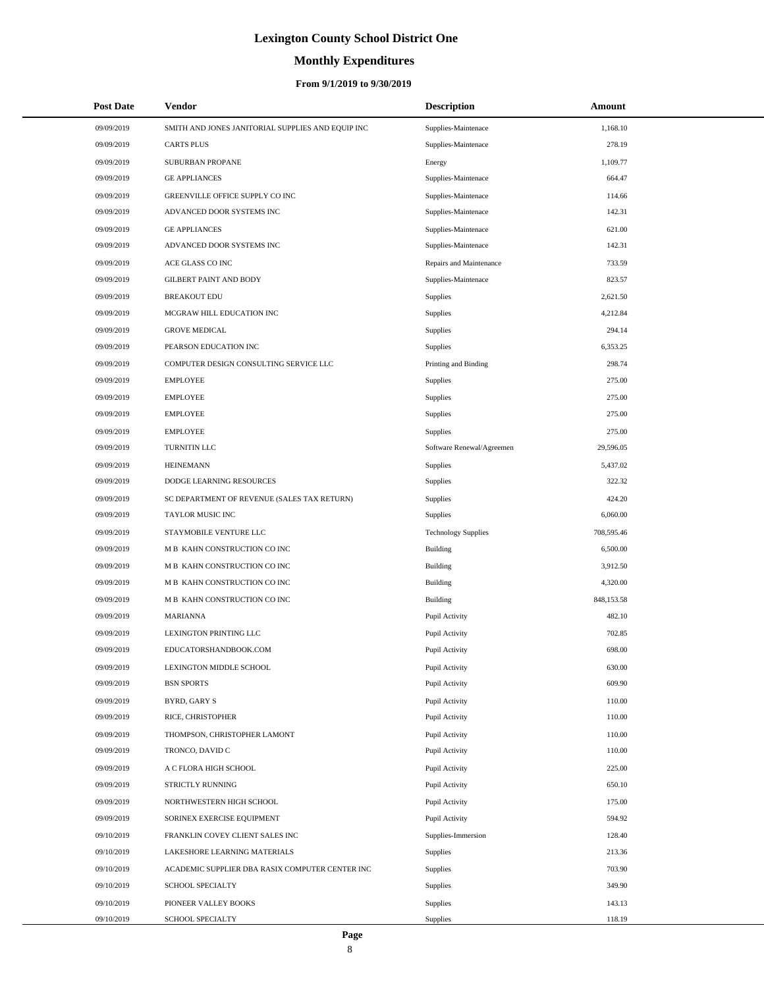# **Monthly Expenditures**

| <b>Post Date</b> | Vendor                                            | <b>Description</b>         | Amount     |
|------------------|---------------------------------------------------|----------------------------|------------|
| 09/09/2019       | SMITH AND JONES JANITORIAL SUPPLIES AND EQUIP INC | Supplies-Maintenace        | 1,168.10   |
| 09/09/2019       | <b>CARTS PLUS</b>                                 | Supplies-Maintenace        | 278.19     |
| 09/09/2019       | SUBURBAN PROPANE                                  | Energy                     | 1,109.77   |
| 09/09/2019       | <b>GE APPLIANCES</b>                              | Supplies-Maintenace        | 664.47     |
| 09/09/2019       | GREENVILLE OFFICE SUPPLY CO INC                   | Supplies-Maintenace        | 114.66     |
| 09/09/2019       | ADVANCED DOOR SYSTEMS INC                         | Supplies-Maintenace        | 142.31     |
| 09/09/2019       | <b>GE APPLIANCES</b>                              | Supplies-Maintenace        | 621.00     |
| 09/09/2019       | ADVANCED DOOR SYSTEMS INC                         | Supplies-Maintenace        | 142.31     |
| 09/09/2019       | ACE GLASS CO INC                                  | Repairs and Maintenance    | 733.59     |
| 09/09/2019       | <b>GILBERT PAINT AND BODY</b>                     | Supplies-Maintenace        | 823.57     |
| 09/09/2019       | <b>BREAKOUT EDU</b>                               | Supplies                   | 2,621.50   |
| 09/09/2019       | MCGRAW HILL EDUCATION INC                         | Supplies                   | 4,212.84   |
| 09/09/2019       | <b>GROVE MEDICAL</b>                              | Supplies                   | 294.14     |
| 09/09/2019       | PEARSON EDUCATION INC                             | Supplies                   | 6,353.25   |
| 09/09/2019       | COMPUTER DESIGN CONSULTING SERVICE LLC            | Printing and Binding       | 298.74     |
| 09/09/2019       | <b>EMPLOYEE</b>                                   | Supplies                   | 275.00     |
| 09/09/2019       | <b>EMPLOYEE</b>                                   | Supplies                   | 275.00     |
| 09/09/2019       | <b>EMPLOYEE</b>                                   | Supplies                   | 275.00     |
| 09/09/2019       | <b>EMPLOYEE</b>                                   | Supplies                   | 275.00     |
| 09/09/2019       | TURNITIN LLC                                      | Software Renewal/Agreemen  | 29,596.05  |
| 09/09/2019       | <b>HEINEMANN</b>                                  | Supplies                   | 5,437.02   |
| 09/09/2019       | DODGE LEARNING RESOURCES                          | Supplies                   | 322.32     |
| 09/09/2019       | SC DEPARTMENT OF REVENUE (SALES TAX RETURN)       | Supplies                   | 424.20     |
| 09/09/2019       | TAYLOR MUSIC INC                                  | Supplies                   | 6,060.00   |
| 09/09/2019       | STAYMOBILE VENTURE LLC                            | <b>Technology Supplies</b> | 708,595.46 |
| 09/09/2019       | M B KAHN CONSTRUCTION CO INC                      | <b>Building</b>            | 6,500.00   |
| 09/09/2019       | M B KAHN CONSTRUCTION CO INC                      | <b>Building</b>            | 3,912.50   |
| 09/09/2019       | M B KAHN CONSTRUCTION CO INC                      | <b>Building</b>            | 4,320.00   |
| 09/09/2019       | M B KAHN CONSTRUCTION CO INC                      | <b>Building</b>            | 848,153.58 |
| 09/09/2019       | <b>MARIANNA</b>                                   | Pupil Activity             | 482.10     |
| 09/09/2019       | LEXINGTON PRINTING LLC                            | Pupil Activity             | 702.85     |
| 09/09/2019       | EDUCATORSHANDBOOK.COM                             | Pupil Activity             | 698.00     |
| 09/09/2019       | LEXINGTON MIDDLE SCHOOL                           | Pupil Activity             | 630.00     |
| 09/09/2019       | <b>BSN SPORTS</b>                                 | Pupil Activity             | 609.90     |
| 09/09/2019       | BYRD, GARY S                                      | Pupil Activity             | 110.00     |
| 09/09/2019       | RICE, CHRISTOPHER                                 | Pupil Activity             | 110.00     |
| 09/09/2019       | THOMPSON, CHRISTOPHER LAMONT                      | Pupil Activity             | 110.00     |
| 09/09/2019       | TRONCO, DAVID C                                   | Pupil Activity             | 110.00     |
| 09/09/2019       | A C FLORA HIGH SCHOOL                             | Pupil Activity             | 225.00     |
| 09/09/2019       | STRICTLY RUNNING                                  | Pupil Activity             | 650.10     |
| 09/09/2019       | NORTHWESTERN HIGH SCHOOL                          | Pupil Activity             | 175.00     |
| 09/09/2019       | SORINEX EXERCISE EQUIPMENT                        | Pupil Activity             | 594.92     |
| 09/10/2019       | FRANKLIN COVEY CLIENT SALES INC                   | Supplies-Immersion         | 128.40     |
| 09/10/2019       | LAKESHORE LEARNING MATERIALS                      | Supplies                   | 213.36     |
| 09/10/2019       | ACADEMIC SUPPLIER DBA RASIX COMPUTER CENTER INC   | Supplies                   | 703.90     |
| 09/10/2019       | SCHOOL SPECIALTY                                  | Supplies                   | 349.90     |
| 09/10/2019       | PIONEER VALLEY BOOKS                              | Supplies                   | 143.13     |
| 09/10/2019       | SCHOOL SPECIALTY                                  | Supplies                   | 118.19     |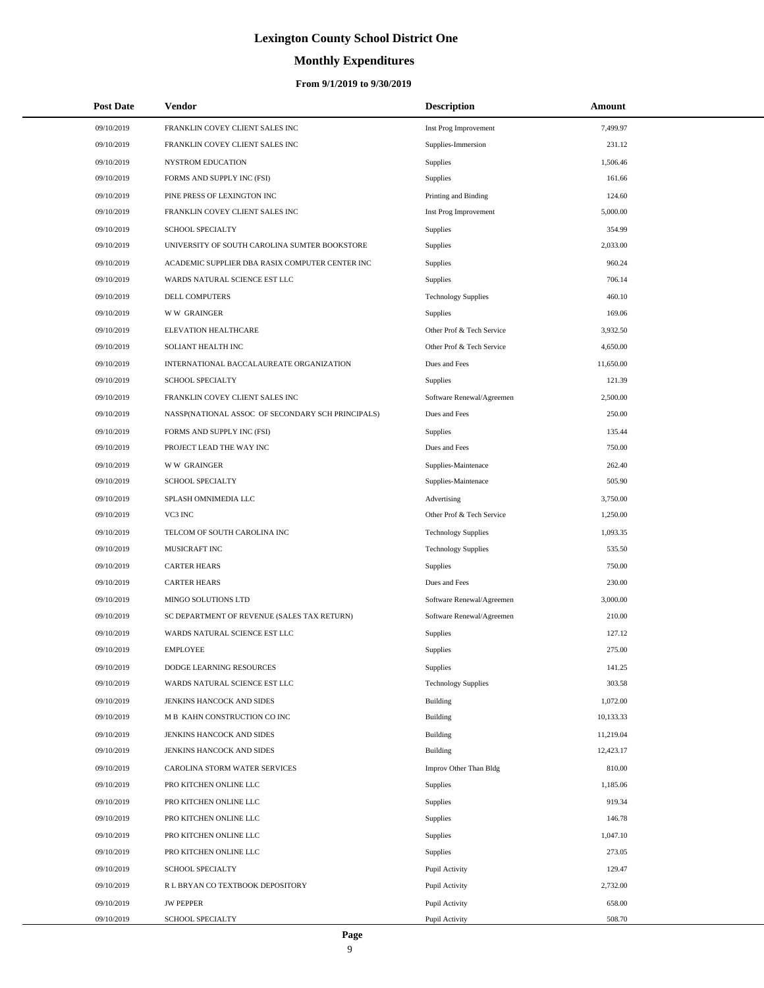# **Monthly Expenditures**

## **From 9/1/2019 to 9/30/2019**

| <b>Post Date</b> | Vendor                                            | <b>Description</b>         | Amount    |
|------------------|---------------------------------------------------|----------------------------|-----------|
| 09/10/2019       | FRANKLIN COVEY CLIENT SALES INC                   | Inst Prog Improvement      | 7,499.97  |
| 09/10/2019       | FRANKLIN COVEY CLIENT SALES INC                   | Supplies-Immersion         | 231.12    |
| 09/10/2019       | NYSTROM EDUCATION                                 | Supplies                   | 1,506.46  |
| 09/10/2019       | FORMS AND SUPPLY INC (FSI)                        | Supplies                   | 161.66    |
| 09/10/2019       | PINE PRESS OF LEXINGTON INC                       | Printing and Binding       | 124.60    |
| 09/10/2019       | FRANKLIN COVEY CLIENT SALES INC                   | Inst Prog Improvement      | 5,000.00  |
| 09/10/2019       | <b>SCHOOL SPECIALTY</b>                           | Supplies                   | 354.99    |
| 09/10/2019       | UNIVERSITY OF SOUTH CAROLINA SUMTER BOOKSTORE     | Supplies                   | 2,033.00  |
| 09/10/2019       | ACADEMIC SUPPLIER DBA RASIX COMPUTER CENTER INC   | Supplies                   | 960.24    |
| 09/10/2019       | WARDS NATURAL SCIENCE EST LLC                     | Supplies                   | 706.14    |
| 09/10/2019       | DELL COMPUTERS                                    | <b>Technology Supplies</b> | 460.10    |
| 09/10/2019       | <b>WW GRAINGER</b>                                | Supplies                   | 169.06    |
| 09/10/2019       | ELEVATION HEALTHCARE                              | Other Prof & Tech Service  | 3,932.50  |
| 09/10/2019       | SOLIANT HEALTH INC                                | Other Prof & Tech Service  | 4,650.00  |
| 09/10/2019       | INTERNATIONAL BACCALAUREATE ORGANIZATION          | Dues and Fees              | 11,650.00 |
| 09/10/2019       | <b>SCHOOL SPECIALTY</b>                           | Supplies                   | 121.39    |
| 09/10/2019       | FRANKLIN COVEY CLIENT SALES INC                   | Software Renewal/Agreemen  | 2,500.00  |
| 09/10/2019       | NASSP(NATIONAL ASSOC OF SECONDARY SCH PRINCIPALS) | Dues and Fees              | 250.00    |
| 09/10/2019       | FORMS AND SUPPLY INC (FSI)                        | Supplies                   | 135.44    |
| 09/10/2019       | PROJECT LEAD THE WAY INC                          | Dues and Fees              | 750.00    |
| 09/10/2019       | <b>WW GRAINGER</b>                                | Supplies-Maintenace        | 262.40    |
| 09/10/2019       | <b>SCHOOL SPECIALTY</b>                           | Supplies-Maintenace        | 505.90    |
| 09/10/2019       | SPLASH OMNIMEDIA LLC                              | Advertising                | 3,750.00  |
| 09/10/2019       | VC3 INC                                           | Other Prof & Tech Service  | 1,250.00  |
| 09/10/2019       | TELCOM OF SOUTH CAROLINA INC                      | <b>Technology Supplies</b> | 1,093.35  |
| 09/10/2019       | MUSICRAFT INC                                     | <b>Technology Supplies</b> | 535.50    |
| 09/10/2019       | <b>CARTER HEARS</b>                               | Supplies                   | 750.00    |
| 09/10/2019       | <b>CARTER HEARS</b>                               | Dues and Fees              | 230.00    |
| 09/10/2019       | MINGO SOLUTIONS LTD                               | Software Renewal/Agreemen  | 3,000.00  |
| 09/10/2019       | SC DEPARTMENT OF REVENUE (SALES TAX RETURN)       | Software Renewal/Agreemen  | 210.00    |
| 09/10/2019       | WARDS NATURAL SCIENCE EST LLC                     | Supplies                   | 127.12    |
| 09/10/2019       | <b>EMPLOYEE</b>                                   | Supplies                   | 275.00    |
| 09/10/2019       | DODGE LEARNING RESOURCES                          | Supplies                   | 141.25    |
| 09/10/2019       | WARDS NATURAL SCIENCE EST LLC                     | <b>Technology Supplies</b> | 303.58    |
| 09/10/2019       | JENKINS HANCOCK AND SIDES                         | Building                   | 1,072.00  |
| 09/10/2019       | M B KAHN CONSTRUCTION CO INC                      | Building                   | 10,133.33 |
| 09/10/2019       | JENKINS HANCOCK AND SIDES                         | <b>Building</b>            | 11,219.04 |
| 09/10/2019       | JENKINS HANCOCK AND SIDES                         | Building                   | 12,423.17 |
| 09/10/2019       | CAROLINA STORM WATER SERVICES                     | Improv Other Than Bldg     | 810.00    |
| 09/10/2019       | PRO KITCHEN ONLINE LLC                            | Supplies                   | 1,185.06  |
| 09/10/2019       | PRO KITCHEN ONLINE LLC                            | Supplies                   | 919.34    |
| 09/10/2019       | PRO KITCHEN ONLINE LLC                            | Supplies                   | 146.78    |
| 09/10/2019       | PRO KITCHEN ONLINE LLC                            | Supplies                   | 1,047.10  |
| 09/10/2019       | PRO KITCHEN ONLINE LLC                            | Supplies                   | 273.05    |
| 09/10/2019       | <b>SCHOOL SPECIALTY</b>                           | Pupil Activity             | 129.47    |
| 09/10/2019       | R L BRYAN CO TEXTBOOK DEPOSITORY                  | Pupil Activity             | 2,732.00  |
| 09/10/2019       | <b>JW PEPPER</b>                                  | Pupil Activity             | 658.00    |
| 09/10/2019       | SCHOOL SPECIALTY                                  | Pupil Activity             | 508.70    |

÷.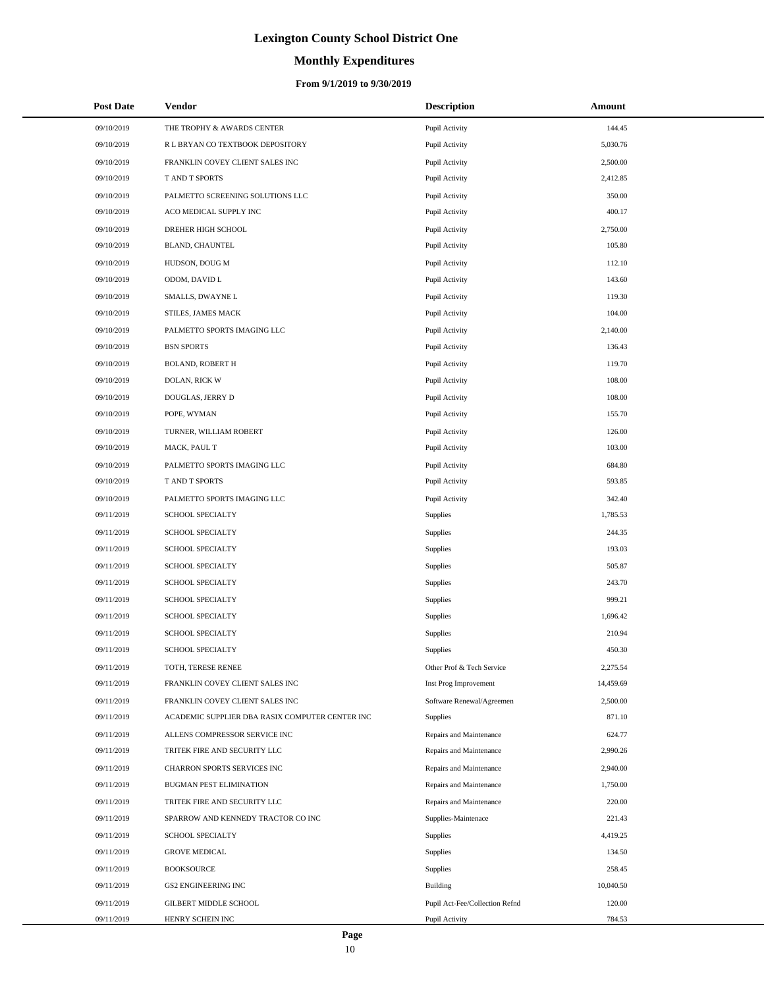# **Monthly Expenditures**

## **From 9/1/2019 to 9/30/2019**

| <b>Post Date</b> | <b>Vendor</b>                                   | <b>Description</b>             | Amount    |
|------------------|-------------------------------------------------|--------------------------------|-----------|
| 09/10/2019       | THE TROPHY & AWARDS CENTER                      | Pupil Activity                 | 144.45    |
| 09/10/2019       | R L BRYAN CO TEXTBOOK DEPOSITORY                | Pupil Activity                 | 5,030.76  |
| 09/10/2019       | FRANKLIN COVEY CLIENT SALES INC                 | Pupil Activity                 | 2,500.00  |
| 09/10/2019       | T AND T SPORTS                                  | Pupil Activity                 | 2,412.85  |
| 09/10/2019       | PALMETTO SCREENING SOLUTIONS LLC                | Pupil Activity                 | 350.00    |
| 09/10/2019       | ACO MEDICAL SUPPLY INC                          | Pupil Activity                 | 400.17    |
| 09/10/2019       | DREHER HIGH SCHOOL                              | Pupil Activity                 | 2,750.00  |
| 09/10/2019       | BLAND, CHAUNTEL                                 | Pupil Activity                 | 105.80    |
| 09/10/2019       | HUDSON, DOUG M                                  | Pupil Activity                 | 112.10    |
| 09/10/2019       | ODOM, DAVID L                                   | Pupil Activity                 | 143.60    |
| 09/10/2019       | SMALLS, DWAYNE L                                | Pupil Activity                 | 119.30    |
| 09/10/2019       | STILES, JAMES MACK                              | Pupil Activity                 | 104.00    |
| 09/10/2019       | PALMETTO SPORTS IMAGING LLC                     | Pupil Activity                 | 2,140.00  |
| 09/10/2019       | <b>BSN SPORTS</b>                               | Pupil Activity                 | 136.43    |
| 09/10/2019       | <b>BOLAND, ROBERT H</b>                         | Pupil Activity                 | 119.70    |
| 09/10/2019       | DOLAN, RICK W                                   | Pupil Activity                 | 108.00    |
| 09/10/2019       | DOUGLAS, JERRY D                                | Pupil Activity                 | 108.00    |
| 09/10/2019       | POPE, WYMAN                                     | Pupil Activity                 | 155.70    |
| 09/10/2019       | TURNER, WILLIAM ROBERT                          | Pupil Activity                 | 126.00    |
| 09/10/2019       | MACK, PAUL T                                    | Pupil Activity                 | 103.00    |
| 09/10/2019       | PALMETTO SPORTS IMAGING LLC                     | Pupil Activity                 | 684.80    |
| 09/10/2019       | T AND T SPORTS                                  | Pupil Activity                 | 593.85    |
| 09/10/2019       | PALMETTO SPORTS IMAGING LLC                     | Pupil Activity                 | 342.40    |
| 09/11/2019       | SCHOOL SPECIALTY                                | Supplies                       | 1,785.53  |
| 09/11/2019       | SCHOOL SPECIALTY                                | Supplies                       | 244.35    |
| 09/11/2019       | SCHOOL SPECIALTY                                | Supplies                       | 193.03    |
| 09/11/2019       | SCHOOL SPECIALTY                                | Supplies                       | 505.87    |
| 09/11/2019       | <b>SCHOOL SPECIALTY</b>                         | Supplies                       | 243.70    |
| 09/11/2019       | <b>SCHOOL SPECIALTY</b>                         | Supplies                       | 999.21    |
| 09/11/2019       | SCHOOL SPECIALTY                                | Supplies                       | 1,696.42  |
| 09/11/2019       | SCHOOL SPECIALTY                                | Supplies                       | 210.94    |
| 09/11/2019       | <b>SCHOOL SPECIALTY</b>                         | Supplies                       | 450.30    |
| 09/11/2019       | TOTH, TERESE RENEE                              | Other Prof & Tech Service      | 2,275.54  |
| 09/11/2019       | FRANKLIN COVEY CLIENT SALES INC                 | Inst Prog Improvement          | 14,459.69 |
| 09/11/2019       | FRANKLIN COVEY CLIENT SALES INC                 | Software Renewal/Agreemen      | 2,500.00  |
| 09/11/2019       | ACADEMIC SUPPLIER DBA RASIX COMPUTER CENTER INC | Supplies                       | 871.10    |
| 09/11/2019       | ALLENS COMPRESSOR SERVICE INC                   | Repairs and Maintenance        | 624.77    |
| 09/11/2019       | TRITEK FIRE AND SECURITY LLC                    | Repairs and Maintenance        | 2,990.26  |
| 09/11/2019       | CHARRON SPORTS SERVICES INC                     | Repairs and Maintenance        | 2,940.00  |
| 09/11/2019       | BUGMAN PEST ELIMINATION                         | Repairs and Maintenance        | 1,750.00  |
| 09/11/2019       | TRITEK FIRE AND SECURITY LLC                    | Repairs and Maintenance        | 220.00    |
| 09/11/2019       | SPARROW AND KENNEDY TRACTOR CO INC              | Supplies-Maintenace            | 221.43    |
| 09/11/2019       | SCHOOL SPECIALTY                                | Supplies                       | 4,419.25  |
| 09/11/2019       | <b>GROVE MEDICAL</b>                            | Supplies                       | 134.50    |
| 09/11/2019       | <b>BOOKSOURCE</b>                               | Supplies                       | 258.45    |
| 09/11/2019       | <b>GS2 ENGINEERING INC</b>                      | Building                       | 10,040.50 |
| 09/11/2019       | GILBERT MIDDLE SCHOOL                           | Pupil Act-Fee/Collection Refnd | 120.00    |
| 09/11/2019       | HENRY SCHEIN INC                                | Pupil Activity                 | 784.53    |

L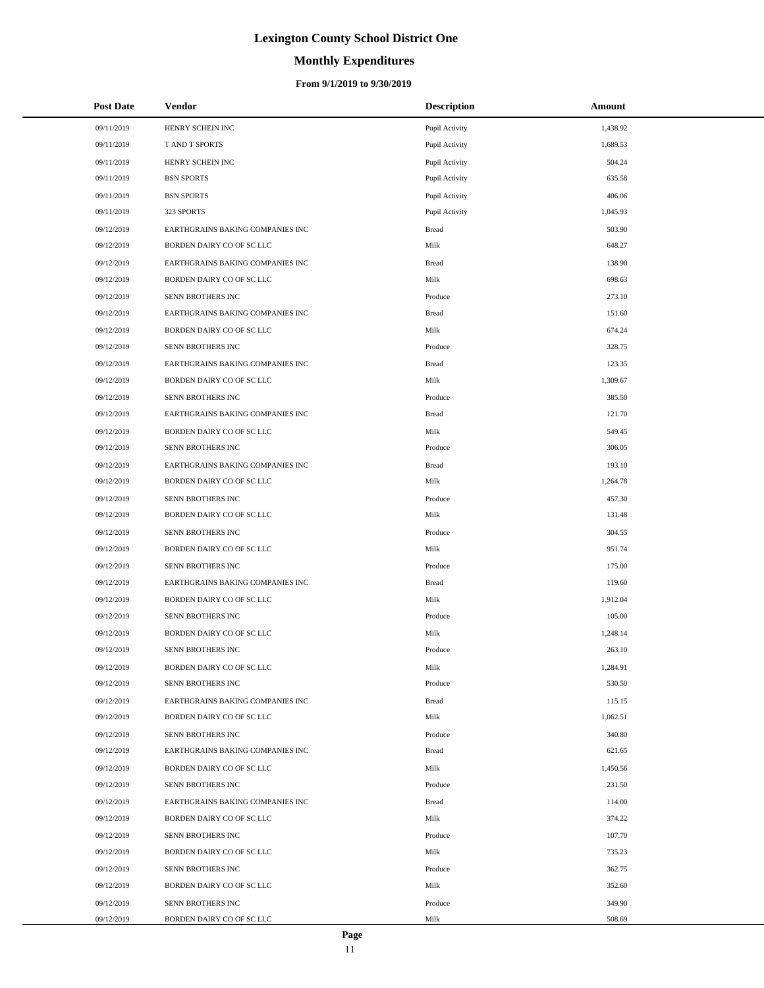# **Monthly Expenditures**

### **From 9/1/2019 to 9/30/2019**

| <b>Post Date</b> | Vendor                           | <b>Description</b> | Amount   |
|------------------|----------------------------------|--------------------|----------|
| 09/11/2019       | HENRY SCHEIN INC                 | Pupil Activity     | 1,438.92 |
| 09/11/2019       | T AND T SPORTS                   | Pupil Activity     | 1,689.53 |
| 09/11/2019       | HENRY SCHEIN INC                 | Pupil Activity     | 504.24   |
| 09/11/2019       | <b>BSN SPORTS</b>                | Pupil Activity     | 635.58   |
| 09/11/2019       | <b>BSN SPORTS</b>                | Pupil Activity     | 406.06   |
| 09/11/2019       | 323 SPORTS                       | Pupil Activity     | 1,045.93 |
| 09/12/2019       | EARTHGRAINS BAKING COMPANIES INC | <b>Bread</b>       | 503.90   |
| 09/12/2019       | BORDEN DAIRY CO OF SC LLC        | Milk               | 648.27   |
| 09/12/2019       | EARTHGRAINS BAKING COMPANIES INC | <b>Bread</b>       | 138.90   |
| 09/12/2019       | BORDEN DAIRY CO OF SC LLC        | Milk               | 698.63   |
| 09/12/2019       | SENN BROTHERS INC                | Produce            | 273.10   |
| 09/12/2019       | EARTHGRAINS BAKING COMPANIES INC | <b>Bread</b>       | 151.60   |
| 09/12/2019       | BORDEN DAIRY CO OF SC LLC        | Milk               | 674.24   |
| 09/12/2019       | SENN BROTHERS INC                | Produce            | 328.75   |
| 09/12/2019       | EARTHGRAINS BAKING COMPANIES INC | <b>Bread</b>       | 123.35   |
| 09/12/2019       | BORDEN DAIRY CO OF SC LLC        | Milk               | 1,309.67 |
| 09/12/2019       | SENN BROTHERS INC                | Produce            | 385.50   |
| 09/12/2019       | EARTHGRAINS BAKING COMPANIES INC | <b>Bread</b>       | 121.70   |
| 09/12/2019       | BORDEN DAIRY CO OF SC LLC        | Milk               | 549.45   |
| 09/12/2019       | SENN BROTHERS INC                | Produce            | 306.05   |
| 09/12/2019       | EARTHGRAINS BAKING COMPANIES INC | <b>Bread</b>       | 193.10   |
| 09/12/2019       | BORDEN DAIRY CO OF SC LLC        | Milk               | 1,264.78 |
| 09/12/2019       | SENN BROTHERS INC                | Produce            | 457.30   |
| 09/12/2019       | BORDEN DAIRY CO OF SC LLC        | Milk               | 131.48   |
| 09/12/2019       | SENN BROTHERS INC                | Produce            | 304.55   |
| 09/12/2019       | BORDEN DAIRY CO OF SC LLC        | Milk               | 951.74   |
| 09/12/2019       | SENN BROTHERS INC                | Produce            | 175.00   |
| 09/12/2019       | EARTHGRAINS BAKING COMPANIES INC | <b>Bread</b>       | 119.60   |
| 09/12/2019       | BORDEN DAIRY CO OF SC LLC        | Milk               | 1,912.04 |
| 09/12/2019       | SENN BROTHERS INC                | Produce            | 105.00   |
| 09/12/2019       | BORDEN DAIRY CO OF SC LLC        | Milk               | 1,248.14 |
| 09/12/2019       | SENN BROTHERS INC                | Produce            | 263.10   |
| 09/12/2019       | BORDEN DAIRY CO OF SC LLC        | Milk               | 1,284.91 |
| 09/12/2019       | SENN BROTHERS INC                | Produce            | 530.50   |
| 09/12/2019       | EARTHGRAINS BAKING COMPANIES INC | <b>Bread</b>       | 115.15   |
| 09/12/2019       | BORDEN DAIRY CO OF SC LLC        | Milk               | 1,062.51 |
| 09/12/2019       | SENN BROTHERS INC                | Produce            | 340.80   |
| 09/12/2019       | EARTHGRAINS BAKING COMPANIES INC | <b>Bread</b>       | 621.65   |
| 09/12/2019       | BORDEN DAIRY CO OF SC LLC        | Milk               | 1,450.56 |
| 09/12/2019       | SENN BROTHERS INC                | Produce            | 231.50   |
| 09/12/2019       | EARTHGRAINS BAKING COMPANIES INC | <b>Bread</b>       | 114.00   |
| 09/12/2019       | BORDEN DAIRY CO OF SC LLC        | Milk               | 374.22   |
| 09/12/2019       | SENN BROTHERS INC                | Produce            | 107.70   |
| 09/12/2019       | BORDEN DAIRY CO OF SC LLC        | Milk               | 735.23   |
| 09/12/2019       | SENN BROTHERS INC                | Produce            | 362.75   |
| 09/12/2019       | BORDEN DAIRY CO OF SC LLC        | Milk               | 352.60   |
| 09/12/2019       | SENN BROTHERS INC                | Produce            | 349.90   |
| 09/12/2019       | BORDEN DAIRY CO OF SC LLC        | Milk               | 508.69   |

 $\overline{a}$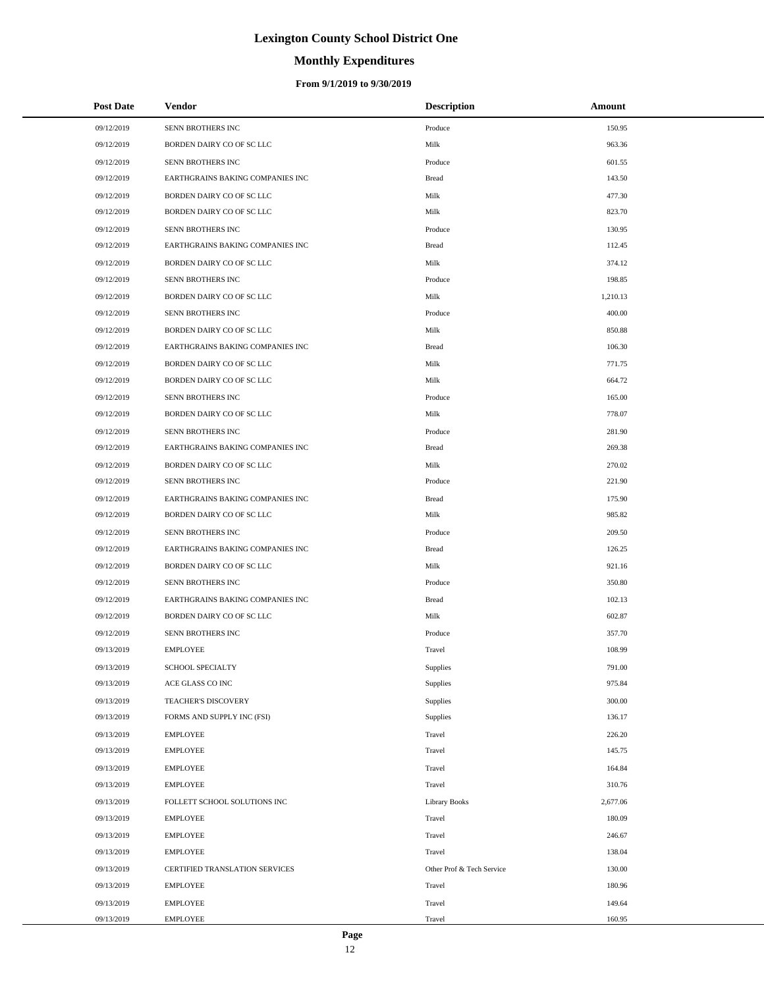# **Monthly Expenditures**

### **From 9/1/2019 to 9/30/2019**

| <b>Post Date</b> | Vendor                           | <b>Description</b>        | Amount   |
|------------------|----------------------------------|---------------------------|----------|
| 09/12/2019       | SENN BROTHERS INC                | Produce                   | 150.95   |
| 09/12/2019       | BORDEN DAIRY CO OF SC LLC        | Milk                      | 963.36   |
| 09/12/2019       | SENN BROTHERS INC                | Produce                   | 601.55   |
| 09/12/2019       | EARTHGRAINS BAKING COMPANIES INC | <b>Bread</b>              | 143.50   |
| 09/12/2019       | BORDEN DAIRY CO OF SC LLC        | Milk                      | 477.30   |
| 09/12/2019       | BORDEN DAIRY CO OF SC LLC        | Milk                      | 823.70   |
| 09/12/2019       | SENN BROTHERS INC                | Produce                   | 130.95   |
| 09/12/2019       | EARTHGRAINS BAKING COMPANIES INC | <b>Bread</b>              | 112.45   |
| 09/12/2019       | BORDEN DAIRY CO OF SC LLC        | Milk                      | 374.12   |
| 09/12/2019       | SENN BROTHERS INC                | Produce                   | 198.85   |
| 09/12/2019       | BORDEN DAIRY CO OF SC LLC        | Milk                      | 1,210.13 |
| 09/12/2019       | SENN BROTHERS INC                | Produce                   | 400.00   |
| 09/12/2019       | BORDEN DAIRY CO OF SC LLC        | Milk                      | 850.88   |
| 09/12/2019       | EARTHGRAINS BAKING COMPANIES INC | <b>Bread</b>              | 106.30   |
| 09/12/2019       | BORDEN DAIRY CO OF SC LLC        | Milk                      | 771.75   |
| 09/12/2019       | BORDEN DAIRY CO OF SC LLC        | Milk                      | 664.72   |
| 09/12/2019       | SENN BROTHERS INC                | Produce                   | 165.00   |
| 09/12/2019       | BORDEN DAIRY CO OF SC LLC        | Milk                      | 778.07   |
| 09/12/2019       | SENN BROTHERS INC                | Produce                   | 281.90   |
| 09/12/2019       | EARTHGRAINS BAKING COMPANIES INC | <b>Bread</b>              | 269.38   |
| 09/12/2019       | BORDEN DAIRY CO OF SC LLC        | Milk                      | 270.02   |
| 09/12/2019       | SENN BROTHERS INC                | Produce                   | 221.90   |
| 09/12/2019       | EARTHGRAINS BAKING COMPANIES INC | <b>Bread</b>              | 175.90   |
| 09/12/2019       | BORDEN DAIRY CO OF SC LLC        | Milk                      | 985.82   |
| 09/12/2019       | SENN BROTHERS INC                | Produce                   | 209.50   |
| 09/12/2019       | EARTHGRAINS BAKING COMPANIES INC | <b>Bread</b>              | 126.25   |
| 09/12/2019       | BORDEN DAIRY CO OF SC LLC        | Milk                      | 921.16   |
| 09/12/2019       | SENN BROTHERS INC                | Produce                   | 350.80   |
| 09/12/2019       | EARTHGRAINS BAKING COMPANIES INC | <b>Bread</b>              | 102.13   |
| 09/12/2019       | BORDEN DAIRY CO OF SC LLC        | Milk                      | 602.87   |
| 09/12/2019       | SENN BROTHERS INC                | Produce                   | 357.70   |
| 09/13/2019       | <b>EMPLOYEE</b>                  | Travel                    | 108.99   |
| 09/13/2019       | SCHOOL SPECIALTY                 | Supplies                  | 791.00   |
| 09/13/2019       | ACE GLASS CO INC                 | Supplies                  | 975.84   |
| 09/13/2019       | TEACHER'S DISCOVERY              | Supplies                  | 300.00   |
| 09/13/2019       | FORMS AND SUPPLY INC (FSI)       | Supplies                  | 136.17   |
| 09/13/2019       | <b>EMPLOYEE</b>                  | Travel                    | 226.20   |
| 09/13/2019       | <b>EMPLOYEE</b>                  | Travel                    | 145.75   |
| 09/13/2019       | <b>EMPLOYEE</b>                  | Travel                    | 164.84   |
| 09/13/2019       | <b>EMPLOYEE</b>                  | Travel                    | 310.76   |
| 09/13/2019       | FOLLETT SCHOOL SOLUTIONS INC     | <b>Library Books</b>      | 2,677.06 |
| 09/13/2019       | <b>EMPLOYEE</b>                  | Travel                    | 180.09   |
| 09/13/2019       | <b>EMPLOYEE</b>                  | Travel                    | 246.67   |
| 09/13/2019       | <b>EMPLOYEE</b>                  | Travel                    | 138.04   |
| 09/13/2019       | CERTIFIED TRANSLATION SERVICES   | Other Prof & Tech Service | 130.00   |
| 09/13/2019       | <b>EMPLOYEE</b>                  | Travel                    | 180.96   |
| 09/13/2019       | <b>EMPLOYEE</b>                  | Travel                    | 149.64   |
| 09/13/2019       | <b>EMPLOYEE</b>                  | Travel                    | 160.95   |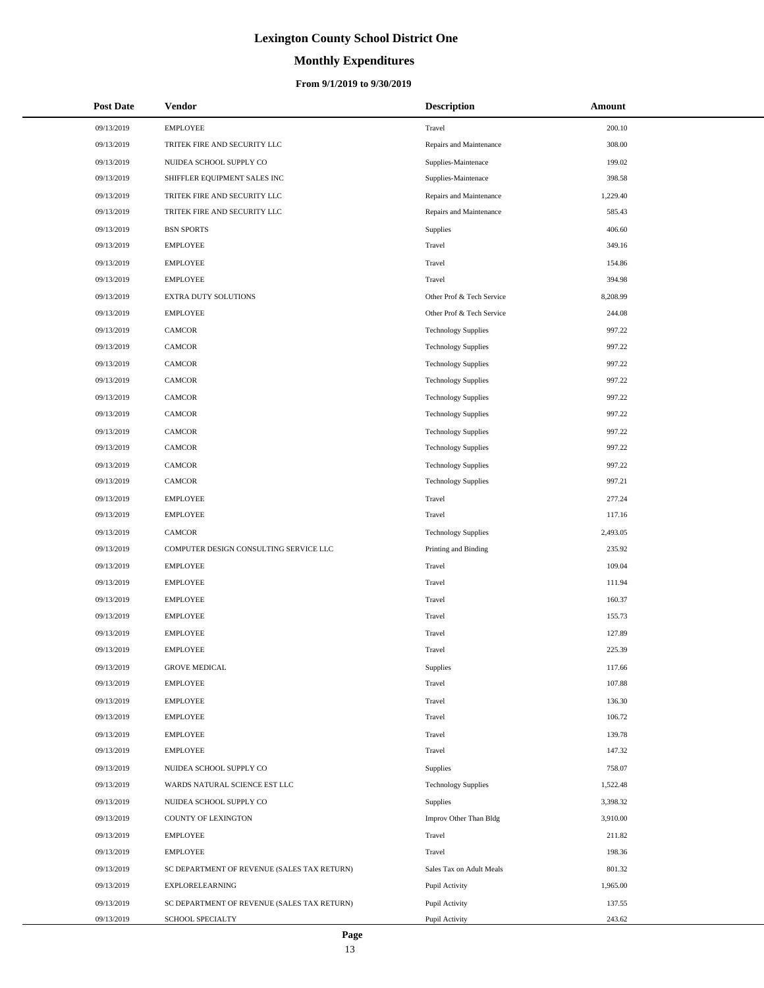# **Monthly Expenditures**

| <b>Post Date</b> | <b>Vendor</b>                               | <b>Description</b>         | Amount   |
|------------------|---------------------------------------------|----------------------------|----------|
| 09/13/2019       | <b>EMPLOYEE</b>                             | Travel                     | 200.10   |
| 09/13/2019       | TRITEK FIRE AND SECURITY LLC                | Repairs and Maintenance    | 308.00   |
| 09/13/2019       | NUIDEA SCHOOL SUPPLY CO                     | Supplies-Maintenace        | 199.02   |
| 09/13/2019       | SHIFFLER EQUIPMENT SALES INC                | Supplies-Maintenace        | 398.58   |
| 09/13/2019       | TRITEK FIRE AND SECURITY LLC                | Repairs and Maintenance    | 1,229.40 |
| 09/13/2019       | TRITEK FIRE AND SECURITY LLC                | Repairs and Maintenance    | 585.43   |
| 09/13/2019       | <b>BSN SPORTS</b>                           | Supplies                   | 406.60   |
| 09/13/2019       | <b>EMPLOYEE</b>                             | Travel                     | 349.16   |
| 09/13/2019       | <b>EMPLOYEE</b>                             | Travel                     | 154.86   |
| 09/13/2019       | <b>EMPLOYEE</b>                             | Travel                     | 394.98   |
| 09/13/2019       | EXTRA DUTY SOLUTIONS                        | Other Prof & Tech Service  | 8,208.99 |
| 09/13/2019       | <b>EMPLOYEE</b>                             | Other Prof & Tech Service  | 244.08   |
| 09/13/2019       | <b>CAMCOR</b>                               | <b>Technology Supplies</b> | 997.22   |
| 09/13/2019       | CAMCOR                                      | <b>Technology Supplies</b> | 997.22   |
| 09/13/2019       | CAMCOR                                      | <b>Technology Supplies</b> | 997.22   |
| 09/13/2019       | CAMCOR                                      | <b>Technology Supplies</b> | 997.22   |
| 09/13/2019       | CAMCOR                                      | <b>Technology Supplies</b> | 997.22   |
| 09/13/2019       | CAMCOR                                      | <b>Technology Supplies</b> | 997.22   |
| 09/13/2019       | <b>CAMCOR</b>                               | <b>Technology Supplies</b> | 997.22   |
| 09/13/2019       | CAMCOR                                      | <b>Technology Supplies</b> | 997.22   |
| 09/13/2019       | CAMCOR                                      | <b>Technology Supplies</b> | 997.22   |
| 09/13/2019       | CAMCOR                                      | <b>Technology Supplies</b> | 997.21   |
| 09/13/2019       | <b>EMPLOYEE</b>                             | Travel                     | 277.24   |
| 09/13/2019       | <b>EMPLOYEE</b>                             | Travel                     | 117.16   |
| 09/13/2019       | CAMCOR                                      | <b>Technology Supplies</b> | 2,493.05 |
| 09/13/2019       | COMPUTER DESIGN CONSULTING SERVICE LLC      | Printing and Binding       | 235.92   |
| 09/13/2019       | <b>EMPLOYEE</b>                             | Travel                     | 109.04   |
| 09/13/2019       | <b>EMPLOYEE</b>                             | Travel                     | 111.94   |
| 09/13/2019       | <b>EMPLOYEE</b>                             | Travel                     | 160.37   |
| 09/13/2019       | <b>EMPLOYEE</b>                             | Travel                     | 155.73   |
| 09/13/2019       | <b>EMPLOYEE</b>                             | Travel                     | 127.89   |
| 09/13/2019       | <b>EMPLOYEE</b>                             | Travel                     | 225.39   |
| 09/13/2019       | <b>GROVE MEDICAL</b>                        | Supplies                   | 117.66   |
| 09/13/2019       | <b>EMPLOYEE</b>                             | Travel                     | 107.88   |
| 09/13/2019       | <b>EMPLOYEE</b>                             | Travel                     | 136.30   |
| 09/13/2019       | <b>EMPLOYEE</b>                             | Travel                     | 106.72   |
| 09/13/2019       | <b>EMPLOYEE</b>                             | Travel                     | 139.78   |
| 09/13/2019       | <b>EMPLOYEE</b>                             | Travel                     | 147.32   |
| 09/13/2019       | NUIDEA SCHOOL SUPPLY CO                     | Supplies                   | 758.07   |
| 09/13/2019       | WARDS NATURAL SCIENCE EST LLC               | <b>Technology Supplies</b> | 1,522.48 |
| 09/13/2019       | NUIDEA SCHOOL SUPPLY CO                     | Supplies                   | 3,398.32 |
| 09/13/2019       | COUNTY OF LEXINGTON                         | Improv Other Than Bldg     | 3,910.00 |
| 09/13/2019       | <b>EMPLOYEE</b>                             | Travel                     | 211.82   |
| 09/13/2019       | <b>EMPLOYEE</b>                             | Travel                     | 198.36   |
| 09/13/2019       | SC DEPARTMENT OF REVENUE (SALES TAX RETURN) | Sales Tax on Adult Meals   | 801.32   |
| 09/13/2019       | EXPLORELEARNING                             | Pupil Activity             | 1,965.00 |
| 09/13/2019       | SC DEPARTMENT OF REVENUE (SALES TAX RETURN) | Pupil Activity             | 137.55   |
| 09/13/2019       | SCHOOL SPECIALTY                            | Pupil Activity             | 243.62   |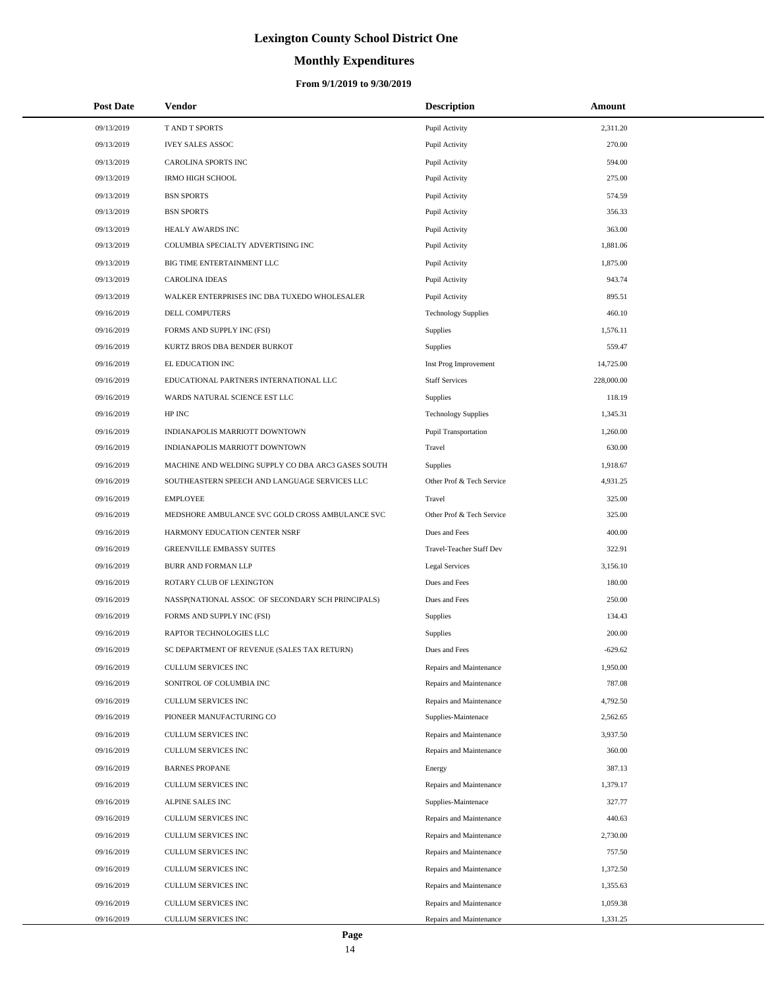# **Monthly Expenditures**

## **From 9/1/2019 to 9/30/2019**

| <b>Post Date</b> | Vendor                                             | <b>Description</b>         | Amount     |  |
|------------------|----------------------------------------------------|----------------------------|------------|--|
| 09/13/2019       | T AND T SPORTS                                     | Pupil Activity             | 2,311.20   |  |
| 09/13/2019       | <b>IVEY SALES ASSOC</b>                            | Pupil Activity             | 270.00     |  |
| 09/13/2019       | CAROLINA SPORTS INC                                | Pupil Activity             | 594.00     |  |
| 09/13/2019       | <b>IRMO HIGH SCHOOL</b>                            | Pupil Activity             | 275.00     |  |
| 09/13/2019       | <b>BSN SPORTS</b>                                  | Pupil Activity             | 574.59     |  |
| 09/13/2019       | <b>BSN SPORTS</b>                                  | Pupil Activity             | 356.33     |  |
| 09/13/2019       | HEALY AWARDS INC                                   | Pupil Activity             | 363.00     |  |
| 09/13/2019       | COLUMBIA SPECIALTY ADVERTISING INC                 | Pupil Activity             | 1,881.06   |  |
| 09/13/2019       | BIG TIME ENTERTAINMENT LLC                         | Pupil Activity             | 1,875.00   |  |
| 09/13/2019       | <b>CAROLINA IDEAS</b>                              | Pupil Activity             | 943.74     |  |
| 09/13/2019       | WALKER ENTERPRISES INC DBA TUXEDO WHOLESALER       | Pupil Activity             | 895.51     |  |
| 09/16/2019       | DELL COMPUTERS                                     | <b>Technology Supplies</b> | 460.10     |  |
| 09/16/2019       | FORMS AND SUPPLY INC (FSI)                         | Supplies                   | 1,576.11   |  |
| 09/16/2019       | KURTZ BROS DBA BENDER BURKOT                       | Supplies                   | 559.47     |  |
| 09/16/2019       | EL EDUCATION INC                                   | Inst Prog Improvement      | 14,725.00  |  |
| 09/16/2019       | EDUCATIONAL PARTNERS INTERNATIONAL LLC             | <b>Staff Services</b>      | 228,000.00 |  |
| 09/16/2019       | WARDS NATURAL SCIENCE EST LLC                      | Supplies                   | 118.19     |  |
| 09/16/2019       | HP INC                                             | <b>Technology Supplies</b> | 1,345.31   |  |
| 09/16/2019       | INDIANAPOLIS MARRIOTT DOWNTOWN                     | Pupil Transportation       | 1,260.00   |  |
| 09/16/2019       | INDIANAPOLIS MARRIOTT DOWNTOWN                     | Travel                     | 630.00     |  |
| 09/16/2019       | MACHINE AND WELDING SUPPLY CO DBA ARC3 GASES SOUTH | Supplies                   | 1,918.67   |  |
| 09/16/2019       | SOUTHEASTERN SPEECH AND LANGUAGE SERVICES LLC      | Other Prof & Tech Service  | 4,931.25   |  |
| 09/16/2019       | <b>EMPLOYEE</b>                                    | Travel                     | 325.00     |  |
| 09/16/2019       | MEDSHORE AMBULANCE SVC GOLD CROSS AMBULANCE SVC    | Other Prof & Tech Service  | 325.00     |  |
| 09/16/2019       | HARMONY EDUCATION CENTER NSRF                      | Dues and Fees              | 400.00     |  |
| 09/16/2019       | <b>GREENVILLE EMBASSY SUITES</b>                   | Travel-Teacher Staff Dev   | 322.91     |  |
| 09/16/2019       | BURR AND FORMAN LLP                                | <b>Legal Services</b>      | 3,156.10   |  |
| 09/16/2019       | ROTARY CLUB OF LEXINGTON                           | Dues and Fees              | 180.00     |  |
| 09/16/2019       | NASSP(NATIONAL ASSOC OF SECONDARY SCH PRINCIPALS)  | Dues and Fees              | 250.00     |  |
| 09/16/2019       | FORMS AND SUPPLY INC (FSI)                         | Supplies                   | 134.43     |  |
| 09/16/2019       | RAPTOR TECHNOLOGIES LLC                            | Supplies                   | 200.00     |  |
| 09/16/2019       | SC DEPARTMENT OF REVENUE (SALES TAX RETURN)        | Dues and Fees              | $-629.62$  |  |
| 09/16/2019       | CULLUM SERVICES INC                                | Repairs and Maintenance    | 1,950.00   |  |
| 09/16/2019       | SONITROL OF COLUMBIA INC                           | Repairs and Maintenance    | 787.08     |  |
| 09/16/2019       | CULLUM SERVICES INC                                | Repairs and Maintenance    | 4,792.50   |  |
| 09/16/2019       | PIONEER MANUFACTURING CO                           | Supplies-Maintenace        | 2,562.65   |  |
| 09/16/2019       | CULLUM SERVICES INC                                | Repairs and Maintenance    | 3,937.50   |  |
| 09/16/2019       | CULLUM SERVICES INC                                | Repairs and Maintenance    | 360.00     |  |
| 09/16/2019       | <b>BARNES PROPANE</b>                              | Energy                     | 387.13     |  |
| 09/16/2019       | CULLUM SERVICES INC                                | Repairs and Maintenance    | 1,379.17   |  |
| 09/16/2019       | ALPINE SALES INC                                   | Supplies-Maintenace        | 327.77     |  |
| 09/16/2019       | CULLUM SERVICES INC                                | Repairs and Maintenance    | 440.63     |  |
| 09/16/2019       | CULLUM SERVICES INC                                | Repairs and Maintenance    | 2,730.00   |  |
| 09/16/2019       | CULLUM SERVICES INC                                | Repairs and Maintenance    | 757.50     |  |
| 09/16/2019       | CULLUM SERVICES INC                                | Repairs and Maintenance    | 1,372.50   |  |
| 09/16/2019       | CULLUM SERVICES INC                                | Repairs and Maintenance    | 1,355.63   |  |
| 09/16/2019       | CULLUM SERVICES INC                                | Repairs and Maintenance    | 1,059.38   |  |
| 09/16/2019       | CULLUM SERVICES INC                                | Repairs and Maintenance    | 1,331.25   |  |

 $\overline{a}$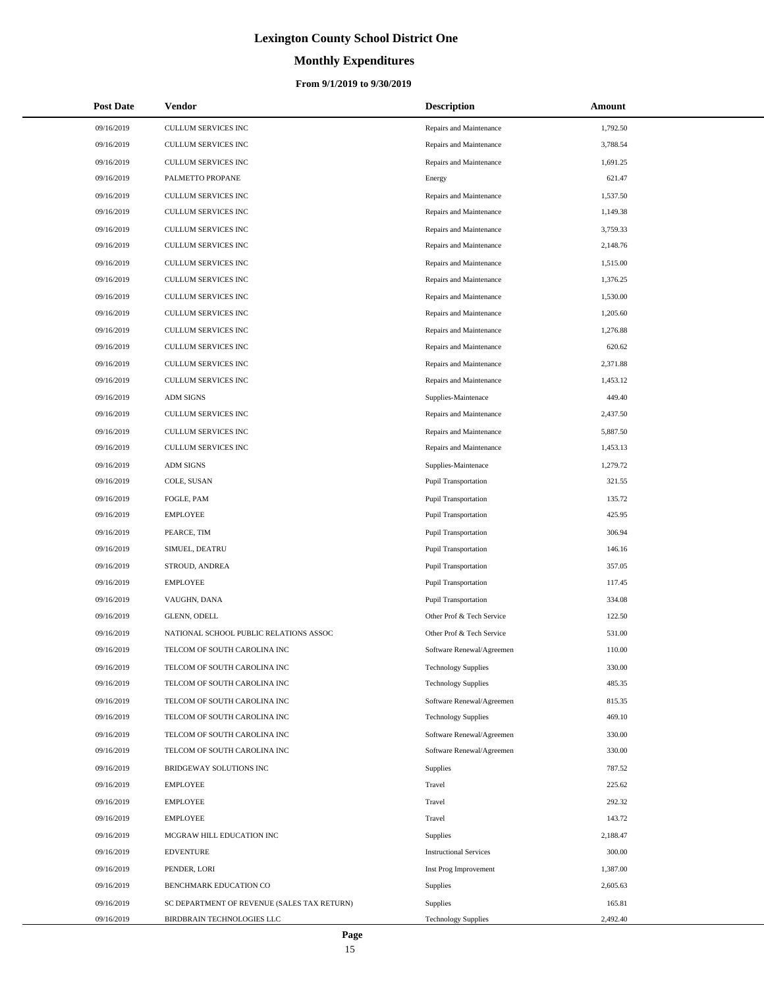# **Monthly Expenditures**

| <b>Post Date</b> | Vendor                                      | <b>Description</b>            | Amount   |
|------------------|---------------------------------------------|-------------------------------|----------|
| 09/16/2019       | CULLUM SERVICES INC                         | Repairs and Maintenance       | 1,792.50 |
| 09/16/2019       | CULLUM SERVICES INC                         | Repairs and Maintenance       | 3,788.54 |
| 09/16/2019       | CULLUM SERVICES INC                         | Repairs and Maintenance       | 1,691.25 |
| 09/16/2019       | PALMETTO PROPANE                            | Energy                        | 621.47   |
| 09/16/2019       | CULLUM SERVICES INC                         | Repairs and Maintenance       | 1,537.50 |
| 09/16/2019       | CULLUM SERVICES INC                         | Repairs and Maintenance       | 1,149.38 |
| 09/16/2019       | <b>CULLUM SERVICES INC</b>                  | Repairs and Maintenance       | 3,759.33 |
| 09/16/2019       | CULLUM SERVICES INC                         | Repairs and Maintenance       | 2,148.76 |
| 09/16/2019       | <b>CULLUM SERVICES INC</b>                  | Repairs and Maintenance       | 1,515.00 |
| 09/16/2019       | CULLUM SERVICES INC                         | Repairs and Maintenance       | 1,376.25 |
| 09/16/2019       | CULLUM SERVICES INC                         | Repairs and Maintenance       | 1,530.00 |
| 09/16/2019       | CULLUM SERVICES INC                         | Repairs and Maintenance       | 1,205.60 |
| 09/16/2019       | CULLUM SERVICES INC                         | Repairs and Maintenance       | 1,276.88 |
| 09/16/2019       | <b>CULLUM SERVICES INC</b>                  | Repairs and Maintenance       | 620.62   |
| 09/16/2019       | CULLUM SERVICES INC                         | Repairs and Maintenance       | 2,371.88 |
| 09/16/2019       | CULLUM SERVICES INC                         | Repairs and Maintenance       | 1,453.12 |
| 09/16/2019       | <b>ADM SIGNS</b>                            | Supplies-Maintenace           | 449.40   |
| 09/16/2019       | CULLUM SERVICES INC                         | Repairs and Maintenance       | 2,437.50 |
| 09/16/2019       | CULLUM SERVICES INC                         | Repairs and Maintenance       | 5,887.50 |
| 09/16/2019       | <b>CULLUM SERVICES INC</b>                  | Repairs and Maintenance       | 1,453.13 |
| 09/16/2019       | <b>ADM SIGNS</b>                            | Supplies-Maintenace           | 1,279.72 |
| 09/16/2019       | COLE, SUSAN                                 | Pupil Transportation          | 321.55   |
| 09/16/2019       | FOGLE, PAM                                  | Pupil Transportation          | 135.72   |
| 09/16/2019       | <b>EMPLOYEE</b>                             | Pupil Transportation          | 425.95   |
| 09/16/2019       | PEARCE, TIM                                 | Pupil Transportation          | 306.94   |
| 09/16/2019       | SIMUEL, DEATRU                              | Pupil Transportation          | 146.16   |
| 09/16/2019       | STROUD, ANDREA                              | Pupil Transportation          | 357.05   |
| 09/16/2019       | <b>EMPLOYEE</b>                             | Pupil Transportation          | 117.45   |
| 09/16/2019       | VAUGHN, DANA                                | <b>Pupil Transportation</b>   | 334.08   |
| 09/16/2019       | <b>GLENN, ODELL</b>                         | Other Prof & Tech Service     | 122.50   |
| 09/16/2019       | NATIONAL SCHOOL PUBLIC RELATIONS ASSOC      | Other Prof & Tech Service     | 531.00   |
| 09/16/2019       | TELCOM OF SOUTH CAROLINA INC                | Software Renewal/Agreemen     | 110.00   |
| 09/16/2019       | TELCOM OF SOUTH CAROLINA INC                | <b>Technology Supplies</b>    | 330.00   |
| 09/16/2019       | TELCOM OF SOUTH CAROLINA INC                | <b>Technology Supplies</b>    | 485.35   |
| 09/16/2019       | TELCOM OF SOUTH CAROLINA INC                | Software Renewal/Agreemen     | 815.35   |
| 09/16/2019       | TELCOM OF SOUTH CAROLINA INC                | <b>Technology Supplies</b>    | 469.10   |
| 09/16/2019       | TELCOM OF SOUTH CAROLINA INC                | Software Renewal/Agreemen     | 330.00   |
| 09/16/2019       | TELCOM OF SOUTH CAROLINA INC                | Software Renewal/Agreemen     | 330.00   |
| 09/16/2019       | BRIDGEWAY SOLUTIONS INC                     | Supplies                      | 787.52   |
| 09/16/2019       | <b>EMPLOYEE</b>                             | Travel                        | 225.62   |
| 09/16/2019       | <b>EMPLOYEE</b>                             | Travel                        | 292.32   |
| 09/16/2019       | <b>EMPLOYEE</b>                             | Travel                        | 143.72   |
| 09/16/2019       | MCGRAW HILL EDUCATION INC                   | Supplies                      | 2,188.47 |
| 09/16/2019       | <b>EDVENTURE</b>                            | <b>Instructional Services</b> | 300.00   |
| 09/16/2019       | PENDER, LORI                                | Inst Prog Improvement         | 1,387.00 |
| 09/16/2019       | BENCHMARK EDUCATION CO                      | Supplies                      | 2,605.63 |
| 09/16/2019       | SC DEPARTMENT OF REVENUE (SALES TAX RETURN) | Supplies                      | 165.81   |
| 09/16/2019       | BIRDBRAIN TECHNOLOGIES LLC                  | <b>Technology Supplies</b>    | 2,492.40 |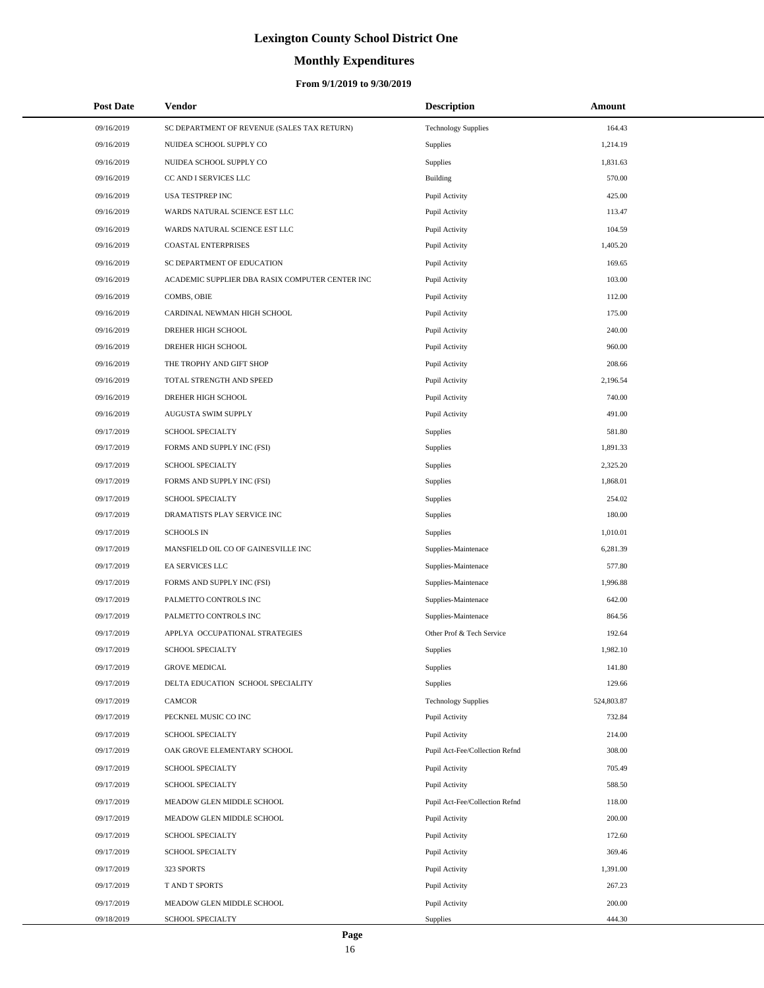# **Monthly Expenditures**

## **From 9/1/2019 to 9/30/2019**

|            | <b>Post Date</b> | <b>Vendor</b>                                   | <b>Description</b>             | Amount     |
|------------|------------------|-------------------------------------------------|--------------------------------|------------|
| 09/16/2019 |                  | SC DEPARTMENT OF REVENUE (SALES TAX RETURN)     | <b>Technology Supplies</b>     | 164.43     |
| 09/16/2019 |                  | NUIDEA SCHOOL SUPPLY CO                         | Supplies                       | 1,214.19   |
| 09/16/2019 |                  | NUIDEA SCHOOL SUPPLY CO                         | Supplies                       | 1,831.63   |
| 09/16/2019 |                  | CC AND I SERVICES LLC                           | Building                       | 570.00     |
| 09/16/2019 |                  | USA TESTPREP INC                                | Pupil Activity                 | 425.00     |
| 09/16/2019 |                  | WARDS NATURAL SCIENCE EST LLC                   | Pupil Activity                 | 113.47     |
| 09/16/2019 |                  | WARDS NATURAL SCIENCE EST LLC                   | Pupil Activity                 | 104.59     |
| 09/16/2019 |                  | <b>COASTAL ENTERPRISES</b>                      | Pupil Activity                 | 1,405.20   |
| 09/16/2019 |                  | SC DEPARTMENT OF EDUCATION                      | Pupil Activity                 | 169.65     |
| 09/16/2019 |                  | ACADEMIC SUPPLIER DBA RASIX COMPUTER CENTER INC | Pupil Activity                 | 103.00     |
| 09/16/2019 |                  | COMBS, OBIE                                     | Pupil Activity                 | 112.00     |
| 09/16/2019 |                  | CARDINAL NEWMAN HIGH SCHOOL                     | Pupil Activity                 | 175.00     |
| 09/16/2019 |                  | DREHER HIGH SCHOOL                              | Pupil Activity                 | 240.00     |
| 09/16/2019 |                  | DREHER HIGH SCHOOL                              | Pupil Activity                 | 960.00     |
| 09/16/2019 |                  | THE TROPHY AND GIFT SHOP                        | Pupil Activity                 | 208.66     |
| 09/16/2019 |                  | TOTAL STRENGTH AND SPEED                        | Pupil Activity                 | 2,196.54   |
| 09/16/2019 |                  | DREHER HIGH SCHOOL                              | Pupil Activity                 | 740.00     |
| 09/16/2019 |                  | AUGUSTA SWIM SUPPLY                             | Pupil Activity                 | 491.00     |
| 09/17/2019 |                  | SCHOOL SPECIALTY                                | Supplies                       | 581.80     |
| 09/17/2019 |                  | FORMS AND SUPPLY INC (FSI)                      | Supplies                       | 1,891.33   |
| 09/17/2019 |                  | SCHOOL SPECIALTY                                | Supplies                       | 2,325.20   |
| 09/17/2019 |                  | FORMS AND SUPPLY INC (FSI)                      | Supplies                       | 1,868.01   |
| 09/17/2019 |                  | SCHOOL SPECIALTY                                | Supplies                       | 254.02     |
| 09/17/2019 |                  | DRAMATISTS PLAY SERVICE INC                     | Supplies                       | 180.00     |
| 09/17/2019 |                  | <b>SCHOOLS IN</b>                               | Supplies                       | 1,010.01   |
| 09/17/2019 |                  | MANSFIELD OIL CO OF GAINESVILLE INC             | Supplies-Maintenace            | 6,281.39   |
| 09/17/2019 |                  | EA SERVICES LLC                                 | Supplies-Maintenace            | 577.80     |
| 09/17/2019 |                  | FORMS AND SUPPLY INC (FSI)                      | Supplies-Maintenace            | 1,996.88   |
| 09/17/2019 |                  | PALMETTO CONTROLS INC                           | Supplies-Maintenace            | 642.00     |
| 09/17/2019 |                  | PALMETTO CONTROLS INC                           | Supplies-Maintenace            | 864.56     |
| 09/17/2019 |                  | APPLYA OCCUPATIONAL STRATEGIES                  | Other Prof & Tech Service      | 192.64     |
| 09/17/2019 |                  | <b>SCHOOL SPECIALTY</b>                         | Supplies                       | 1,982.10   |
| 09/17/2019 |                  | <b>GROVE MEDICAL</b>                            | Supplies                       | 141.80     |
| 09/17/2019 |                  | DELTA EDUCATION SCHOOL SPECIALITY               | Supplies                       | 129.66     |
| 09/17/2019 |                  | CAMCOR                                          | <b>Technology Supplies</b>     | 524,803.87 |
| 09/17/2019 |                  | PECKNEL MUSIC CO INC                            | Pupil Activity                 | 732.84     |
| 09/17/2019 |                  | SCHOOL SPECIALTY                                | Pupil Activity                 | 214.00     |
| 09/17/2019 |                  | OAK GROVE ELEMENTARY SCHOOL                     | Pupil Act-Fee/Collection Refnd | 308.00     |
| 09/17/2019 |                  | SCHOOL SPECIALTY                                | Pupil Activity                 | 705.49     |
| 09/17/2019 |                  | SCHOOL SPECIALTY                                | Pupil Activity                 | 588.50     |
| 09/17/2019 |                  | MEADOW GLEN MIDDLE SCHOOL                       | Pupil Act-Fee/Collection Refnd | 118.00     |
| 09/17/2019 |                  | MEADOW GLEN MIDDLE SCHOOL                       | Pupil Activity                 | 200.00     |
| 09/17/2019 |                  | SCHOOL SPECIALTY                                | Pupil Activity                 | 172.60     |
| 09/17/2019 |                  | SCHOOL SPECIALTY                                | Pupil Activity                 | 369.46     |
| 09/17/2019 |                  | 323 SPORTS                                      | Pupil Activity                 | 1,391.00   |
| 09/17/2019 |                  | T AND T SPORTS                                  | Pupil Activity                 | 267.23     |
| 09/17/2019 |                  | MEADOW GLEN MIDDLE SCHOOL                       | Pupil Activity                 | 200.00     |
| 09/18/2019 |                  | SCHOOL SPECIALTY                                | Supplies                       | 444.30     |

÷.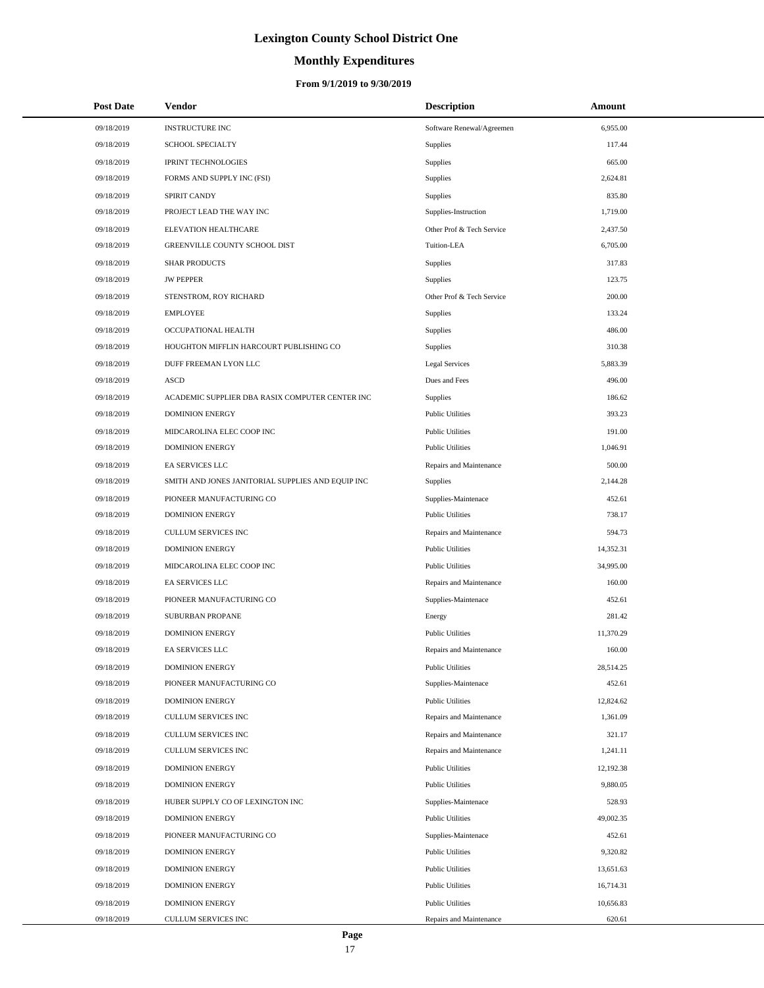# **Monthly Expenditures**

## **From 9/1/2019 to 9/30/2019**

| <b>Post Date</b> | Vendor                                            | <b>Description</b>        | Amount    |  |
|------------------|---------------------------------------------------|---------------------------|-----------|--|
| 09/18/2019       | <b>INSTRUCTURE INC</b>                            | Software Renewal/Agreemen | 6,955.00  |  |
| 09/18/2019       | <b>SCHOOL SPECIALTY</b>                           | Supplies                  | 117.44    |  |
| 09/18/2019       | <b>IPRINT TECHNOLOGIES</b>                        | Supplies                  | 665.00    |  |
| 09/18/2019       | FORMS AND SUPPLY INC (FSI)                        | Supplies                  | 2,624.81  |  |
| 09/18/2019       | <b>SPIRIT CANDY</b>                               | <b>Supplies</b>           | 835.80    |  |
| 09/18/2019       | PROJECT LEAD THE WAY INC                          | Supplies-Instruction      | 1,719.00  |  |
| 09/18/2019       | ELEVATION HEALTHCARE                              | Other Prof & Tech Service | 2,437.50  |  |
| 09/18/2019       | GREENVILLE COUNTY SCHOOL DIST                     | Tuition-LEA               | 6,705.00  |  |
| 09/18/2019       | <b>SHAR PRODUCTS</b>                              | Supplies                  | 317.83    |  |
| 09/18/2019       | <b>JW PEPPER</b>                                  | Supplies                  | 123.75    |  |
| 09/18/2019       | STENSTROM, ROY RICHARD                            | Other Prof & Tech Service | 200.00    |  |
| 09/18/2019       | <b>EMPLOYEE</b>                                   | Supplies                  | 133.24    |  |
| 09/18/2019       | OCCUPATIONAL HEALTH                               | Supplies                  | 486.00    |  |
| 09/18/2019       | HOUGHTON MIFFLIN HARCOURT PUBLISHING CO           | Supplies                  | 310.38    |  |
| 09/18/2019       | DUFF FREEMAN LYON LLC                             | Legal Services            | 5,883.39  |  |
| 09/18/2019       | <b>ASCD</b>                                       | Dues and Fees             | 496.00    |  |
| 09/18/2019       | ACADEMIC SUPPLIER DBA RASIX COMPUTER CENTER INC   | Supplies                  | 186.62    |  |
| 09/18/2019       | <b>DOMINION ENERGY</b>                            | <b>Public Utilities</b>   | 393.23    |  |
| 09/18/2019       | MIDCAROLINA ELEC COOP INC                         | <b>Public Utilities</b>   | 191.00    |  |
| 09/18/2019       | <b>DOMINION ENERGY</b>                            | <b>Public Utilities</b>   | 1,046.91  |  |
| 09/18/2019       | EA SERVICES LLC                                   | Repairs and Maintenance   | 500.00    |  |
| 09/18/2019       | SMITH AND JONES JANITORIAL SUPPLIES AND EQUIP INC | Supplies                  | 2,144.28  |  |
| 09/18/2019       | PIONEER MANUFACTURING CO                          | Supplies-Maintenace       | 452.61    |  |
| 09/18/2019       | <b>DOMINION ENERGY</b>                            | <b>Public Utilities</b>   | 738.17    |  |
| 09/18/2019       | CULLUM SERVICES INC                               | Repairs and Maintenance   | 594.73    |  |
| 09/18/2019       | <b>DOMINION ENERGY</b>                            | <b>Public Utilities</b>   | 14,352.31 |  |
| 09/18/2019       | MIDCAROLINA ELEC COOP INC                         | <b>Public Utilities</b>   | 34,995.00 |  |
| 09/18/2019       | EA SERVICES LLC                                   | Repairs and Maintenance   | 160.00    |  |
| 09/18/2019       | PIONEER MANUFACTURING CO                          | Supplies-Maintenace       | 452.61    |  |
| 09/18/2019       | SUBURBAN PROPANE                                  | Energy                    | 281.42    |  |
| 09/18/2019       | <b>DOMINION ENERGY</b>                            | <b>Public Utilities</b>   | 11,370.29 |  |
| 09/18/2019       | EA SERVICES LLC                                   | Repairs and Maintenance   | 160.00    |  |
| 09/18/2019       | <b>DOMINION ENERGY</b>                            | <b>Public Utilities</b>   | 28,514.25 |  |
| 09/18/2019       | PIONEER MANUFACTURING CO                          | Supplies-Maintenace       | 452.61    |  |
| 09/18/2019       | <b>DOMINION ENERGY</b>                            | <b>Public Utilities</b>   | 12,824.62 |  |
| 09/18/2019       | CULLUM SERVICES INC                               | Repairs and Maintenance   | 1,361.09  |  |
| 09/18/2019       | CULLUM SERVICES INC                               | Repairs and Maintenance   | 321.17    |  |
| 09/18/2019       | CULLUM SERVICES INC                               | Repairs and Maintenance   | 1,241.11  |  |
| 09/18/2019       | <b>DOMINION ENERGY</b>                            | <b>Public Utilities</b>   | 12,192.38 |  |
| 09/18/2019       | <b>DOMINION ENERGY</b>                            | <b>Public Utilities</b>   | 9,880.05  |  |
| 09/18/2019       | HUBER SUPPLY CO OF LEXINGTON INC                  | Supplies-Maintenace       | 528.93    |  |
| 09/18/2019       | <b>DOMINION ENERGY</b>                            | <b>Public Utilities</b>   | 49,002.35 |  |
| 09/18/2019       | PIONEER MANUFACTURING CO                          | Supplies-Maintenace       | 452.61    |  |
| 09/18/2019       | <b>DOMINION ENERGY</b>                            | <b>Public Utilities</b>   | 9,320.82  |  |
| 09/18/2019       | <b>DOMINION ENERGY</b>                            | <b>Public Utilities</b>   | 13,651.63 |  |
| 09/18/2019       | <b>DOMINION ENERGY</b>                            | <b>Public Utilities</b>   | 16,714.31 |  |
| 09/18/2019       | <b>DOMINION ENERGY</b>                            | <b>Public Utilities</b>   | 10,656.83 |  |
| 09/18/2019       | CULLUM SERVICES INC                               | Repairs and Maintenance   | 620.61    |  |

 $\overline{a}$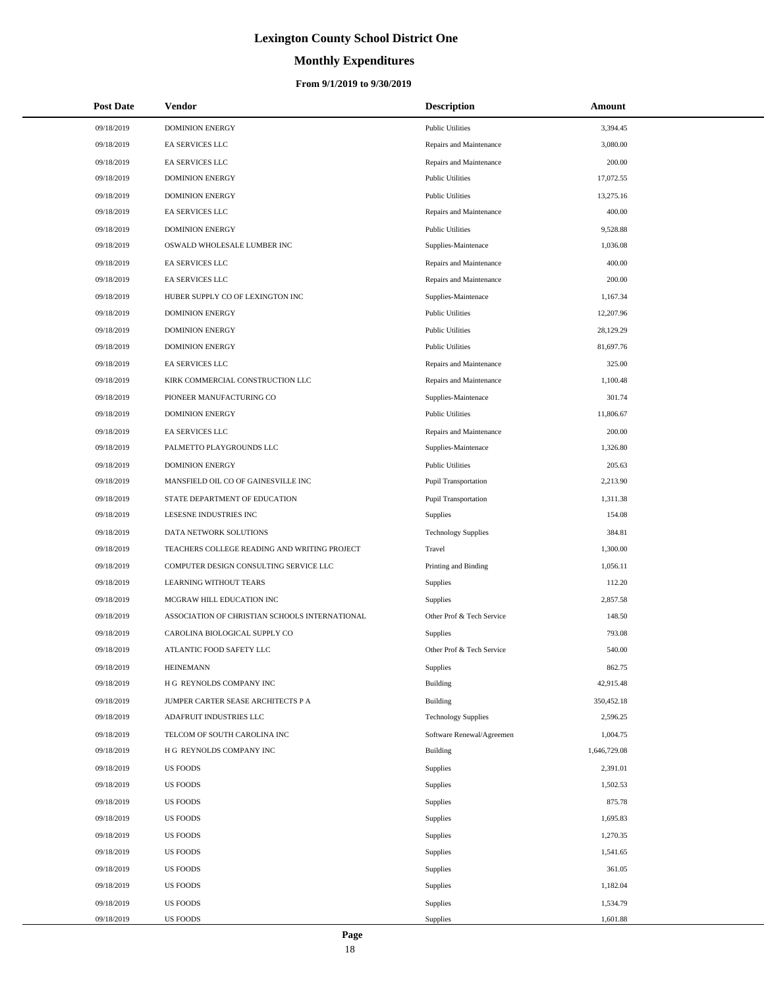# **Monthly Expenditures**

## **From 9/1/2019 to 9/30/2019**

| <b>Post Date</b> | Vendor                                         | <b>Description</b>          | Amount       |
|------------------|------------------------------------------------|-----------------------------|--------------|
| 09/18/2019       | <b>DOMINION ENERGY</b>                         | <b>Public Utilities</b>     | 3,394.45     |
| 09/18/2019       | EA SERVICES LLC                                | Repairs and Maintenance     | 3,080.00     |
| 09/18/2019       | EA SERVICES LLC                                | Repairs and Maintenance     | 200.00       |
| 09/18/2019       | <b>DOMINION ENERGY</b>                         | <b>Public Utilities</b>     | 17,072.55    |
| 09/18/2019       | <b>DOMINION ENERGY</b>                         | <b>Public Utilities</b>     | 13,275.16    |
| 09/18/2019       | EA SERVICES LLC                                | Repairs and Maintenance     | 400.00       |
| 09/18/2019       | <b>DOMINION ENERGY</b>                         | <b>Public Utilities</b>     | 9,528.88     |
| 09/18/2019       | OSWALD WHOLESALE LUMBER INC                    | Supplies-Maintenace         | 1,036.08     |
| 09/18/2019       | <b>EA SERVICES LLC</b>                         | Repairs and Maintenance     | 400.00       |
| 09/18/2019       | EA SERVICES LLC                                | Repairs and Maintenance     | 200.00       |
| 09/18/2019       | HUBER SUPPLY CO OF LEXINGTON INC               | Supplies-Maintenace         | 1,167.34     |
| 09/18/2019       | <b>DOMINION ENERGY</b>                         | <b>Public Utilities</b>     | 12,207.96    |
| 09/18/2019       | <b>DOMINION ENERGY</b>                         | <b>Public Utilities</b>     | 28,129.29    |
| 09/18/2019       | <b>DOMINION ENERGY</b>                         | <b>Public Utilities</b>     | 81,697.76    |
| 09/18/2019       | EA SERVICES LLC                                | Repairs and Maintenance     | 325.00       |
| 09/18/2019       | KIRK COMMERCIAL CONSTRUCTION LLC               | Repairs and Maintenance     | 1,100.48     |
| 09/18/2019       | PIONEER MANUFACTURING CO                       | Supplies-Maintenace         | 301.74       |
| 09/18/2019       | <b>DOMINION ENERGY</b>                         | <b>Public Utilities</b>     | 11,806.67    |
| 09/18/2019       | EA SERVICES LLC                                | Repairs and Maintenance     | 200.00       |
| 09/18/2019       | PALMETTO PLAYGROUNDS LLC                       | Supplies-Maintenace         | 1,326.80     |
| 09/18/2019       | <b>DOMINION ENERGY</b>                         | <b>Public Utilities</b>     | 205.63       |
| 09/18/2019       | MANSFIELD OIL CO OF GAINESVILLE INC            | <b>Pupil Transportation</b> | 2,213.90     |
| 09/18/2019       | STATE DEPARTMENT OF EDUCATION                  | Pupil Transportation        | 1,311.38     |
| 09/18/2019       | LESESNE INDUSTRIES INC                         | Supplies                    | 154.08       |
| 09/18/2019       | DATA NETWORK SOLUTIONS                         | <b>Technology Supplies</b>  | 384.81       |
| 09/18/2019       | TEACHERS COLLEGE READING AND WRITING PROJECT   | Travel                      | 1,300.00     |
| 09/18/2019       | COMPUTER DESIGN CONSULTING SERVICE LLC         | Printing and Binding        | 1,056.11     |
| 09/18/2019       | LEARNING WITHOUT TEARS                         | Supplies                    | 112.20       |
| 09/18/2019       | MCGRAW HILL EDUCATION INC                      | Supplies                    | 2,857.58     |
| 09/18/2019       | ASSOCIATION OF CHRISTIAN SCHOOLS INTERNATIONAL | Other Prof & Tech Service   | 148.50       |
| 09/18/2019       | CAROLINA BIOLOGICAL SUPPLY CO                  | Supplies                    | 793.08       |
| 09/18/2019       | ATLANTIC FOOD SAFETY LLC                       | Other Prof & Tech Service   | 540.00       |
| 09/18/2019       | <b>HEINEMANN</b>                               | Supplies                    | 862.75       |
| 09/18/2019       | H G REYNOLDS COMPANY INC                       | Building                    | 42,915.48    |
| 09/18/2019       | JUMPER CARTER SEASE ARCHITECTS P A             | <b>Building</b>             | 350,452.18   |
| 09/18/2019       | ADAFRUIT INDUSTRIES LLC                        | <b>Technology Supplies</b>  | 2,596.25     |
| 09/18/2019       | TELCOM OF SOUTH CAROLINA INC                   | Software Renewal/Agreemen   | 1,004.75     |
| 09/18/2019       | H G REYNOLDS COMPANY INC                       | <b>Building</b>             | 1,646,729.08 |
| 09/18/2019       | <b>US FOODS</b>                                | Supplies                    | 2,391.01     |
| 09/18/2019       | <b>US FOODS</b>                                | Supplies                    | 1,502.53     |
| 09/18/2019       | <b>US FOODS</b>                                | Supplies                    | 875.78       |
| 09/18/2019       | <b>US FOODS</b>                                | Supplies                    | 1,695.83     |
| 09/18/2019       | US FOODS                                       | Supplies                    | 1,270.35     |
| 09/18/2019       | <b>US FOODS</b>                                | Supplies                    | 1,541.65     |
| 09/18/2019       | US FOODS                                       | Supplies                    | 361.05       |
| 09/18/2019       | <b>US FOODS</b>                                | Supplies                    | 1,182.04     |
| 09/18/2019       | <b>US FOODS</b>                                | Supplies                    | 1,534.79     |
| 09/18/2019       | <b>US FOODS</b>                                | Supplies                    | 1,601.88     |

L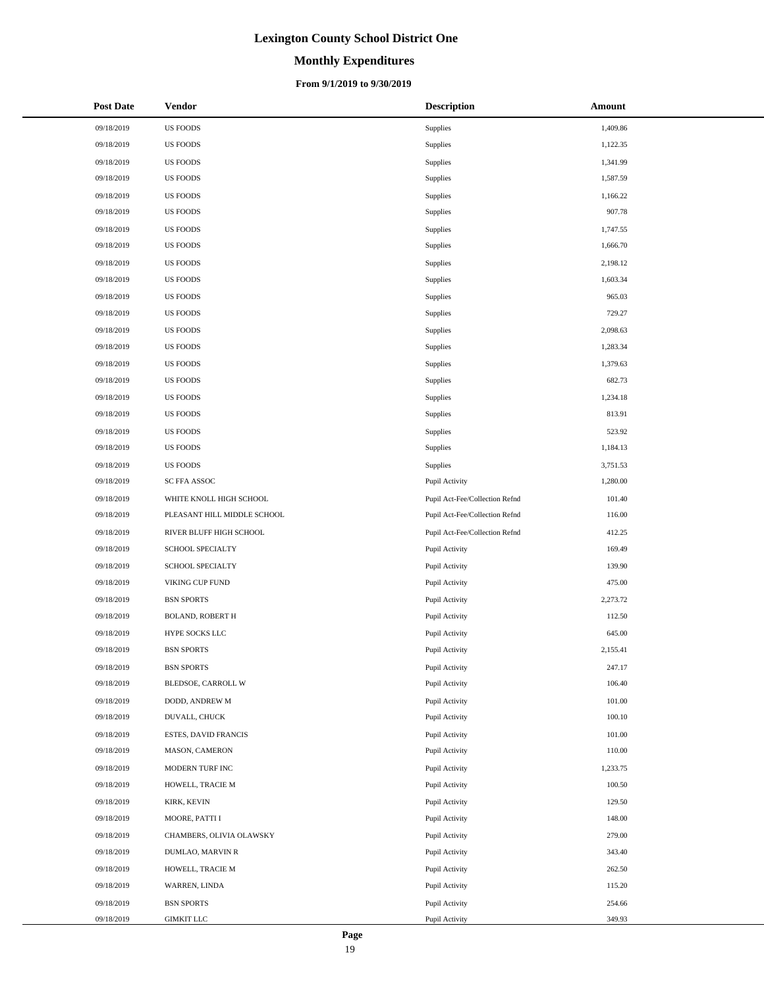# **Monthly Expenditures**

### **From 9/1/2019 to 9/30/2019**

| <b>Post Date</b> | Vendor                      | <b>Description</b>             | Amount   |
|------------------|-----------------------------|--------------------------------|----------|
| 09/18/2019       | <b>US FOODS</b>             | Supplies                       | 1,409.86 |
| 09/18/2019       | US FOODS                    | Supplies                       | 1,122.35 |
| 09/18/2019       | US FOODS                    | Supplies                       | 1,341.99 |
| 09/18/2019       | <b>US FOODS</b>             | Supplies                       | 1,587.59 |
| 09/18/2019       | US FOODS                    | Supplies                       | 1,166.22 |
| 09/18/2019       | US FOODS                    | Supplies                       | 907.78   |
| 09/18/2019       | <b>US FOODS</b>             | Supplies                       | 1,747.55 |
| 09/18/2019       | <b>US FOODS</b>             | Supplies                       | 1,666.70 |
| 09/18/2019       | US FOODS                    | Supplies                       | 2,198.12 |
| 09/18/2019       | US FOODS                    | Supplies                       | 1,603.34 |
| 09/18/2019       | US FOODS                    | Supplies                       | 965.03   |
| 09/18/2019       | <b>US FOODS</b>             | Supplies                       | 729.27   |
| 09/18/2019       | US FOODS                    | Supplies                       | 2,098.63 |
| 09/18/2019       | <b>US FOODS</b>             | Supplies                       | 1,283.34 |
| 09/18/2019       | <b>US FOODS</b>             | Supplies                       | 1,379.63 |
| 09/18/2019       | <b>US FOODS</b>             | Supplies                       | 682.73   |
| 09/18/2019       | US FOODS                    | Supplies                       | 1,234.18 |
| 09/18/2019       | <b>US FOODS</b>             | Supplies                       | 813.91   |
| 09/18/2019       | US FOODS                    | Supplies                       | 523.92   |
| 09/18/2019       | <b>US FOODS</b>             | Supplies                       | 1,184.13 |
| 09/18/2019       | <b>US FOODS</b>             | Supplies                       | 3,751.53 |
| 09/18/2019       | SC FFA ASSOC                | Pupil Activity                 | 1,280.00 |
| 09/18/2019       | WHITE KNOLL HIGH SCHOOL     | Pupil Act-Fee/Collection Refnd | 101.40   |
| 09/18/2019       | PLEASANT HILL MIDDLE SCHOOL | Pupil Act-Fee/Collection Refnd | 116.00   |
| 09/18/2019       | RIVER BLUFF HIGH SCHOOL     | Pupil Act-Fee/Collection Refnd | 412.25   |
| 09/18/2019       | SCHOOL SPECIALTY            | Pupil Activity                 | 169.49   |
| 09/18/2019       | SCHOOL SPECIALTY            | Pupil Activity                 | 139.90   |
| 09/18/2019       | VIKING CUP FUND             | Pupil Activity                 | 475.00   |
| 09/18/2019       | <b>BSN SPORTS</b>           | Pupil Activity                 | 2,273.72 |
| 09/18/2019       | <b>BOLAND, ROBERT H</b>     | Pupil Activity                 | 112.50   |
| 09/18/2019       | HYPE SOCKS LLC              | Pupil Activity                 | 645.00   |
| 09/18/2019       | <b>BSN SPORTS</b>           | Pupil Activity                 | 2,155.41 |
| 09/18/2019       | <b>BSN SPORTS</b>           | Pupil Activity                 | 247.17   |
| 09/18/2019       | BLEDSOE, CARROLL W          | Pupil Activity                 | 106.40   |
| 09/18/2019       | DODD, ANDREW M              | Pupil Activity                 | 101.00   |
| 09/18/2019       | DUVALL, CHUCK               | Pupil Activity                 | 100.10   |
| 09/18/2019       | <b>ESTES, DAVID FRANCIS</b> | Pupil Activity                 | 101.00   |
| 09/18/2019       | MASON, CAMERON              | Pupil Activity                 | 110.00   |
| 09/18/2019       | MODERN TURF INC             | Pupil Activity                 | 1,233.75 |
| 09/18/2019       | HOWELL, TRACIE M            | Pupil Activity                 | 100.50   |
| 09/18/2019       | KIRK, KEVIN                 | Pupil Activity                 | 129.50   |
| 09/18/2019       | MOORE, PATTI I              | Pupil Activity                 | 148.00   |
| 09/18/2019       | CHAMBERS, OLIVIA OLAWSKY    | Pupil Activity                 | 279.00   |
| 09/18/2019       | DUMLAO, MARVIN R            | Pupil Activity                 | 343.40   |
| 09/18/2019       | HOWELL, TRACIE M            | Pupil Activity                 | 262.50   |
| 09/18/2019       | WARREN, LINDA               | Pupil Activity                 | 115.20   |
| 09/18/2019       | <b>BSN SPORTS</b>           | Pupil Activity                 | 254.66   |
| 09/18/2019       | <b>GIMKIT LLC</b>           | Pupil Activity                 | 349.93   |

 $\overline{a}$  $\overline{a}$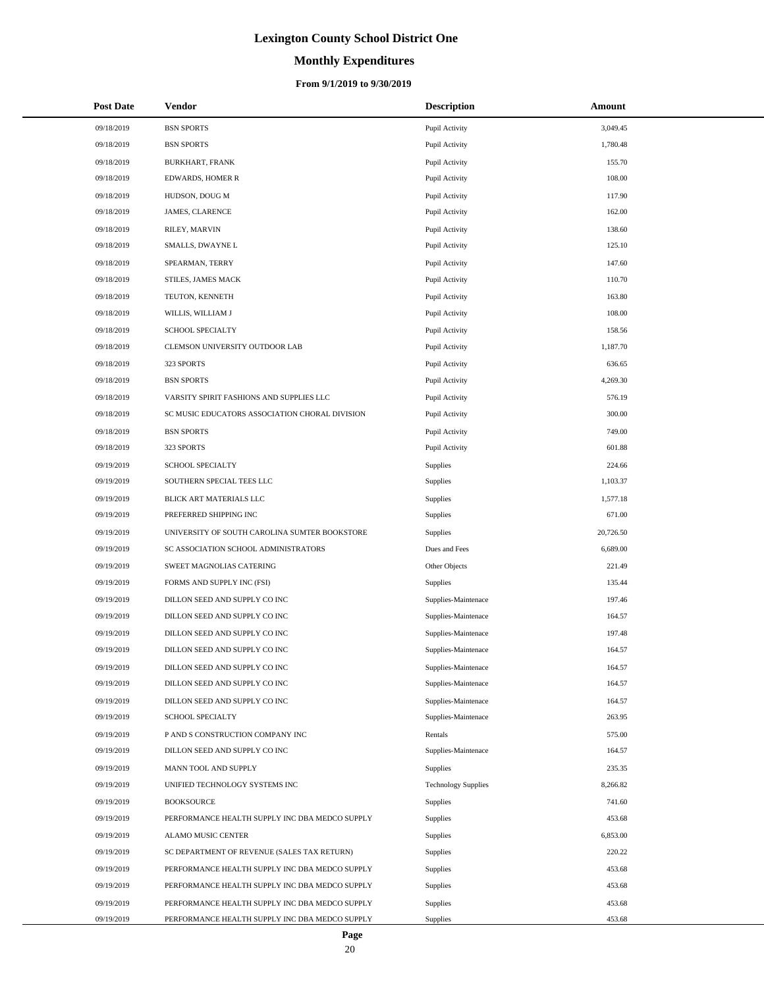# **Monthly Expenditures**

### **From 9/1/2019 to 9/30/2019**

| <b>Post Date</b> | Vendor                                         | <b>Description</b>         | Amount    |
|------------------|------------------------------------------------|----------------------------|-----------|
| 09/18/2019       | <b>BSN SPORTS</b>                              | Pupil Activity             | 3,049.45  |
| 09/18/2019       | <b>BSN SPORTS</b>                              | Pupil Activity             | 1,780.48  |
| 09/18/2019       | <b>BURKHART, FRANK</b>                         | Pupil Activity             | 155.70    |
| 09/18/2019       | <b>EDWARDS, HOMER R</b>                        | Pupil Activity             | 108.00    |
| 09/18/2019       | HUDSON, DOUG M                                 | Pupil Activity             | 117.90    |
| 09/18/2019       | JAMES, CLARENCE                                | Pupil Activity             | 162.00    |
| 09/18/2019       | RILEY, MARVIN                                  | Pupil Activity             | 138.60    |
| 09/18/2019       | SMALLS, DWAYNE L                               | Pupil Activity             | 125.10    |
| 09/18/2019       | SPEARMAN, TERRY                                | Pupil Activity             | 147.60    |
| 09/18/2019       | STILES, JAMES MACK                             | Pupil Activity             | 110.70    |
| 09/18/2019       | TEUTON, KENNETH                                | Pupil Activity             | 163.80    |
| 09/18/2019       | WILLIS, WILLIAM J                              | Pupil Activity             | 108.00    |
| 09/18/2019       | <b>SCHOOL SPECIALTY</b>                        | Pupil Activity             | 158.56    |
| 09/18/2019       | CLEMSON UNIVERSITY OUTDOOR LAB                 | Pupil Activity             | 1,187.70  |
| 09/18/2019       | 323 SPORTS                                     | Pupil Activity             | 636.65    |
| 09/18/2019       | <b>BSN SPORTS</b>                              | Pupil Activity             | 4,269.30  |
| 09/18/2019       | VARSITY SPIRIT FASHIONS AND SUPPLIES LLC       | Pupil Activity             | 576.19    |
| 09/18/2019       | SC MUSIC EDUCATORS ASSOCIATION CHORAL DIVISION | Pupil Activity             | 300.00    |
| 09/18/2019       | <b>BSN SPORTS</b>                              | Pupil Activity             | 749.00    |
| 09/18/2019       | 323 SPORTS                                     | Pupil Activity             | 601.88    |
| 09/19/2019       | <b>SCHOOL SPECIALTY</b>                        | Supplies                   | 224.66    |
| 09/19/2019       | SOUTHERN SPECIAL TEES LLC                      | <b>Supplies</b>            | 1,103.37  |
| 09/19/2019       | BLICK ART MATERIALS LLC                        | Supplies                   | 1,577.18  |
| 09/19/2019       | PREFERRED SHIPPING INC                         | Supplies                   | 671.00    |
| 09/19/2019       | UNIVERSITY OF SOUTH CAROLINA SUMTER BOOKSTORE  | Supplies                   | 20,726.50 |
| 09/19/2019       | SC ASSOCIATION SCHOOL ADMINISTRATORS           | Dues and Fees              | 6,689.00  |
| 09/19/2019       | SWEET MAGNOLIAS CATERING                       | Other Objects              | 221.49    |
| 09/19/2019       | FORMS AND SUPPLY INC (FSI)                     | Supplies                   | 135.44    |
| 09/19/2019       | DILLON SEED AND SUPPLY CO INC                  | Supplies-Maintenace        | 197.46    |
| 09/19/2019       | DILLON SEED AND SUPPLY CO INC                  | Supplies-Maintenace        | 164.57    |
| 09/19/2019       | DILLON SEED AND SUPPLY CO INC                  | Supplies-Maintenace        | 197.48    |
| 09/19/2019       | DILLON SEED AND SUPPLY CO INC                  | Supplies-Maintenace        | 164.57    |
| 09/19/2019       | DILLON SEED AND SUPPLY CO INC                  | Supplies-Maintenace        | 164.57    |
| 09/19/2019       | DILLON SEED AND SUPPLY CO INC                  | Supplies-Maintenace        | 164.57    |
| 09/19/2019       | DILLON SEED AND SUPPLY CO INC                  | Supplies-Maintenace        | 164.57    |
| 09/19/2019       | <b>SCHOOL SPECIALTY</b>                        | Supplies-Maintenace        | 263.95    |
| 09/19/2019       | P AND S CONSTRUCTION COMPANY INC               | Rentals                    | 575.00    |
| 09/19/2019       | DILLON SEED AND SUPPLY CO INC                  | Supplies-Maintenace        | 164.57    |
| 09/19/2019       | MANN TOOL AND SUPPLY                           | Supplies                   | 235.35    |
| 09/19/2019       | UNIFIED TECHNOLOGY SYSTEMS INC                 | <b>Technology Supplies</b> | 8,266.82  |
| 09/19/2019       | <b>BOOKSOURCE</b>                              | Supplies                   | 741.60    |
| 09/19/2019       | PERFORMANCE HEALTH SUPPLY INC DBA MEDCO SUPPLY | Supplies                   | 453.68    |
| 09/19/2019       | ALAMO MUSIC CENTER                             | Supplies                   | 6,853.00  |
| 09/19/2019       | SC DEPARTMENT OF REVENUE (SALES TAX RETURN)    | Supplies                   | 220.22    |
| 09/19/2019       | PERFORMANCE HEALTH SUPPLY INC DBA MEDCO SUPPLY | Supplies                   | 453.68    |
| 09/19/2019       | PERFORMANCE HEALTH SUPPLY INC DBA MEDCO SUPPLY | Supplies                   | 453.68    |
| 09/19/2019       | PERFORMANCE HEALTH SUPPLY INC DBA MEDCO SUPPLY | Supplies                   | 453.68    |
| 09/19/2019       | PERFORMANCE HEALTH SUPPLY INC DBA MEDCO SUPPLY | Supplies                   | 453.68    |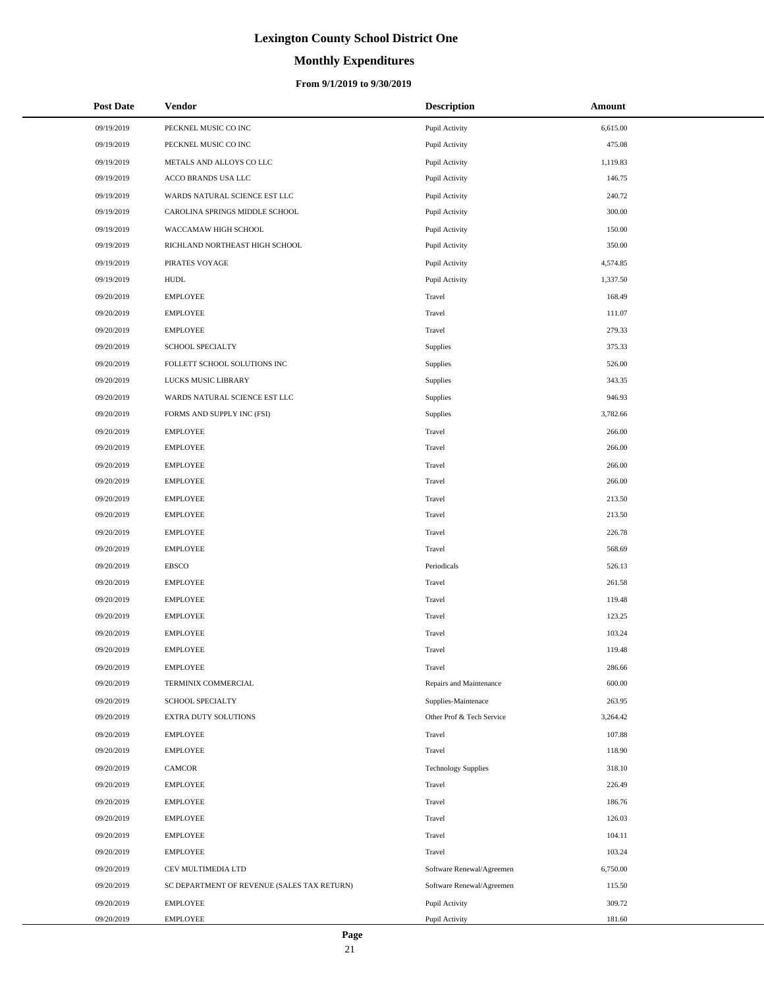# **Monthly Expenditures**

| <b>Post Date</b> | Vendor                                      | <b>Description</b>         | Amount   |
|------------------|---------------------------------------------|----------------------------|----------|
| 09/19/2019       | PECKNEL MUSIC CO INC                        | Pupil Activity             | 6,615.00 |
| 09/19/2019       | PECKNEL MUSIC CO INC                        | Pupil Activity             | 475.08   |
| 09/19/2019       | METALS AND ALLOYS CO LLC                    | Pupil Activity             | 1,119.83 |
| 09/19/2019       | ACCO BRANDS USA LLC                         | Pupil Activity             | 146.75   |
| 09/19/2019       | WARDS NATURAL SCIENCE EST LLC               | Pupil Activity             | 240.72   |
| 09/19/2019       | CAROLINA SPRINGS MIDDLE SCHOOL              | Pupil Activity             | 300.00   |
| 09/19/2019       | WACCAMAW HIGH SCHOOL                        | Pupil Activity             | 150.00   |
| 09/19/2019       | RICHLAND NORTHEAST HIGH SCHOOL              | Pupil Activity             | 350.00   |
| 09/19/2019       | PIRATES VOYAGE                              | Pupil Activity             | 4,574.85 |
| 09/19/2019       | <b>HUDL</b>                                 | Pupil Activity             | 1,337.50 |
| 09/20/2019       | <b>EMPLOYEE</b>                             | Travel                     | 168.49   |
| 09/20/2019       | <b>EMPLOYEE</b>                             | Travel                     | 111.07   |
| 09/20/2019       | <b>EMPLOYEE</b>                             | Travel                     | 279.33   |
| 09/20/2019       | SCHOOL SPECIALTY                            | Supplies                   | 375.33   |
| 09/20/2019       | FOLLETT SCHOOL SOLUTIONS INC                | Supplies                   | 526.00   |
| 09/20/2019       | LUCKS MUSIC LIBRARY                         | Supplies                   | 343.35   |
| 09/20/2019       | WARDS NATURAL SCIENCE EST LLC               | Supplies                   | 946.93   |
| 09/20/2019       | FORMS AND SUPPLY INC (FSI)                  | Supplies                   | 3,782.66 |
| 09/20/2019       | <b>EMPLOYEE</b>                             | Travel                     | 266.00   |
| 09/20/2019       | <b>EMPLOYEE</b>                             | Travel                     | 266.00   |
| 09/20/2019       | <b>EMPLOYEE</b>                             | Travel                     | 266.00   |
| 09/20/2019       | <b>EMPLOYEE</b>                             | Travel                     | 266.00   |
| 09/20/2019       | <b>EMPLOYEE</b>                             | Travel                     | 213.50   |
| 09/20/2019       | <b>EMPLOYEE</b>                             | Travel                     | 213.50   |
| 09/20/2019       | <b>EMPLOYEE</b>                             | Travel                     | 226.78   |
| 09/20/2019       | <b>EMPLOYEE</b>                             | Travel                     | 568.69   |
| 09/20/2019       | <b>EBSCO</b>                                | Periodicals                | 526.13   |
| 09/20/2019       | <b>EMPLOYEE</b>                             | Travel                     | 261.58   |
| 09/20/2019       | <b>EMPLOYEE</b>                             | Travel                     | 119.48   |
| 09/20/2019       | <b>EMPLOYEE</b>                             | Travel                     | 123.25   |
| 09/20/2019       | <b>EMPLOYEE</b>                             | Travel                     | 103.24   |
| 09/20/2019       | <b>EMPLOYEE</b>                             | Travel                     | 119.48   |
| 09/20/2019       | <b>EMPLOYEE</b>                             | Travel                     | 286.66   |
| 09/20/2019       | TERMINIX COMMERCIAL                         | Repairs and Maintenance    | 600.00   |
| 09/20/2019       | SCHOOL SPECIALTY                            | Supplies-Maintenace        | 263.95   |
| 09/20/2019       | EXTRA DUTY SOLUTIONS                        | Other Prof & Tech Service  | 3,264.42 |
| 09/20/2019       | <b>EMPLOYEE</b>                             | Travel                     | 107.88   |
| 09/20/2019       | <b>EMPLOYEE</b>                             | Travel                     | 118.90   |
| 09/20/2019       | <b>CAMCOR</b>                               | <b>Technology Supplies</b> | 318.10   |
| 09/20/2019       | <b>EMPLOYEE</b>                             | Travel                     | 226.49   |
| 09/20/2019       | <b>EMPLOYEE</b>                             | Travel                     | 186.76   |
| 09/20/2019       | <b>EMPLOYEE</b>                             | Travel                     | 126.03   |
| 09/20/2019       | <b>EMPLOYEE</b>                             | Travel                     | 104.11   |
| 09/20/2019       | <b>EMPLOYEE</b>                             | Travel                     | 103.24   |
| 09/20/2019       | CEV MULTIMEDIA LTD                          | Software Renewal/Agreemen  | 6,750.00 |
| 09/20/2019       | SC DEPARTMENT OF REVENUE (SALES TAX RETURN) | Software Renewal/Agreemen  | 115.50   |
| 09/20/2019       | <b>EMPLOYEE</b>                             | Pupil Activity             | 309.72   |
| 09/20/2019       | <b>EMPLOYEE</b>                             | Pupil Activity             | 181.60   |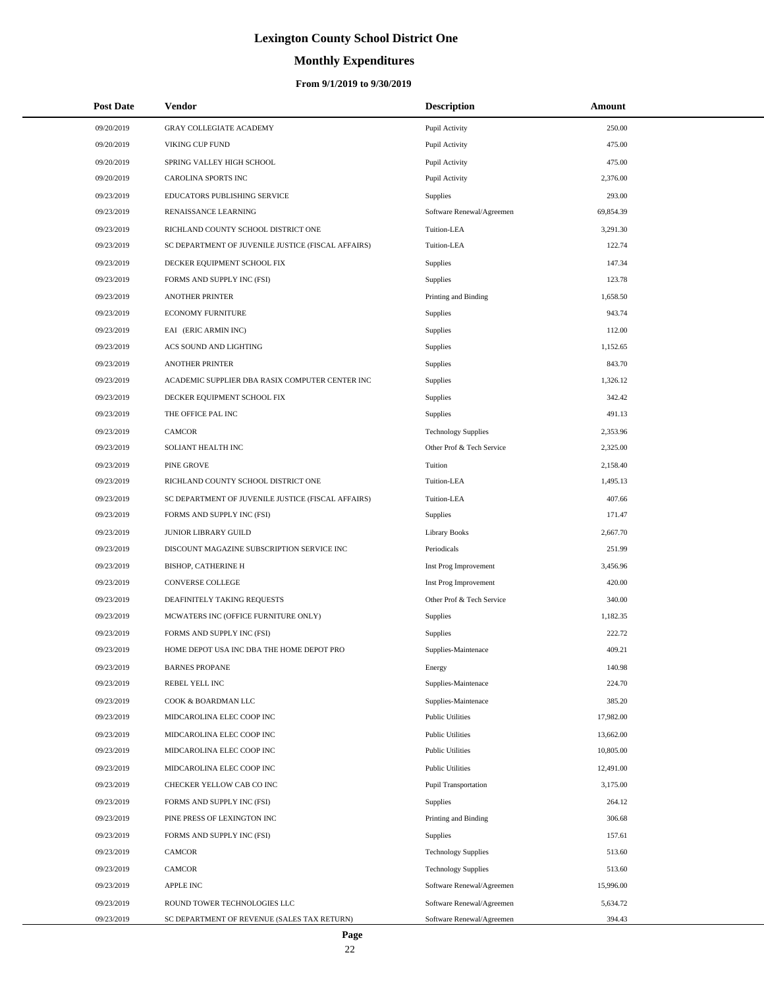# **Monthly Expenditures**

## **From 9/1/2019 to 9/30/2019**

| <b>Post Date</b> | <b>Vendor</b>                                      | <b>Description</b>          | Amount    |
|------------------|----------------------------------------------------|-----------------------------|-----------|
| 09/20/2019       | <b>GRAY COLLEGIATE ACADEMY</b>                     | Pupil Activity              | 250.00    |
| 09/20/2019       | VIKING CUP FUND                                    | Pupil Activity              | 475.00    |
| 09/20/2019       | SPRING VALLEY HIGH SCHOOL                          | Pupil Activity              | 475.00    |
| 09/20/2019       | <b>CAROLINA SPORTS INC</b>                         | Pupil Activity              | 2,376.00  |
| 09/23/2019       | EDUCATORS PUBLISHING SERVICE                       | Supplies                    | 293.00    |
| 09/23/2019       | RENAISSANCE LEARNING                               | Software Renewal/Agreemen   | 69,854.39 |
| 09/23/2019       | RICHLAND COUNTY SCHOOL DISTRICT ONE                | Tuition-LEA                 | 3,291.30  |
| 09/23/2019       | SC DEPARTMENT OF JUVENILE JUSTICE (FISCAL AFFAIRS) | Tuition-LEA                 | 122.74    |
| 09/23/2019       | DECKER EQUIPMENT SCHOOL FIX                        | Supplies                    | 147.34    |
| 09/23/2019       | FORMS AND SUPPLY INC (FSI)                         | Supplies                    | 123.78    |
| 09/23/2019       | <b>ANOTHER PRINTER</b>                             | Printing and Binding        | 1,658.50  |
| 09/23/2019       | <b>ECONOMY FURNITURE</b>                           | Supplies                    | 943.74    |
| 09/23/2019       | EAI (ERIC ARMIN INC)                               | Supplies                    | 112.00    |
| 09/23/2019       | ACS SOUND AND LIGHTING                             | Supplies                    | 1,152.65  |
| 09/23/2019       | <b>ANOTHER PRINTER</b>                             | Supplies                    | 843.70    |
| 09/23/2019       | ACADEMIC SUPPLIER DBA RASIX COMPUTER CENTER INC    | Supplies                    | 1,326.12  |
| 09/23/2019       | DECKER EQUIPMENT SCHOOL FIX                        | Supplies                    | 342.42    |
| 09/23/2019       | THE OFFICE PAL INC                                 | Supplies                    | 491.13    |
| 09/23/2019       | <b>CAMCOR</b>                                      | <b>Technology Supplies</b>  | 2,353.96  |
| 09/23/2019       | SOLIANT HEALTH INC                                 | Other Prof & Tech Service   | 2,325.00  |
| 09/23/2019       | PINE GROVE                                         | Tuition                     | 2,158.40  |
| 09/23/2019       | RICHLAND COUNTY SCHOOL DISTRICT ONE                | Tuition-LEA                 | 1,495.13  |
| 09/23/2019       | SC DEPARTMENT OF JUVENILE JUSTICE (FISCAL AFFAIRS) | Tuition-LEA                 | 407.66    |
| 09/23/2019       | FORMS AND SUPPLY INC (FSI)                         | Supplies                    | 171.47    |
| 09/23/2019       | JUNIOR LIBRARY GUILD                               | <b>Library Books</b>        | 2,667.70  |
| 09/23/2019       | DISCOUNT MAGAZINE SUBSCRIPTION SERVICE INC         | Periodicals                 | 251.99    |
| 09/23/2019       | <b>BISHOP, CATHERINE H</b>                         | Inst Prog Improvement       | 3,456.96  |
| 09/23/2019       | CONVERSE COLLEGE                                   | Inst Prog Improvement       | 420.00    |
| 09/23/2019       | DEAFINITELY TAKING REQUESTS                        | Other Prof & Tech Service   | 340.00    |
| 09/23/2019       | MCWATERS INC (OFFICE FURNITURE ONLY)               | Supplies                    | 1,182.35  |
| 09/23/2019       | FORMS AND SUPPLY INC (FSI)                         | Supplies                    | 222.72    |
| 09/23/2019       | HOME DEPOT USA INC DBA THE HOME DEPOT PRO          | Supplies-Maintenace         | 409.21    |
| 09/23/2019       | <b>BARNES PROPANE</b>                              | Energy                      | 140.98    |
| 09/23/2019       | REBEL YELL INC                                     | Supplies-Maintenace         | 224.70    |
| 09/23/2019       | COOK & BOARDMAN LLC                                | Supplies-Maintenace         | 385.20    |
| 09/23/2019       | MIDCAROLINA ELEC COOP INC                          | <b>Public Utilities</b>     | 17,982.00 |
| 09/23/2019       | MIDCAROLINA ELEC COOP INC                          | <b>Public Utilities</b>     | 13,662.00 |
| 09/23/2019       | MIDCAROLINA ELEC COOP INC                          | <b>Public Utilities</b>     | 10,805.00 |
| 09/23/2019       | MIDCAROLINA ELEC COOP INC                          | <b>Public Utilities</b>     | 12,491.00 |
| 09/23/2019       | CHECKER YELLOW CAB CO INC                          | <b>Pupil Transportation</b> | 3,175.00  |
| 09/23/2019       | FORMS AND SUPPLY INC (FSI)                         | Supplies                    | 264.12    |
| 09/23/2019       | PINE PRESS OF LEXINGTON INC                        | Printing and Binding        | 306.68    |
| 09/23/2019       | FORMS AND SUPPLY INC (FSI)                         | Supplies                    | 157.61    |
| 09/23/2019       | CAMCOR                                             | <b>Technology Supplies</b>  | 513.60    |
| 09/23/2019       | CAMCOR                                             | <b>Technology Supplies</b>  | 513.60    |
| 09/23/2019       | <b>APPLE INC</b>                                   | Software Renewal/Agreemen   | 15,996.00 |
| 09/23/2019       | ROUND TOWER TECHNOLOGIES LLC                       | Software Renewal/Agreemen   | 5,634.72  |
| 09/23/2019       | SC DEPARTMENT OF REVENUE (SALES TAX RETURN)        | Software Renewal/Agreemen   | 394.43    |

 $\overline{a}$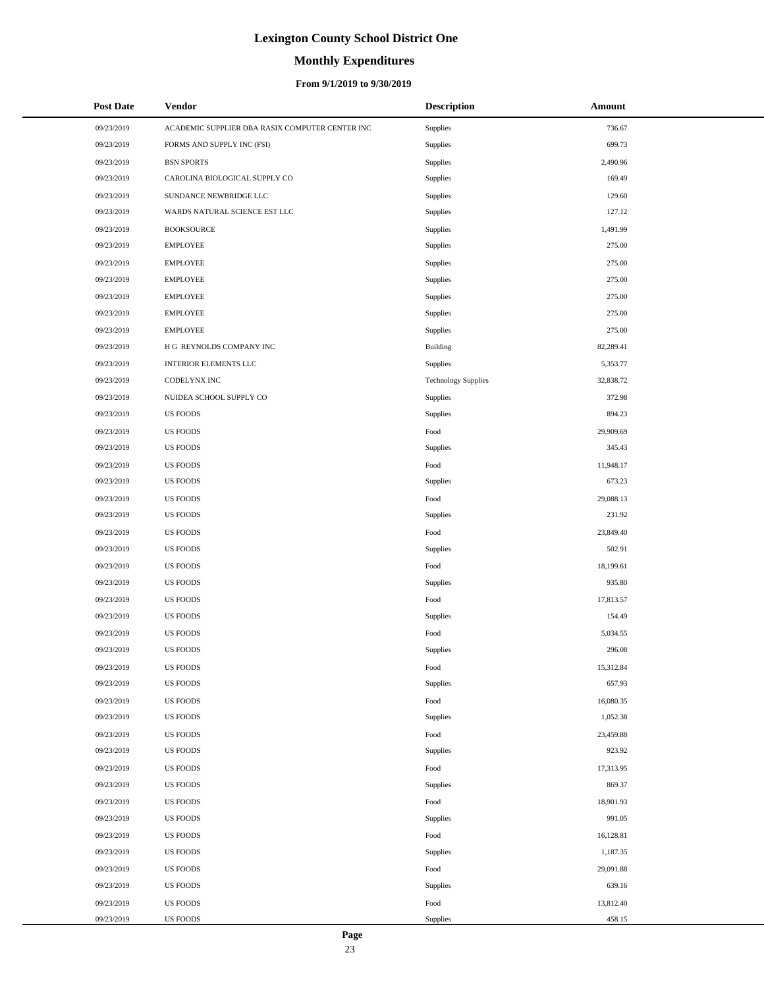# **Monthly Expenditures**

## **From 9/1/2019 to 9/30/2019**

| <b>Post Date</b> | <b>Vendor</b>                                   | <b>Description</b>         | Amount    |  |
|------------------|-------------------------------------------------|----------------------------|-----------|--|
| 09/23/2019       | ACADEMIC SUPPLIER DBA RASIX COMPUTER CENTER INC | Supplies                   | 736.67    |  |
| 09/23/2019       | FORMS AND SUPPLY INC (FSI)                      | Supplies                   | 699.73    |  |
| 09/23/2019       | <b>BSN SPORTS</b>                               | Supplies                   | 2,490.96  |  |
| 09/23/2019       | CAROLINA BIOLOGICAL SUPPLY CO                   | Supplies                   | 169.49    |  |
| 09/23/2019       | SUNDANCE NEWBRIDGE LLC                          | Supplies                   | 129.60    |  |
| 09/23/2019       | WARDS NATURAL SCIENCE EST LLC                   | Supplies                   | 127.12    |  |
| 09/23/2019       | <b>BOOKSOURCE</b>                               | Supplies                   | 1,491.99  |  |
| 09/23/2019       | <b>EMPLOYEE</b>                                 | Supplies                   | 275.00    |  |
| 09/23/2019       | <b>EMPLOYEE</b>                                 | Supplies                   | 275.00    |  |
| 09/23/2019       | <b>EMPLOYEE</b>                                 | Supplies                   | 275.00    |  |
| 09/23/2019       | <b>EMPLOYEE</b>                                 | Supplies                   | 275.00    |  |
| 09/23/2019       | <b>EMPLOYEE</b>                                 | Supplies                   | 275.00    |  |
| 09/23/2019       | <b>EMPLOYEE</b>                                 | Supplies                   | 275.00    |  |
| 09/23/2019       | H G REYNOLDS COMPANY INC                        | Building                   | 82,289.41 |  |
| 09/23/2019       | <b>INTERIOR ELEMENTS LLC</b>                    | Supplies                   | 5,353.77  |  |
| 09/23/2019       | CODELYNX INC                                    | <b>Technology Supplies</b> | 32,838.72 |  |
| 09/23/2019       | NUIDEA SCHOOL SUPPLY CO                         | Supplies                   | 372.98    |  |
| 09/23/2019       | US FOODS                                        | Supplies                   | 894.23    |  |
| 09/23/2019       | <b>US FOODS</b>                                 | Food                       | 29,909.69 |  |
| 09/23/2019       | <b>US FOODS</b>                                 | Supplies                   | 345.43    |  |
| 09/23/2019       | <b>US FOODS</b>                                 | Food                       | 11,948.17 |  |
| 09/23/2019       | US FOODS                                        | Supplies                   | 673.23    |  |
| 09/23/2019       | <b>US FOODS</b>                                 | Food                       | 29,088.13 |  |
| 09/23/2019       | <b>US FOODS</b>                                 | Supplies                   | 231.92    |  |
| 09/23/2019       | <b>US FOODS</b>                                 | Food                       | 23,849.40 |  |
| 09/23/2019       | <b>US FOODS</b>                                 | Supplies                   | 502.91    |  |
| 09/23/2019       | <b>US FOODS</b>                                 | Food                       | 18,199.61 |  |
| 09/23/2019       | <b>US FOODS</b>                                 | Supplies                   | 935.80    |  |
| 09/23/2019       | <b>US FOODS</b>                                 | Food                       | 17,813.57 |  |
| 09/23/2019       | <b>US FOODS</b>                                 | Supplies                   | 154.49    |  |
| 09/23/2019       | US FOODS                                        | Food                       | 5,034.55  |  |
| 09/23/2019       | <b>US FOODS</b>                                 | Supplies                   | 296.08    |  |
| 09/23/2019       | <b>US FOODS</b>                                 | Food                       | 15,312.84 |  |
| 09/23/2019       | <b>US FOODS</b>                                 | Supplies                   | 657.93    |  |
| 09/23/2019       | <b>US FOODS</b>                                 | Food                       | 16,080.35 |  |
| 09/23/2019       | <b>US FOODS</b>                                 | Supplies                   | 1,052.38  |  |
| 09/23/2019       | <b>US FOODS</b>                                 | Food                       | 23,459.88 |  |
| 09/23/2019       | <b>US FOODS</b>                                 | Supplies                   | 923.92    |  |
| 09/23/2019       | <b>US FOODS</b>                                 | Food                       | 17,313.95 |  |
| 09/23/2019       | <b>US FOODS</b>                                 | Supplies                   | 869.37    |  |
| 09/23/2019       | <b>US FOODS</b>                                 | Food                       | 18,901.93 |  |
| 09/23/2019       | <b>US FOODS</b>                                 | Supplies                   | 991.05    |  |
| 09/23/2019       | <b>US FOODS</b>                                 | Food                       | 16,128.81 |  |
| 09/23/2019       | <b>US FOODS</b>                                 | Supplies                   | 1,187.35  |  |
| 09/23/2019       | <b>US FOODS</b>                                 | Food                       | 29,091.88 |  |
| 09/23/2019       | <b>US FOODS</b>                                 | Supplies                   | 639.16    |  |
| 09/23/2019       | <b>US FOODS</b>                                 | Food                       | 13,812.40 |  |
| 09/23/2019       | <b>US FOODS</b>                                 | Supplies                   | 458.15    |  |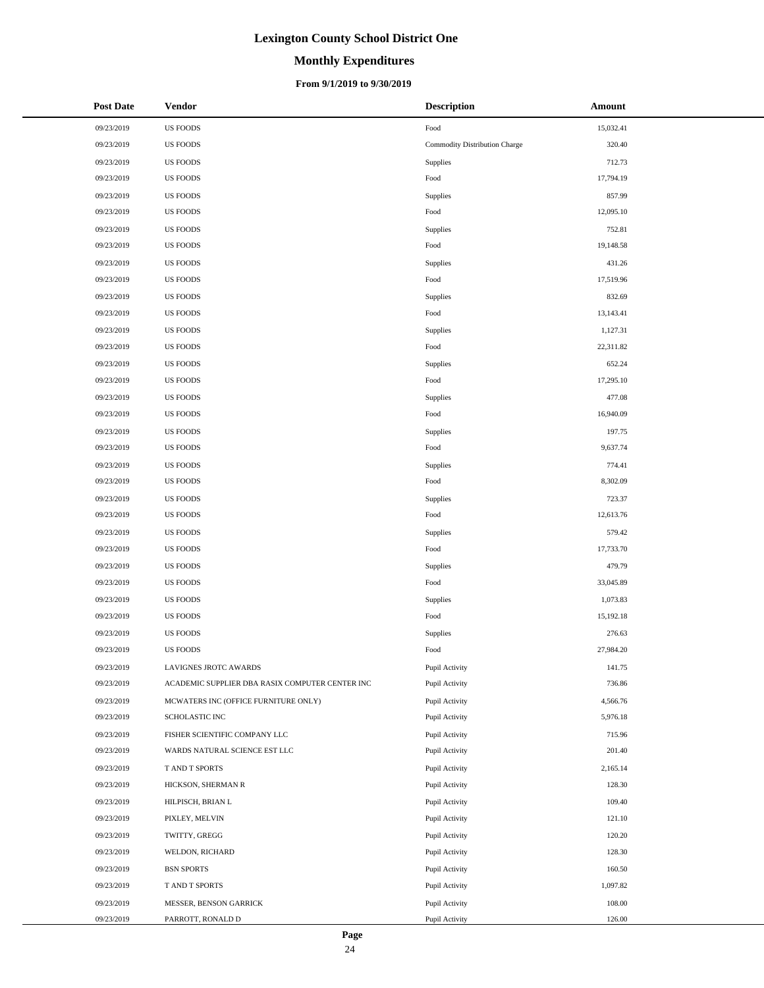# **Monthly Expenditures**

### **From 9/1/2019 to 9/30/2019**

| <b>Post Date</b> | <b>Vendor</b>                                   | <b>Description</b>            | Amount    |
|------------------|-------------------------------------------------|-------------------------------|-----------|
| 09/23/2019       | <b>US FOODS</b>                                 | Food                          | 15,032.41 |
| 09/23/2019       | <b>US FOODS</b>                                 | Commodity Distribution Charge | 320.40    |
| 09/23/2019       | <b>US FOODS</b>                                 | Supplies                      | 712.73    |
| 09/23/2019       | <b>US FOODS</b>                                 | Food                          | 17,794.19 |
| 09/23/2019       | <b>US FOODS</b>                                 | Supplies                      | 857.99    |
| 09/23/2019       | <b>US FOODS</b>                                 | Food                          | 12,095.10 |
| 09/23/2019       | <b>US FOODS</b>                                 | <b>Supplies</b>               | 752.81    |
| 09/23/2019       | <b>US FOODS</b>                                 | Food                          | 19,148.58 |
| 09/23/2019       | <b>US FOODS</b>                                 | <b>Supplies</b>               | 431.26    |
| 09/23/2019       | <b>US FOODS</b>                                 | Food                          | 17,519.96 |
| 09/23/2019       | <b>US FOODS</b>                                 | <b>Supplies</b>               | 832.69    |
| 09/23/2019       | <b>US FOODS</b>                                 | Food                          | 13,143.41 |
| 09/23/2019       | <b>US FOODS</b>                                 | <b>Supplies</b>               | 1,127.31  |
| 09/23/2019       | <b>US FOODS</b>                                 | Food                          | 22,311.82 |
| 09/23/2019       | <b>US FOODS</b>                                 | <b>Supplies</b>               | 652.24    |
| 09/23/2019       | <b>US FOODS</b>                                 | Food                          | 17,295.10 |
| 09/23/2019       | <b>US FOODS</b>                                 | <b>Supplies</b>               | 477.08    |
| 09/23/2019       | <b>US FOODS</b>                                 | Food                          | 16,940.09 |
| 09/23/2019       | <b>US FOODS</b>                                 | <b>Supplies</b>               | 197.75    |
| 09/23/2019       | <b>US FOODS</b>                                 | Food                          | 9,637.74  |
| 09/23/2019       | <b>US FOODS</b>                                 | <b>Supplies</b>               | 774.41    |
| 09/23/2019       | <b>US FOODS</b>                                 | Food                          | 8,302.09  |
| 09/23/2019       | <b>US FOODS</b>                                 | <b>Supplies</b>               | 723.37    |
| 09/23/2019       | <b>US FOODS</b>                                 | Food                          | 12,613.76 |
| 09/23/2019       | <b>US FOODS</b>                                 | <b>Supplies</b>               | 579.42    |
| 09/23/2019       | <b>US FOODS</b>                                 | Food                          | 17,733.70 |
| 09/23/2019       | <b>US FOODS</b>                                 | <b>Supplies</b>               | 479.79    |
| 09/23/2019       | US FOODS                                        | Food                          | 33,045.89 |
| 09/23/2019       | <b>US FOODS</b>                                 | <b>Supplies</b>               | 1,073.83  |
| 09/23/2019       | <b>US FOODS</b>                                 | Food                          | 15,192.18 |
| 09/23/2019       | <b>US FOODS</b>                                 | Supplies                      | 276.63    |
| 09/23/2019       | <b>US FOODS</b>                                 | Food                          | 27,984.20 |
| 09/23/2019       | LAVIGNES JROTC AWARDS                           | Pupil Activity                | 141.75    |
| 09/23/2019       | ACADEMIC SUPPLIER DBA RASIX COMPUTER CENTER INC | Pupil Activity                | 736.86    |
| 09/23/2019       | MCWATERS INC (OFFICE FURNITURE ONLY)            | Pupil Activity                | 4,566.76  |
| 09/23/2019       | SCHOLASTIC INC                                  | Pupil Activity                | 5,976.18  |
| 09/23/2019       | FISHER SCIENTIFIC COMPANY LLC                   | Pupil Activity                | 715.96    |
| 09/23/2019       | WARDS NATURAL SCIENCE EST LLC                   | Pupil Activity                | 201.40    |
| 09/23/2019       | T AND T SPORTS                                  | Pupil Activity                | 2,165.14  |
| 09/23/2019       | HICKSON, SHERMAN R                              | Pupil Activity                | 128.30    |
| 09/23/2019       | HILPISCH, BRIAN L                               | Pupil Activity                | 109.40    |
| 09/23/2019       | PIXLEY, MELVIN                                  | Pupil Activity                | 121.10    |
| 09/23/2019       | TWITTY, GREGG                                   | Pupil Activity                | 120.20    |
| 09/23/2019       | WELDON, RICHARD                                 | Pupil Activity                | 128.30    |
| 09/23/2019       | <b>BSN SPORTS</b>                               | Pupil Activity                | 160.50    |
| 09/23/2019       | T AND T SPORTS                                  | Pupil Activity                | 1,097.82  |
| 09/23/2019       | MESSER, BENSON GARRICK                          | Pupil Activity                | 108.00    |
| 09/23/2019       | PARROTT, RONALD D                               | Pupil Activity                | 126.00    |

 $\overline{a}$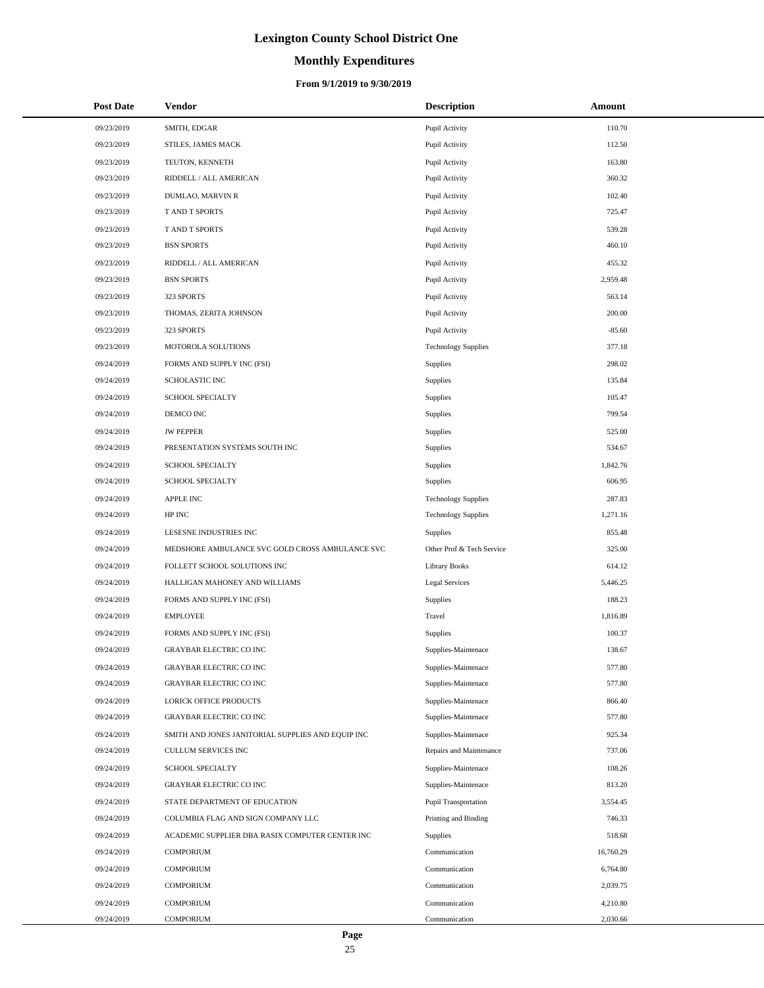# **Monthly Expenditures**

### **From 9/1/2019 to 9/30/2019**

| <b>Post Date</b> | <b>Vendor</b>                                     | <b>Description</b>         | Amount    |
|------------------|---------------------------------------------------|----------------------------|-----------|
| 09/23/2019       | SMITH, EDGAR                                      | Pupil Activity             | 110.70    |
| 09/23/2019       | STILES, JAMES MACK                                | Pupil Activity             | 112.50    |
| 09/23/2019       | TEUTON, KENNETH                                   | Pupil Activity             | 163.80    |
| 09/23/2019       | RIDDELL / ALL AMERICAN                            | Pupil Activity             | 360.32    |
| 09/23/2019       | DUMLAO, MARVIN R                                  | Pupil Activity             | 102.40    |
| 09/23/2019       | T AND T SPORTS                                    | Pupil Activity             | 725.47    |
| 09/23/2019       | T AND T SPORTS                                    | Pupil Activity             | 539.28    |
| 09/23/2019       | <b>BSN SPORTS</b>                                 | Pupil Activity             | 460.10    |
| 09/23/2019       | RIDDELL / ALL AMERICAN                            | Pupil Activity             | 455.32    |
| 09/23/2019       | <b>BSN SPORTS</b>                                 | Pupil Activity             | 2,959.48  |
| 09/23/2019       | 323 SPORTS                                        | Pupil Activity             | 563.14    |
| 09/23/2019       | THOMAS, ZERITA JOHNSON                            | Pupil Activity             | 200.00    |
| 09/23/2019       | 323 SPORTS                                        | Pupil Activity             | $-85.60$  |
| 09/23/2019       | MOTOROLA SOLUTIONS                                | <b>Technology Supplies</b> | 377.18    |
| 09/24/2019       | FORMS AND SUPPLY INC (FSI)                        | Supplies                   | 298.02    |
| 09/24/2019       | <b>SCHOLASTIC INC</b>                             | Supplies                   | 135.84    |
| 09/24/2019       | <b>SCHOOL SPECIALTY</b>                           | Supplies                   | 105.47    |
| 09/24/2019       | DEMCO INC                                         | Supplies                   | 799.54    |
| 09/24/2019       | <b>JW PEPPER</b>                                  | Supplies                   | 525.00    |
| 09/24/2019       | PRESENTATION SYSTEMS SOUTH INC                    | Supplies                   | 534.67    |
| 09/24/2019       | <b>SCHOOL SPECIALTY</b>                           | Supplies                   | 1,842.76  |
| 09/24/2019       | SCHOOL SPECIALTY                                  | Supplies                   | 606.95    |
| 09/24/2019       | <b>APPLE INC</b>                                  | <b>Technology Supplies</b> | 287.83    |
| 09/24/2019       | HP INC                                            | <b>Technology Supplies</b> | 1,271.16  |
| 09/24/2019       | LESESNE INDUSTRIES INC                            | Supplies                   | 855.48    |
| 09/24/2019       | MEDSHORE AMBULANCE SVC GOLD CROSS AMBULANCE SVC   | Other Prof & Tech Service  | 325.00    |
| 09/24/2019       | FOLLETT SCHOOL SOLUTIONS INC                      | <b>Library Books</b>       | 614.12    |
| 09/24/2019       | HALLIGAN MAHONEY AND WILLIAMS                     | Legal Services             | 5,446.25  |
| 09/24/2019       | FORMS AND SUPPLY INC (FSI)                        | Supplies                   | 188.23    |
| 09/24/2019       | <b>EMPLOYEE</b>                                   | Travel                     | 1,816.89  |
| 09/24/2019       | FORMS AND SUPPLY INC (FSI)                        | Supplies                   | 100.37    |
| 09/24/2019       | <b>GRAYBAR ELECTRIC CO INC</b>                    | Supplies-Maintenace        | 138.67    |
| 09/24/2019       | <b>GRAYBAR ELECTRIC CO INC</b>                    | Supplies-Maintenace        | 577.80    |
| 09/24/2019       | <b>GRAYBAR ELECTRIC CO INC</b>                    | Supplies-Maintenace        | 577.80    |
| 09/24/2019       | <b>LORICK OFFICE PRODUCTS</b>                     | Supplies-Maintenace        | 866.40    |
| 09/24/2019       | <b>GRAYBAR ELECTRIC CO INC</b>                    | Supplies-Maintenace        | 577.80    |
| 09/24/2019       | SMITH AND JONES JANITORIAL SUPPLIES AND EQUIP INC | Supplies-Maintenace        | 925.34    |
| 09/24/2019       | CULLUM SERVICES INC                               | Repairs and Maintenance    | 737.06    |
| 09/24/2019       | SCHOOL SPECIALTY                                  | Supplies-Maintenace        | 108.26    |
| 09/24/2019       | GRAYBAR ELECTRIC CO INC                           | Supplies-Maintenace        | 813.20    |
| 09/24/2019       | STATE DEPARTMENT OF EDUCATION                     | Pupil Transportation       | 3,554.45  |
| 09/24/2019       | COLUMBIA FLAG AND SIGN COMPANY LLC                | Printing and Binding       | 746.33    |
| 09/24/2019       | ACADEMIC SUPPLIER DBA RASIX COMPUTER CENTER INC   | Supplies                   | 518.68    |
| 09/24/2019       | <b>COMPORIUM</b>                                  | Communication              | 16,760.29 |
| 09/24/2019       | <b>COMPORIUM</b>                                  | Communication              | 6,764.80  |
| 09/24/2019       | <b>COMPORIUM</b>                                  | Communication              | 2,039.75  |
| 09/24/2019       | <b>COMPORIUM</b>                                  | Communication              | 4,210.80  |
| 09/24/2019       | COMPORIUM                                         | Communication              | 2,030.66  |

÷.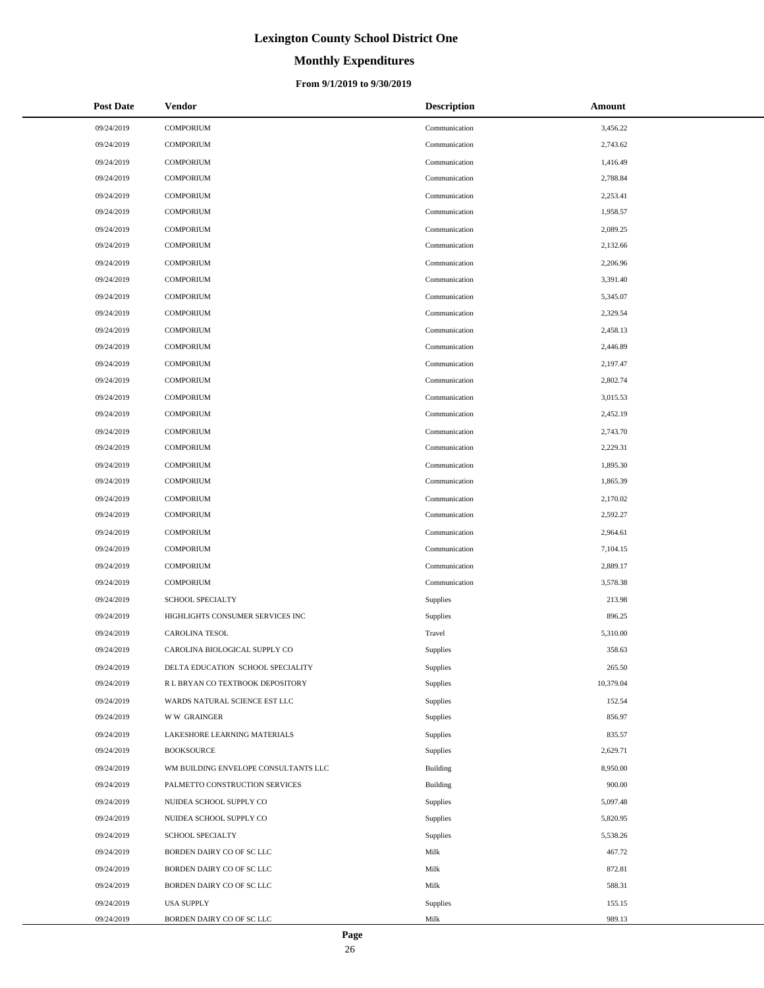# **Monthly Expenditures**

### **From 9/1/2019 to 9/30/2019**

| <b>Post Date</b> | <b>Vendor</b>                        | <b>Description</b> | Amount    |
|------------------|--------------------------------------|--------------------|-----------|
| 09/24/2019       | <b>COMPORIUM</b>                     | Communication      | 3,456.22  |
| 09/24/2019       | <b>COMPORIUM</b>                     | Communication      | 2,743.62  |
| 09/24/2019       | <b>COMPORIUM</b>                     | Communication      | 1,416.49  |
| 09/24/2019       | <b>COMPORIUM</b>                     | Communication      | 2,788.84  |
| 09/24/2019       | <b>COMPORIUM</b>                     | Communication      | 2,253.41  |
| 09/24/2019       | <b>COMPORIUM</b>                     | Communication      | 1,958.57  |
| 09/24/2019       | <b>COMPORIUM</b>                     | Communication      | 2,089.25  |
| 09/24/2019       | <b>COMPORIUM</b>                     | Communication      | 2,132.66  |
| 09/24/2019       | <b>COMPORIUM</b>                     | Communication      | 2,206.96  |
| 09/24/2019       | <b>COMPORIUM</b>                     | Communication      | 3,391.40  |
| 09/24/2019       | <b>COMPORIUM</b>                     | Communication      | 5,345.07  |
| 09/24/2019       | <b>COMPORIUM</b>                     | Communication      | 2,329.54  |
| 09/24/2019       | <b>COMPORIUM</b>                     | Communication      | 2,458.13  |
| 09/24/2019       | <b>COMPORIUM</b>                     | Communication      | 2,446.89  |
| 09/24/2019       | <b>COMPORIUM</b>                     | Communication      | 2,197.47  |
| 09/24/2019       | <b>COMPORIUM</b>                     | Communication      | 2,802.74  |
| 09/24/2019       | <b>COMPORIUM</b>                     | Communication      | 3,015.53  |
| 09/24/2019       | <b>COMPORIUM</b>                     | Communication      | 2,452.19  |
| 09/24/2019       | <b>COMPORIUM</b>                     | Communication      | 2,743.70  |
| 09/24/2019       | <b>COMPORIUM</b>                     | Communication      | 2,229.31  |
| 09/24/2019       | <b>COMPORIUM</b>                     | Communication      | 1,895.30  |
| 09/24/2019       | <b>COMPORIUM</b>                     | Communication      | 1,865.39  |
| 09/24/2019       | <b>COMPORIUM</b>                     | Communication      | 2,170.02  |
| 09/24/2019       | <b>COMPORIUM</b>                     | Communication      | 2,592.27  |
| 09/24/2019       | <b>COMPORIUM</b>                     | Communication      | 2,964.61  |
| 09/24/2019       | <b>COMPORIUM</b>                     | Communication      | 7,104.15  |
| 09/24/2019       | <b>COMPORIUM</b>                     | Communication      | 2,889.17  |
| 09/24/2019       | <b>COMPORIUM</b>                     | Communication      | 3,578.38  |
| 09/24/2019       | <b>SCHOOL SPECIALTY</b>              | Supplies           | 213.98    |
| 09/24/2019       | HIGHLIGHTS CONSUMER SERVICES INC     | Supplies           | 896.25    |
| 09/24/2019       | <b>CAROLINA TESOL</b>                | Travel             | 5,310.00  |
| 09/24/2019       | CAROLINA BIOLOGICAL SUPPLY CO        | Supplies           | 358.63    |
| 09/24/2019       | DELTA EDUCATION SCHOOL SPECIALITY    | Supplies           | 265.50    |
| 09/24/2019       | R L BRYAN CO TEXTBOOK DEPOSITORY     | Supplies           | 10,379.04 |
| 09/24/2019       | WARDS NATURAL SCIENCE EST LLC        | Supplies           | 152.54    |
| 09/24/2019       | <b>WW GRAINGER</b>                   | Supplies           | 856.97    |
| 09/24/2019       | LAKESHORE LEARNING MATERIALS         | Supplies           | 835.57    |
| 09/24/2019       | <b>BOOKSOURCE</b>                    | Supplies           | 2,629.71  |
| 09/24/2019       | WM BUILDING ENVELOPE CONSULTANTS LLC | Building           | 8,950.00  |
| 09/24/2019       | PALMETTO CONSTRUCTION SERVICES       | Building           | 900.00    |
| 09/24/2019       | NUIDEA SCHOOL SUPPLY CO              | Supplies           | 5,097.48  |
| 09/24/2019       | NUIDEA SCHOOL SUPPLY CO              | Supplies           | 5,820.95  |
| 09/24/2019       | SCHOOL SPECIALTY                     | Supplies           | 5,538.26  |
| 09/24/2019       | BORDEN DAIRY CO OF SC LLC            | Milk               | 467.72    |
| 09/24/2019       | BORDEN DAIRY CO OF SC LLC            | Milk               | 872.81    |
| 09/24/2019       | BORDEN DAIRY CO OF SC LLC            | Milk               | 588.31    |
| 09/24/2019       | <b>USA SUPPLY</b>                    | Supplies           | 155.15    |
| 09/24/2019       | BORDEN DAIRY CO OF SC LLC            | Milk               | 989.13    |

 $\overline{a}$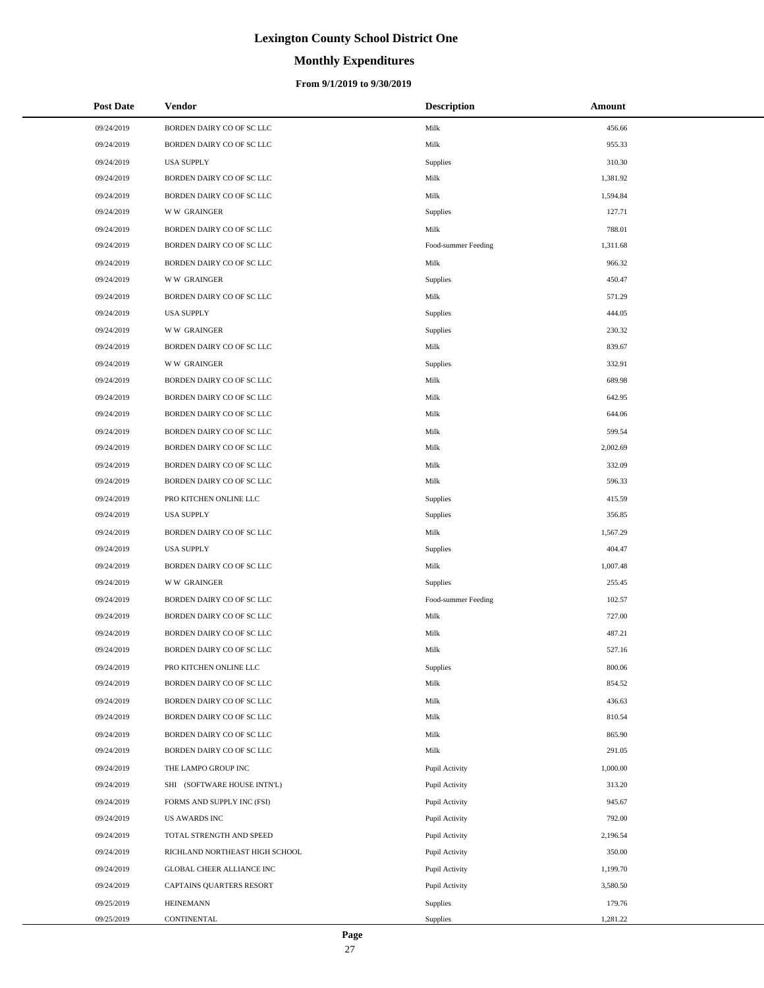# **Monthly Expenditures**

### **From 9/1/2019 to 9/30/2019**

| <b>Post Date</b> | Vendor                         | <b>Description</b>  | Amount   |
|------------------|--------------------------------|---------------------|----------|
| 09/24/2019       | BORDEN DAIRY CO OF SC LLC      | Milk                | 456.66   |
| 09/24/2019       | BORDEN DAIRY CO OF SC LLC      | Milk                | 955.33   |
| 09/24/2019       | <b>USA SUPPLY</b>              | Supplies            | 310.30   |
| 09/24/2019       | BORDEN DAIRY CO OF SC LLC      | Milk                | 1,381.92 |
| 09/24/2019       | BORDEN DAIRY CO OF SC LLC      | Milk                | 1,594.84 |
| 09/24/2019       | <b>WW GRAINGER</b>             | Supplies            | 127.71   |
| 09/24/2019       | BORDEN DAIRY CO OF SC LLC      | Milk                | 788.01   |
| 09/24/2019       | BORDEN DAIRY CO OF SC LLC      | Food-summer Feeding | 1,311.68 |
| 09/24/2019       | BORDEN DAIRY CO OF SC LLC      | Milk                | 966.32   |
| 09/24/2019       | <b>WW GRAINGER</b>             | Supplies            | 450.47   |
| 09/24/2019       | BORDEN DAIRY CO OF SC LLC      | Milk                | 571.29   |
| 09/24/2019       | <b>USA SUPPLY</b>              | Supplies            | 444.05   |
| 09/24/2019       | <b>WW GRAINGER</b>             | Supplies            | 230.32   |
| 09/24/2019       | BORDEN DAIRY CO OF SC LLC      | Milk                | 839.67   |
| 09/24/2019       | <b>WW GRAINGER</b>             | Supplies            | 332.91   |
| 09/24/2019       | BORDEN DAIRY CO OF SC LLC      | Milk                | 689.98   |
| 09/24/2019       | BORDEN DAIRY CO OF SC LLC      | Milk                | 642.95   |
| 09/24/2019       | BORDEN DAIRY CO OF SC LLC      | Milk                | 644.06   |
| 09/24/2019       | BORDEN DAIRY CO OF SC LLC      | Milk                | 599.54   |
| 09/24/2019       | BORDEN DAIRY CO OF SC LLC      | Milk                | 2,002.69 |
| 09/24/2019       | BORDEN DAIRY CO OF SC LLC      | Milk                | 332.09   |
| 09/24/2019       | BORDEN DAIRY CO OF SC LLC      | Milk                | 596.33   |
| 09/24/2019       | PRO KITCHEN ONLINE LLC         | Supplies            | 415.59   |
| 09/24/2019       | <b>USA SUPPLY</b>              | Supplies            | 356.85   |
| 09/24/2019       | BORDEN DAIRY CO OF SC LLC      | Milk                | 1,567.29 |
| 09/24/2019       | <b>USA SUPPLY</b>              | Supplies            | 404.47   |
| 09/24/2019       | BORDEN DAIRY CO OF SC LLC      | Milk                | 1,007.48 |
| 09/24/2019       | <b>WW GRAINGER</b>             | Supplies            | 255.45   |
| 09/24/2019       | BORDEN DAIRY CO OF SC LLC      | Food-summer Feeding | 102.57   |
| 09/24/2019       | BORDEN DAIRY CO OF SC LLC      | Milk                | 727.00   |
| 09/24/2019       | BORDEN DAIRY CO OF SC LLC      | Milk                | 487.21   |
| 09/24/2019       | BORDEN DAIRY CO OF SC LLC      | Milk                | 527.16   |
| 09/24/2019       | PRO KITCHEN ONLINE LLC         | Supplies            | 800.06   |
| 09/24/2019       | BORDEN DAIRY CO OF SC LLC      | Milk                | 854.52   |
| 09/24/2019       | BORDEN DAIRY CO OF SC LLC      | Milk                | 436.63   |
| 09/24/2019       | BORDEN DAIRY CO OF SC LLC      | Milk                | 810.54   |
| 09/24/2019       | BORDEN DAIRY CO OF SC LLC      | Milk                | 865.90   |
| 09/24/2019       | BORDEN DAIRY CO OF SC LLC      | Milk                | 291.05   |
| 09/24/2019       | THE LAMPO GROUP INC            | Pupil Activity      | 1,000.00 |
| 09/24/2019       | SHI (SOFTWARE HOUSE INTN'L)    | Pupil Activity      | 313.20   |
| 09/24/2019       | FORMS AND SUPPLY INC (FSI)     | Pupil Activity      | 945.67   |
| 09/24/2019       | <b>US AWARDS INC</b>           | Pupil Activity      | 792.00   |
| 09/24/2019       | TOTAL STRENGTH AND SPEED       | Pupil Activity      | 2,196.54 |
| 09/24/2019       | RICHLAND NORTHEAST HIGH SCHOOL | Pupil Activity      | 350.00   |
| 09/24/2019       | GLOBAL CHEER ALLIANCE INC      | Pupil Activity      | 1,199.70 |
| 09/24/2019       | CAPTAINS QUARTERS RESORT       | Pupil Activity      | 3,580.50 |
| 09/25/2019       | <b>HEINEMANN</b>               | Supplies            | 179.76   |
| 09/25/2019       | CONTINENTAL                    | Supplies            | 1,281.22 |

÷.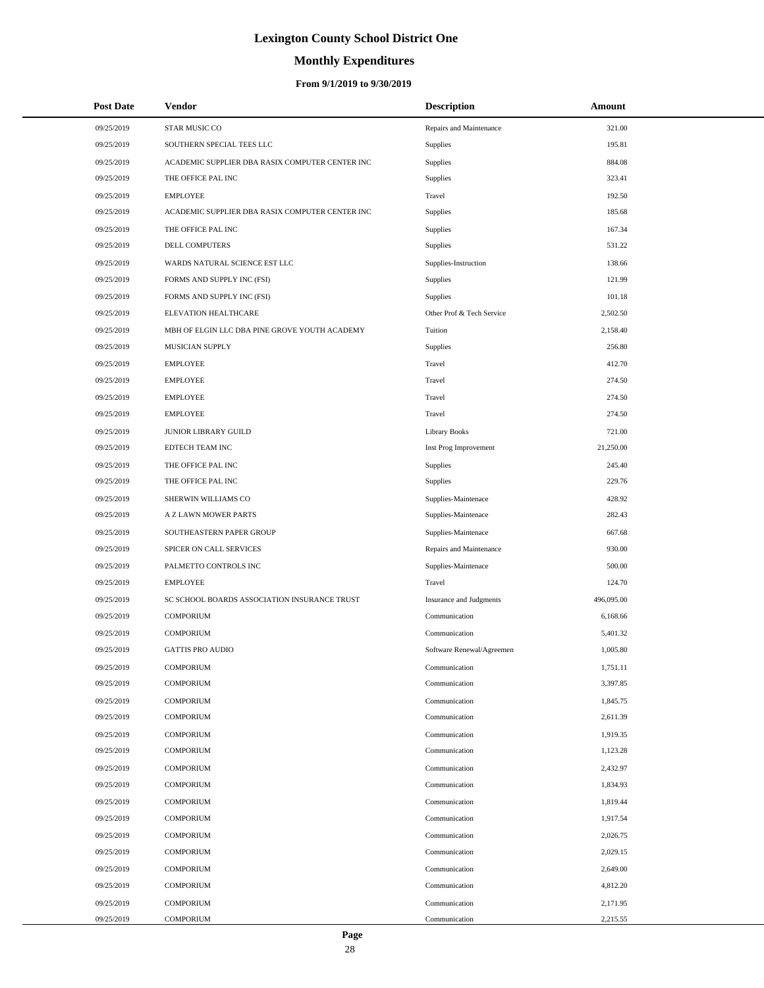# **Monthly Expenditures**

### **From 9/1/2019 to 9/30/2019**

| <b>Post Date</b> | <b>Vendor</b>                                   | <b>Description</b>             | Amount     |
|------------------|-------------------------------------------------|--------------------------------|------------|
| 09/25/2019       | STAR MUSIC CO                                   | Repairs and Maintenance        | 321.00     |
| 09/25/2019       | SOUTHERN SPECIAL TEES LLC                       | Supplies                       | 195.81     |
| 09/25/2019       | ACADEMIC SUPPLIER DBA RASIX COMPUTER CENTER INC | Supplies                       | 884.08     |
| 09/25/2019       | THE OFFICE PAL INC                              | <b>Supplies</b>                | 323.41     |
| 09/25/2019       | <b>EMPLOYEE</b>                                 | Travel                         | 192.50     |
| 09/25/2019       | ACADEMIC SUPPLIER DBA RASIX COMPUTER CENTER INC | Supplies                       | 185.68     |
| 09/25/2019       | THE OFFICE PAL INC                              | Supplies                       | 167.34     |
| 09/25/2019       | <b>DELL COMPUTERS</b>                           | Supplies                       | 531.22     |
| 09/25/2019       | WARDS NATURAL SCIENCE EST LLC                   | Supplies-Instruction           | 138.66     |
| 09/25/2019       | FORMS AND SUPPLY INC (FSI)                      | Supplies                       | 121.99     |
| 09/25/2019       | FORMS AND SUPPLY INC (FSI)                      | Supplies                       | 101.18     |
| 09/25/2019       | ELEVATION HEALTHCARE                            | Other Prof & Tech Service      | 2,502.50   |
| 09/25/2019       | MBH OF ELGIN LLC DBA PINE GROVE YOUTH ACADEMY   | Tuition                        | 2,158.40   |
| 09/25/2019       | <b>MUSICIAN SUPPLY</b>                          | Supplies                       | 256.80     |
| 09/25/2019       | <b>EMPLOYEE</b>                                 | Travel                         | 412.70     |
| 09/25/2019       | <b>EMPLOYEE</b>                                 | Travel                         | 274.50     |
| 09/25/2019       | <b>EMPLOYEE</b>                                 | Travel                         | 274.50     |
| 09/25/2019       | <b>EMPLOYEE</b>                                 | Travel                         | 274.50     |
| 09/25/2019       | JUNIOR LIBRARY GUILD                            | <b>Library Books</b>           | 721.00     |
| 09/25/2019       | EDTECH TEAM INC                                 | Inst Prog Improvement          | 21,250.00  |
| 09/25/2019       | THE OFFICE PAL INC                              | <b>Supplies</b>                | 245.40     |
| 09/25/2019       | THE OFFICE PAL INC                              | <b>Supplies</b>                | 229.76     |
| 09/25/2019       | SHERWIN WILLIAMS CO                             | Supplies-Maintenace            | 428.92     |
| 09/25/2019       | A Z LAWN MOWER PARTS                            | Supplies-Maintenace            | 282.43     |
| 09/25/2019       | SOUTHEASTERN PAPER GROUP                        | Supplies-Maintenace            | 667.68     |
| 09/25/2019       | SPICER ON CALL SERVICES                         | Repairs and Maintenance        | 930.00     |
| 09/25/2019       | PALMETTO CONTROLS INC                           | Supplies-Maintenace            | 500.00     |
| 09/25/2019       | <b>EMPLOYEE</b>                                 | Travel                         | 124.70     |
| 09/25/2019       | SC SCHOOL BOARDS ASSOCIATION INSURANCE TRUST    | <b>Insurance and Judgments</b> | 496,095.00 |
| 09/25/2019       | <b>COMPORIUM</b>                                | Communication                  | 6,168.66   |
| 09/25/2019       | <b>COMPORIUM</b>                                | Communication                  | 5,401.32   |
| 09/25/2019       | <b>GATTIS PRO AUDIO</b>                         | Software Renewal/Agreemen      | 1,005.80   |
| 09/25/2019       | <b>COMPORIUM</b>                                | Communication                  | 1,751.11   |
| 09/25/2019       | <b>COMPORIUM</b>                                | Communication                  | 3,397.85   |
| 09/25/2019       | <b>COMPORIUM</b>                                | Communication                  | 1,845.75   |
| 09/25/2019       | <b>COMPORIUM</b>                                | Communication                  | 2,611.39   |
| 09/25/2019       | <b>COMPORIUM</b>                                | Communication                  | 1,919.35   |
| 09/25/2019       | <b>COMPORIUM</b>                                | Communication                  | 1,123.28   |
| 09/25/2019       | <b>COMPORIUM</b>                                | Communication                  | 2,432.97   |
| 09/25/2019       | <b>COMPORIUM</b>                                | Communication                  | 1,834.93   |
| 09/25/2019       | <b>COMPORIUM</b>                                | Communication                  | 1,819.44   |
| 09/25/2019       | <b>COMPORIUM</b>                                | Communication                  | 1,917.54   |
| 09/25/2019       | <b>COMPORIUM</b>                                | Communication                  | 2,026.75   |
| 09/25/2019       | <b>COMPORIUM</b>                                | Communication                  | 2,029.15   |
| 09/25/2019       | <b>COMPORIUM</b>                                | Communication                  | 2,649.00   |
| 09/25/2019       | <b>COMPORIUM</b>                                | Communication                  | 4,812.20   |
| 09/25/2019       | <b>COMPORIUM</b>                                | Communication                  | 2,171.95   |
| 09/25/2019       | <b>COMPORIUM</b>                                | Communication                  | 2,215.55   |

 $\overline{a}$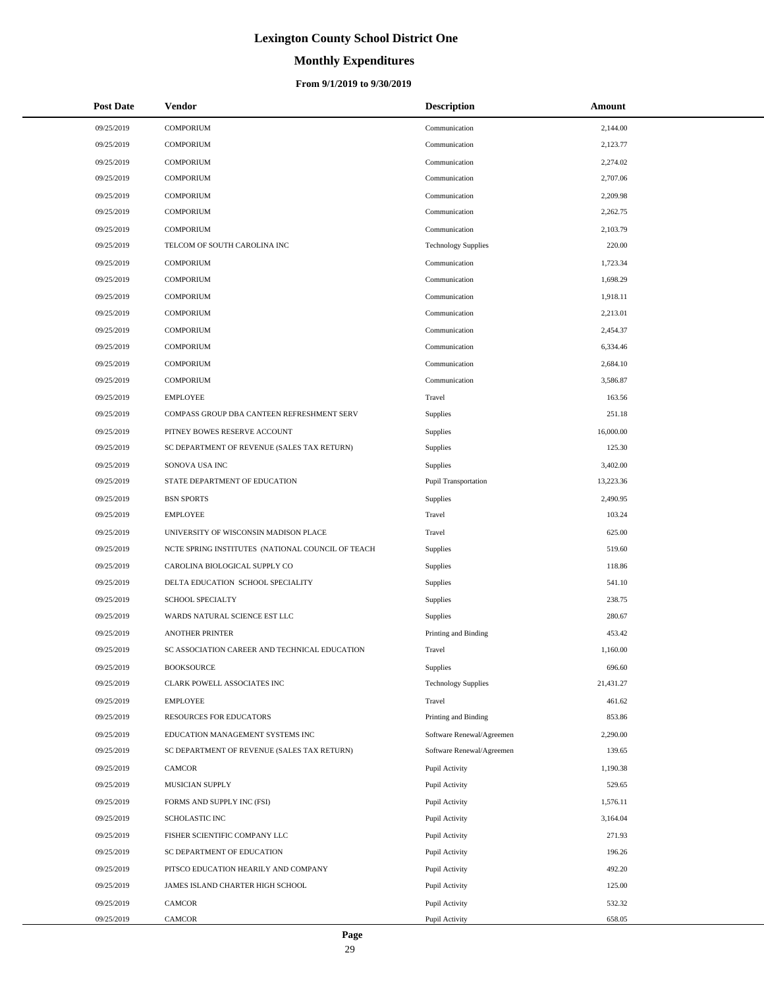# **Monthly Expenditures**

### **From 9/1/2019 to 9/30/2019**

| <b>Post Date</b> | Vendor                                            | <b>Description</b>         | Amount    |
|------------------|---------------------------------------------------|----------------------------|-----------|
| 09/25/2019       | <b>COMPORIUM</b>                                  | Communication              | 2,144.00  |
| 09/25/2019       | <b>COMPORIUM</b>                                  | Communication              | 2,123.77  |
| 09/25/2019       | <b>COMPORIUM</b>                                  | Communication              | 2,274.02  |
| 09/25/2019       | <b>COMPORIUM</b>                                  | Communication              | 2,707.06  |
| 09/25/2019       | <b>COMPORIUM</b>                                  | Communication              | 2,209.98  |
| 09/25/2019       | <b>COMPORIUM</b>                                  | Communication              | 2,262.75  |
| 09/25/2019       | <b>COMPORIUM</b>                                  | Communication              | 2,103.79  |
| 09/25/2019       | TELCOM OF SOUTH CAROLINA INC                      | <b>Technology Supplies</b> | 220.00    |
| 09/25/2019       | <b>COMPORIUM</b>                                  | Communication              | 1,723.34  |
| 09/25/2019       | <b>COMPORIUM</b>                                  | Communication              | 1,698.29  |
| 09/25/2019       | <b>COMPORIUM</b>                                  | Communication              | 1,918.11  |
| 09/25/2019       | <b>COMPORIUM</b>                                  | Communication              | 2,213.01  |
| 09/25/2019       | <b>COMPORIUM</b>                                  | Communication              | 2,454.37  |
| 09/25/2019       | <b>COMPORIUM</b>                                  | Communication              | 6,334.46  |
| 09/25/2019       | <b>COMPORIUM</b>                                  | Communication              | 2,684.10  |
| 09/25/2019       | <b>COMPORIUM</b>                                  | Communication              | 3,586.87  |
| 09/25/2019       | <b>EMPLOYEE</b>                                   | Travel                     | 163.56    |
| 09/25/2019       | COMPASS GROUP DBA CANTEEN REFRESHMENT SERV        | Supplies                   | 251.18    |
| 09/25/2019       | PITNEY BOWES RESERVE ACCOUNT                      | Supplies                   | 16,000.00 |
| 09/25/2019       | SC DEPARTMENT OF REVENUE (SALES TAX RETURN)       | Supplies                   | 125.30    |
| 09/25/2019       | SONOVA USA INC                                    | Supplies                   | 3,402.00  |
| 09/25/2019       | STATE DEPARTMENT OF EDUCATION                     | Pupil Transportation       | 13,223.36 |
| 09/25/2019       | <b>BSN SPORTS</b>                                 | Supplies                   | 2,490.95  |
| 09/25/2019       | <b>EMPLOYEE</b>                                   | Travel                     | 103.24    |
| 09/25/2019       | UNIVERSITY OF WISCONSIN MADISON PLACE             | Travel                     | 625.00    |
| 09/25/2019       | NCTE SPRING INSTITUTES (NATIONAL COUNCIL OF TEACH | Supplies                   | 519.60    |
| 09/25/2019       | CAROLINA BIOLOGICAL SUPPLY CO                     | Supplies                   | 118.86    |
| 09/25/2019       | DELTA EDUCATION SCHOOL SPECIALITY                 | Supplies                   | 541.10    |
| 09/25/2019       | SCHOOL SPECIALTY                                  | Supplies                   | 238.75    |
| 09/25/2019       | WARDS NATURAL SCIENCE EST LLC                     | Supplies                   | 280.67    |
| 09/25/2019       | <b>ANOTHER PRINTER</b>                            | Printing and Binding       | 453.42    |
| 09/25/2019       | SC ASSOCIATION CAREER AND TECHNICAL EDUCATION     | Travel                     | 1,160.00  |
| 09/25/2019       | BOOKSOURCE                                        | Supplies                   | 696.60    |
| 09/25/2019       | CLARK POWELL ASSOCIATES INC                       | <b>Technology Supplies</b> | 21,431.27 |
| 09/25/2019       | <b>EMPLOYEE</b>                                   | Travel                     | 461.62    |
| 09/25/2019       | RESOURCES FOR EDUCATORS                           | Printing and Binding       | 853.86    |
| 09/25/2019       | EDUCATION MANAGEMENT SYSTEMS INC                  | Software Renewal/Agreemen  | 2,290.00  |
| 09/25/2019       | SC DEPARTMENT OF REVENUE (SALES TAX RETURN)       | Software Renewal/Agreemen  | 139.65    |
| 09/25/2019       | CAMCOR                                            | Pupil Activity             | 1,190.38  |
| 09/25/2019       | MUSICIAN SUPPLY                                   | Pupil Activity             | 529.65    |
| 09/25/2019       | FORMS AND SUPPLY INC (FSI)                        | Pupil Activity             | 1,576.11  |
| 09/25/2019       | SCHOLASTIC INC                                    | Pupil Activity             | 3,164.04  |
| 09/25/2019       | FISHER SCIENTIFIC COMPANY LLC                     | Pupil Activity             | 271.93    |
| 09/25/2019       | SC DEPARTMENT OF EDUCATION                        | Pupil Activity             | 196.26    |
| 09/25/2019       | PITSCO EDUCATION HEARILY AND COMPANY              | Pupil Activity             | 492.20    |
| 09/25/2019       | JAMES ISLAND CHARTER HIGH SCHOOL                  | Pupil Activity             | 125.00    |
| 09/25/2019       | CAMCOR                                            | Pupil Activity             | 532.32    |
| 09/25/2019       | CAMCOR                                            | Pupil Activity             | 658.05    |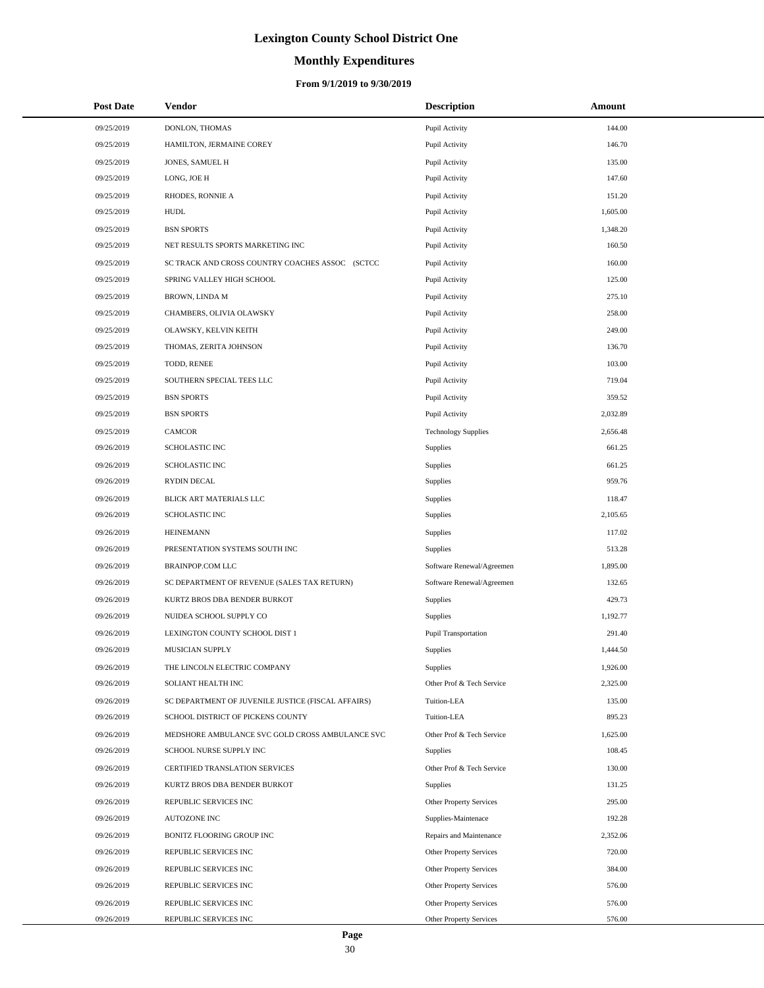# **Monthly Expenditures**

| <b>Post Date</b> | <b>Vendor</b>                                      | <b>Description</b>         | Amount   |
|------------------|----------------------------------------------------|----------------------------|----------|
| 09/25/2019       | DONLON, THOMAS                                     | Pupil Activity             | 144.00   |
| 09/25/2019       | HAMILTON, JERMAINE COREY                           | Pupil Activity             | 146.70   |
| 09/25/2019       | JONES, SAMUEL H                                    | Pupil Activity             | 135.00   |
| 09/25/2019       | LONG, JOE H                                        | Pupil Activity             | 147.60   |
| 09/25/2019       | RHODES, RONNIE A                                   | Pupil Activity             | 151.20   |
| 09/25/2019       | <b>HUDL</b>                                        | Pupil Activity             | 1,605.00 |
| 09/25/2019       | <b>BSN SPORTS</b>                                  | Pupil Activity             | 1,348.20 |
| 09/25/2019       | NET RESULTS SPORTS MARKETING INC                   | Pupil Activity             | 160.50   |
| 09/25/2019       | SC TRACK AND CROSS COUNTRY COACHES ASSOC (SCTCC    | Pupil Activity             | 160.00   |
| 09/25/2019       | SPRING VALLEY HIGH SCHOOL                          | Pupil Activity             | 125.00   |
| 09/25/2019       | BROWN, LINDA M                                     | Pupil Activity             | 275.10   |
| 09/25/2019       | CHAMBERS, OLIVIA OLAWSKY                           | Pupil Activity             | 258.00   |
| 09/25/2019       | OLAWSKY, KELVIN KEITH                              | Pupil Activity             | 249.00   |
| 09/25/2019       | THOMAS, ZERITA JOHNSON                             | Pupil Activity             | 136.70   |
| 09/25/2019       | TODD, RENEE                                        | Pupil Activity             | 103.00   |
| 09/25/2019       | SOUTHERN SPECIAL TEES LLC                          | Pupil Activity             | 719.04   |
| 09/25/2019       | <b>BSN SPORTS</b>                                  | Pupil Activity             | 359.52   |
| 09/25/2019       | <b>BSN SPORTS</b>                                  | Pupil Activity             | 2,032.89 |
| 09/25/2019       | <b>CAMCOR</b>                                      | <b>Technology Supplies</b> | 2,656.48 |
| 09/26/2019       | <b>SCHOLASTIC INC</b>                              | <b>Supplies</b>            | 661.25   |
| 09/26/2019       | <b>SCHOLASTIC INC</b>                              | Supplies                   | 661.25   |
| 09/26/2019       | <b>RYDIN DECAL</b>                                 | Supplies                   | 959.76   |
| 09/26/2019       | BLICK ART MATERIALS LLC                            | Supplies                   | 118.47   |
| 09/26/2019       | <b>SCHOLASTIC INC</b>                              | Supplies                   | 2,105.65 |
| 09/26/2019       | <b>HEINEMANN</b>                                   | Supplies                   | 117.02   |
| 09/26/2019       | PRESENTATION SYSTEMS SOUTH INC                     | <b>Supplies</b>            | 513.28   |
| 09/26/2019       | <b>BRAINPOP.COM LLC</b>                            | Software Renewal/Agreemen  | 1,895.00 |
| 09/26/2019       | SC DEPARTMENT OF REVENUE (SALES TAX RETURN)        | Software Renewal/Agreemen  | 132.65   |
| 09/26/2019       | KURTZ BROS DBA BENDER BURKOT                       | Supplies                   | 429.73   |
| 09/26/2019       | NUIDEA SCHOOL SUPPLY CO                            | <b>Supplies</b>            | 1,192.77 |
| 09/26/2019       | LEXINGTON COUNTY SCHOOL DIST 1                     | Pupil Transportation       | 291.40   |
| 09/26/2019       | <b>MUSICIAN SUPPLY</b>                             | <b>Supplies</b>            | 1,444.50 |
| 09/26/2019       | THE LINCOLN ELECTRIC COMPANY                       | Supplies                   | 1,926.00 |
| 09/26/2019       | SOLIANT HEALTH INC                                 | Other Prof & Tech Service  | 2,325.00 |
| 09/26/2019       | SC DEPARTMENT OF JUVENILE JUSTICE (FISCAL AFFAIRS) | Tuition-LEA                | 135.00   |
| 09/26/2019       | SCHOOL DISTRICT OF PICKENS COUNTY                  | Tuition-LEA                | 895.23   |
| 09/26/2019       | MEDSHORE AMBULANCE SVC GOLD CROSS AMBULANCE SVC    | Other Prof & Tech Service  | 1,625.00 |
| 09/26/2019       | SCHOOL NURSE SUPPLY INC                            | <b>Supplies</b>            | 108.45   |
| 09/26/2019       | CERTIFIED TRANSLATION SERVICES                     | Other Prof & Tech Service  | 130.00   |
| 09/26/2019       | KURTZ BROS DBA BENDER BURKOT                       | Supplies                   | 131.25   |
| 09/26/2019       | REPUBLIC SERVICES INC                              | Other Property Services    | 295.00   |
| 09/26/2019       | AUTOZONE INC                                       | Supplies-Maintenace        | 192.28   |
| 09/26/2019       | BONITZ FLOORING GROUP INC                          | Repairs and Maintenance    | 2,352.06 |
| 09/26/2019       | REPUBLIC SERVICES INC                              | Other Property Services    | 720.00   |
| 09/26/2019       | REPUBLIC SERVICES INC                              | Other Property Services    | 384.00   |
| 09/26/2019       | REPUBLIC SERVICES INC                              | Other Property Services    | 576.00   |
| 09/26/2019       | REPUBLIC SERVICES INC                              | Other Property Services    | 576.00   |
| 09/26/2019       | REPUBLIC SERVICES INC                              | Other Property Services    | 576.00   |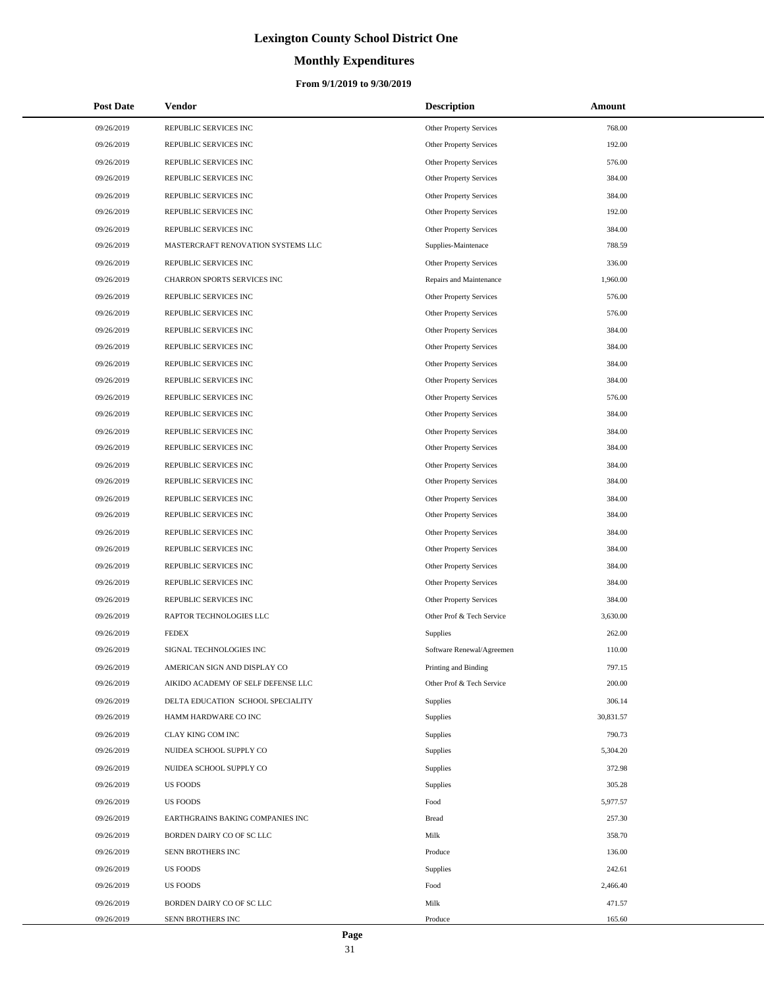# **Monthly Expenditures**

### **From 9/1/2019 to 9/30/2019**

| <b>Post Date</b> | <b>Vendor</b>                      | <b>Description</b>             | Amount    |
|------------------|------------------------------------|--------------------------------|-----------|
| 09/26/2019       | REPUBLIC SERVICES INC              | Other Property Services        | 768.00    |
| 09/26/2019       | REPUBLIC SERVICES INC              | <b>Other Property Services</b> | 192.00    |
| 09/26/2019       | REPUBLIC SERVICES INC              | <b>Other Property Services</b> | 576.00    |
| 09/26/2019       | REPUBLIC SERVICES INC              | <b>Other Property Services</b> | 384.00    |
| 09/26/2019       | REPUBLIC SERVICES INC              | <b>Other Property Services</b> | 384.00    |
| 09/26/2019       | REPUBLIC SERVICES INC              | <b>Other Property Services</b> | 192.00    |
| 09/26/2019       | REPUBLIC SERVICES INC              | <b>Other Property Services</b> | 384.00    |
| 09/26/2019       | MASTERCRAFT RENOVATION SYSTEMS LLC | Supplies-Maintenace            | 788.59    |
| 09/26/2019       | REPUBLIC SERVICES INC              | <b>Other Property Services</b> | 336.00    |
| 09/26/2019       | CHARRON SPORTS SERVICES INC        | Repairs and Maintenance        | 1,960.00  |
| 09/26/2019       | REPUBLIC SERVICES INC              | <b>Other Property Services</b> | 576.00    |
| 09/26/2019       | REPUBLIC SERVICES INC              | Other Property Services        | 576.00    |
| 09/26/2019       | REPUBLIC SERVICES INC              | <b>Other Property Services</b> | 384.00    |
| 09/26/2019       | REPUBLIC SERVICES INC              | Other Property Services        | 384.00    |
| 09/26/2019       | REPUBLIC SERVICES INC              | <b>Other Property Services</b> | 384.00    |
| 09/26/2019       | REPUBLIC SERVICES INC              | <b>Other Property Services</b> | 384.00    |
| 09/26/2019       | REPUBLIC SERVICES INC              | <b>Other Property Services</b> | 576.00    |
| 09/26/2019       | REPUBLIC SERVICES INC              | <b>Other Property Services</b> | 384.00    |
| 09/26/2019       | REPUBLIC SERVICES INC              | <b>Other Property Services</b> | 384.00    |
| 09/26/2019       | REPUBLIC SERVICES INC              | <b>Other Property Services</b> | 384.00    |
| 09/26/2019       | REPUBLIC SERVICES INC              | <b>Other Property Services</b> | 384.00    |
| 09/26/2019       | REPUBLIC SERVICES INC              | Other Property Services        | 384.00    |
| 09/26/2019       | REPUBLIC SERVICES INC              | <b>Other Property Services</b> | 384.00    |
| 09/26/2019       | REPUBLIC SERVICES INC              | <b>Other Property Services</b> | 384.00    |
| 09/26/2019       | REPUBLIC SERVICES INC              | <b>Other Property Services</b> | 384.00    |
| 09/26/2019       | REPUBLIC SERVICES INC              | Other Property Services        | 384.00    |
| 09/26/2019       | REPUBLIC SERVICES INC              | <b>Other Property Services</b> | 384.00    |
| 09/26/2019       | REPUBLIC SERVICES INC              | <b>Other Property Services</b> | 384.00    |
| 09/26/2019       | REPUBLIC SERVICES INC              | <b>Other Property Services</b> | 384.00    |
| 09/26/2019       | RAPTOR TECHNOLOGIES LLC            | Other Prof & Tech Service      | 3,630.00  |
| 09/26/2019       | <b>FEDEX</b>                       | Supplies                       | 262.00    |
| 09/26/2019       | SIGNAL TECHNOLOGIES INC            | Software Renewal/Agreemen      | 110.00    |
| 09/26/2019       | AMERICAN SIGN AND DISPLAY CO       | Printing and Binding           | 797.15    |
| 09/26/2019       | AIKIDO ACADEMY OF SELF DEFENSE LLC | Other Prof & Tech Service      | 200.00    |
| 09/26/2019       | DELTA EDUCATION SCHOOL SPECIALITY  | Supplies                       | 306.14    |
| 09/26/2019       | HAMM HARDWARE CO INC               | Supplies                       | 30,831.57 |
| 09/26/2019       | CLAY KING COM INC                  | Supplies                       | 790.73    |
| 09/26/2019       | NUIDEA SCHOOL SUPPLY CO            | Supplies                       | 5,304.20  |
| 09/26/2019       | NUIDEA SCHOOL SUPPLY CO            | Supplies                       | 372.98    |
| 09/26/2019       | <b>US FOODS</b>                    | Supplies                       | 305.28    |
| 09/26/2019       | <b>US FOODS</b>                    | Food                           | 5,977.57  |
| 09/26/2019       | EARTHGRAINS BAKING COMPANIES INC   | <b>Bread</b>                   | 257.30    |
| 09/26/2019       | BORDEN DAIRY CO OF SC LLC          | Milk                           | 358.70    |
| 09/26/2019       | SENN BROTHERS INC                  | Produce                        | 136.00    |
| 09/26/2019       | <b>US FOODS</b>                    | Supplies                       | 242.61    |
| 09/26/2019       | <b>US FOODS</b>                    | Food                           | 2,466.40  |
| 09/26/2019       | BORDEN DAIRY CO OF SC LLC          | Milk                           | 471.57    |
| 09/26/2019       | SENN BROTHERS INC                  | Produce                        | 165.60    |

÷.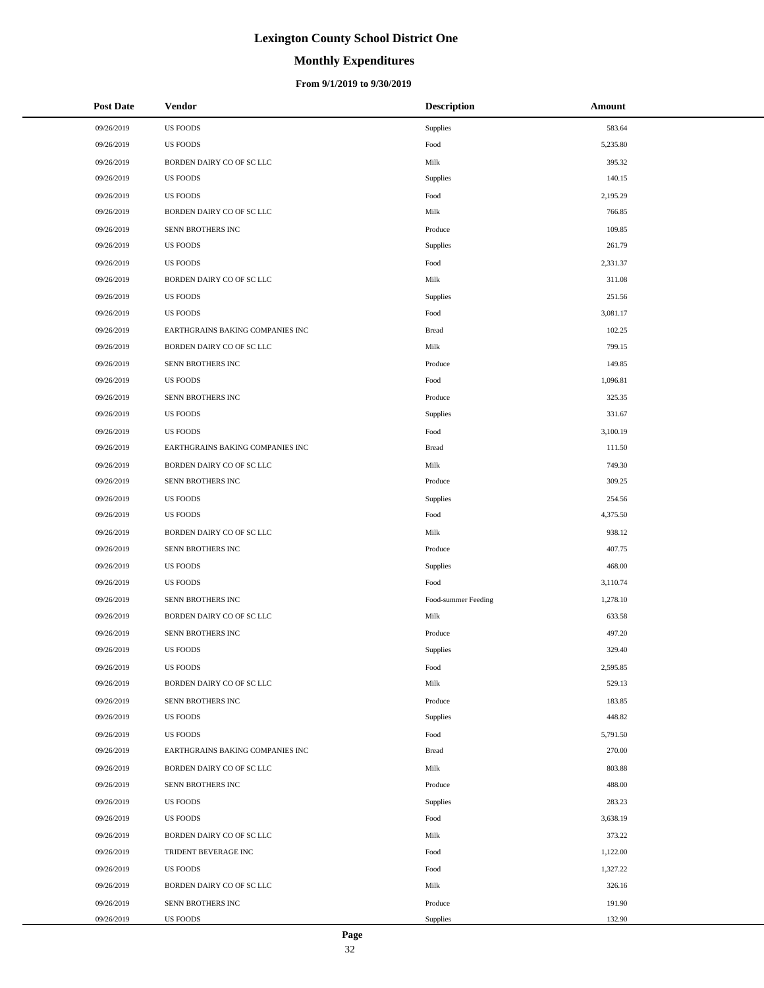# **Monthly Expenditures**

### **From 9/1/2019 to 9/30/2019**

| <b>Post Date</b> | Vendor                           | <b>Description</b>  | Amount   |
|------------------|----------------------------------|---------------------|----------|
| 09/26/2019       | <b>US FOODS</b>                  | <b>Supplies</b>     | 583.64   |
| 09/26/2019       | <b>US FOODS</b>                  | Food                | 5,235.80 |
| 09/26/2019       | BORDEN DAIRY CO OF SC LLC        | Milk                | 395.32   |
| 09/26/2019       | <b>US FOODS</b>                  | Supplies            | 140.15   |
| 09/26/2019       | <b>US FOODS</b>                  | Food                | 2,195.29 |
| 09/26/2019       | BORDEN DAIRY CO OF SC LLC        | Milk                | 766.85   |
| 09/26/2019       | SENN BROTHERS INC                | Produce             | 109.85   |
| 09/26/2019       | <b>US FOODS</b>                  | <b>Supplies</b>     | 261.79   |
| 09/26/2019       | <b>US FOODS</b>                  | Food                | 2,331.37 |
| 09/26/2019       | BORDEN DAIRY CO OF SC LLC        | Milk                | 311.08   |
| 09/26/2019       | <b>US FOODS</b>                  | <b>Supplies</b>     | 251.56   |
| 09/26/2019       | <b>US FOODS</b>                  | Food                | 3,081.17 |
| 09/26/2019       | EARTHGRAINS BAKING COMPANIES INC | <b>Bread</b>        | 102.25   |
| 09/26/2019       | BORDEN DAIRY CO OF SC LLC        | Milk                | 799.15   |
| 09/26/2019       | SENN BROTHERS INC                | Produce             | 149.85   |
| 09/26/2019       | US FOODS                         | Food                | 1,096.81 |
| 09/26/2019       | SENN BROTHERS INC                | Produce             | 325.35   |
| 09/26/2019       | <b>US FOODS</b>                  | Supplies            | 331.67   |
| 09/26/2019       | <b>US FOODS</b>                  | Food                | 3,100.19 |
| 09/26/2019       | EARTHGRAINS BAKING COMPANIES INC | <b>Bread</b>        | 111.50   |
| 09/26/2019       | BORDEN DAIRY CO OF SC LLC        | Milk                | 749.30   |
| 09/26/2019       | SENN BROTHERS INC                | Produce             | 309.25   |
| 09/26/2019       | <b>US FOODS</b>                  | Supplies            | 254.56   |
| 09/26/2019       | <b>US FOODS</b>                  | Food                | 4,375.50 |
| 09/26/2019       | BORDEN DAIRY CO OF SC LLC        | Milk                | 938.12   |
| 09/26/2019       | SENN BROTHERS INC                | Produce             | 407.75   |
| 09/26/2019       | US FOODS                         | Supplies            | 468.00   |
| 09/26/2019       | <b>US FOODS</b>                  | Food                | 3,110.74 |
| 09/26/2019       | SENN BROTHERS INC                | Food-summer Feeding | 1,278.10 |
| 09/26/2019       | BORDEN DAIRY CO OF SC LLC        | Milk                | 633.58   |
| 09/26/2019       | SENN BROTHERS INC                | Produce             | 497.20   |
| 09/26/2019       | <b>US FOODS</b>                  | Supplies            | 329.40   |
| 09/26/2019       | US FOODS                         | Food                | 2,595.85 |
| 09/26/2019       | BORDEN DAIRY CO OF SC LLC        | Milk                | 529.13   |
| 09/26/2019       | SENN BROTHERS INC                | Produce             | 183.85   |
| 09/26/2019       | US FOODS                         | Supplies            | 448.82   |
| 09/26/2019       | US FOODS                         | Food                | 5,791.50 |
| 09/26/2019       | EARTHGRAINS BAKING COMPANIES INC | <b>Bread</b>        | 270.00   |
| 09/26/2019       | BORDEN DAIRY CO OF SC LLC        | Milk                | 803.88   |
| 09/26/2019       | SENN BROTHERS INC                | Produce             | 488.00   |
| 09/26/2019       | US FOODS                         | Supplies            | 283.23   |
| 09/26/2019       | <b>US FOODS</b>                  | Food                | 3,638.19 |
| 09/26/2019       | BORDEN DAIRY CO OF SC LLC        | Milk                | 373.22   |
| 09/26/2019       | TRIDENT BEVERAGE INC             | Food                | 1,122.00 |
| 09/26/2019       | US FOODS                         | Food                | 1,327.22 |
| 09/26/2019       | BORDEN DAIRY CO OF SC LLC        | Milk                | 326.16   |
| 09/26/2019       | SENN BROTHERS INC                | Produce             | 191.90   |
| 09/26/2019       | US FOODS                         | Supplies            | 132.90   |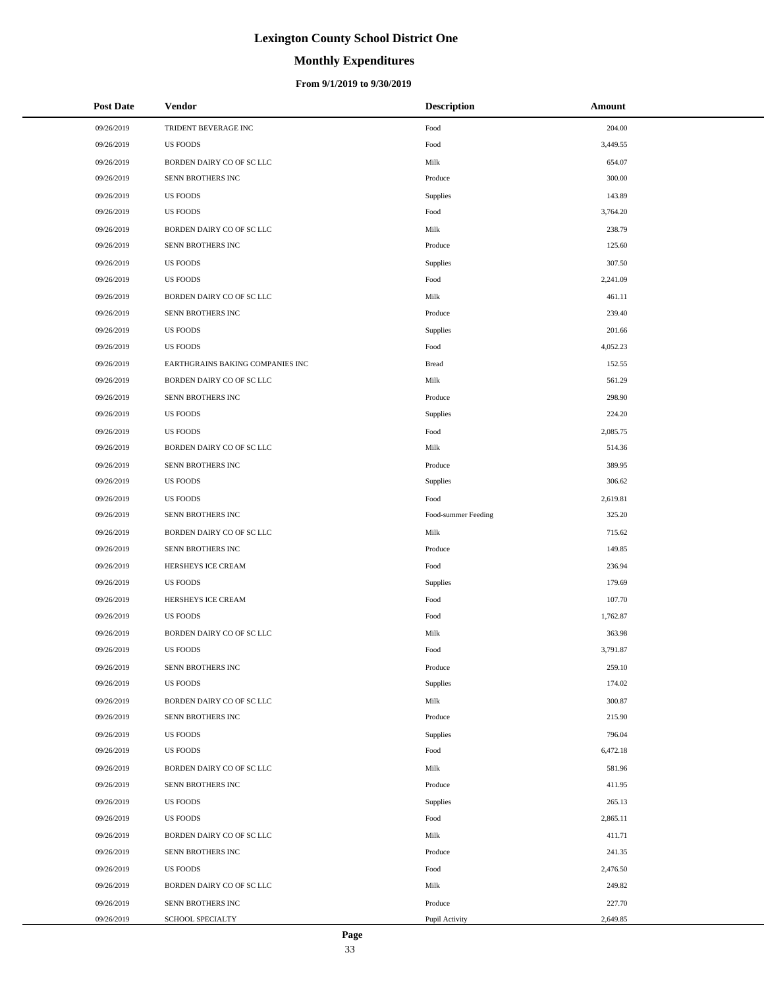# **Monthly Expenditures**

| <b>Post Date</b> | <b>Vendor</b>                    | <b>Description</b>  | Amount   |
|------------------|----------------------------------|---------------------|----------|
| 09/26/2019       | TRIDENT BEVERAGE INC             | Food                | 204.00   |
| 09/26/2019       | <b>US FOODS</b>                  | Food                | 3,449.55 |
| 09/26/2019       | BORDEN DAIRY CO OF SC LLC        | Milk                | 654.07   |
| 09/26/2019       | SENN BROTHERS INC                | Produce             | 300.00   |
| 09/26/2019       | <b>US FOODS</b>                  | Supplies            | 143.89   |
| 09/26/2019       | <b>US FOODS</b>                  | Food                | 3,764.20 |
| 09/26/2019       | BORDEN DAIRY CO OF SC LLC        | Milk                | 238.79   |
| 09/26/2019       | SENN BROTHERS INC                | Produce             | 125.60   |
| 09/26/2019       | <b>US FOODS</b>                  | Supplies            | 307.50   |
| 09/26/2019       | <b>US FOODS</b>                  | Food                | 2,241.09 |
| 09/26/2019       | BORDEN DAIRY CO OF SC LLC        | Milk                | 461.11   |
| 09/26/2019       | SENN BROTHERS INC                | Produce             | 239.40   |
| 09/26/2019       | <b>US FOODS</b>                  | Supplies            | 201.66   |
| 09/26/2019       | <b>US FOODS</b>                  | Food                | 4,052.23 |
| 09/26/2019       | EARTHGRAINS BAKING COMPANIES INC | <b>Bread</b>        | 152.55   |
| 09/26/2019       | BORDEN DAIRY CO OF SC LLC        | Milk                | 561.29   |
| 09/26/2019       | SENN BROTHERS INC                | Produce             | 298.90   |
| 09/26/2019       | <b>US FOODS</b>                  | Supplies            | 224.20   |
| 09/26/2019       | <b>US FOODS</b>                  | Food                | 2,085.75 |
| 09/26/2019       | BORDEN DAIRY CO OF SC LLC        | Milk                | 514.36   |
| 09/26/2019       | SENN BROTHERS INC                | Produce             | 389.95   |
| 09/26/2019       | <b>US FOODS</b>                  | Supplies            | 306.62   |
| 09/26/2019       | <b>US FOODS</b>                  | Food                | 2,619.81 |
| 09/26/2019       | SENN BROTHERS INC                | Food-summer Feeding | 325.20   |
| 09/26/2019       | BORDEN DAIRY CO OF SC LLC        | Milk                | 715.62   |
| 09/26/2019       | SENN BROTHERS INC                | Produce             | 149.85   |
| 09/26/2019       | HERSHEYS ICE CREAM               | Food                | 236.94   |
| 09/26/2019       | <b>US FOODS</b>                  | Supplies            | 179.69   |
| 09/26/2019       | HERSHEYS ICE CREAM               | Food                | 107.70   |
| 09/26/2019       | <b>US FOODS</b>                  | Food                | 1,762.87 |
| 09/26/2019       | BORDEN DAIRY CO OF SC LLC        | Milk                | 363.98   |
| 09/26/2019       | <b>US FOODS</b>                  | Food                | 3,791.87 |
| 09/26/2019       | SENN BROTHERS INC                | Produce             | 259.10   |
| 09/26/2019       | <b>US FOODS</b>                  | Supplies            | 174.02   |
| 09/26/2019       | BORDEN DAIRY CO OF SC LLC        | Milk                | 300.87   |
| 09/26/2019       | SENN BROTHERS INC                | Produce             | 215.90   |
| 09/26/2019       | <b>US FOODS</b>                  | Supplies            | 796.04   |
| 09/26/2019       | <b>US FOODS</b>                  | Food                | 6,472.18 |
| 09/26/2019       | BORDEN DAIRY CO OF SC LLC        | Milk                | 581.96   |
| 09/26/2019       | SENN BROTHERS INC                | Produce             | 411.95   |
| 09/26/2019       | <b>US FOODS</b>                  | Supplies            | 265.13   |
| 09/26/2019       | <b>US FOODS</b>                  | Food                | 2,865.11 |
| 09/26/2019       | BORDEN DAIRY CO OF SC LLC        | Milk                | 411.71   |
| 09/26/2019       | SENN BROTHERS INC                | Produce             | 241.35   |
| 09/26/2019       | <b>US FOODS</b>                  | Food                | 2,476.50 |
| 09/26/2019       | BORDEN DAIRY CO OF SC LLC        | Milk                | 249.82   |
| 09/26/2019       | SENN BROTHERS INC                | Produce             | 227.70   |
| 09/26/2019       | SCHOOL SPECIALTY                 | Pupil Activity      | 2,649.85 |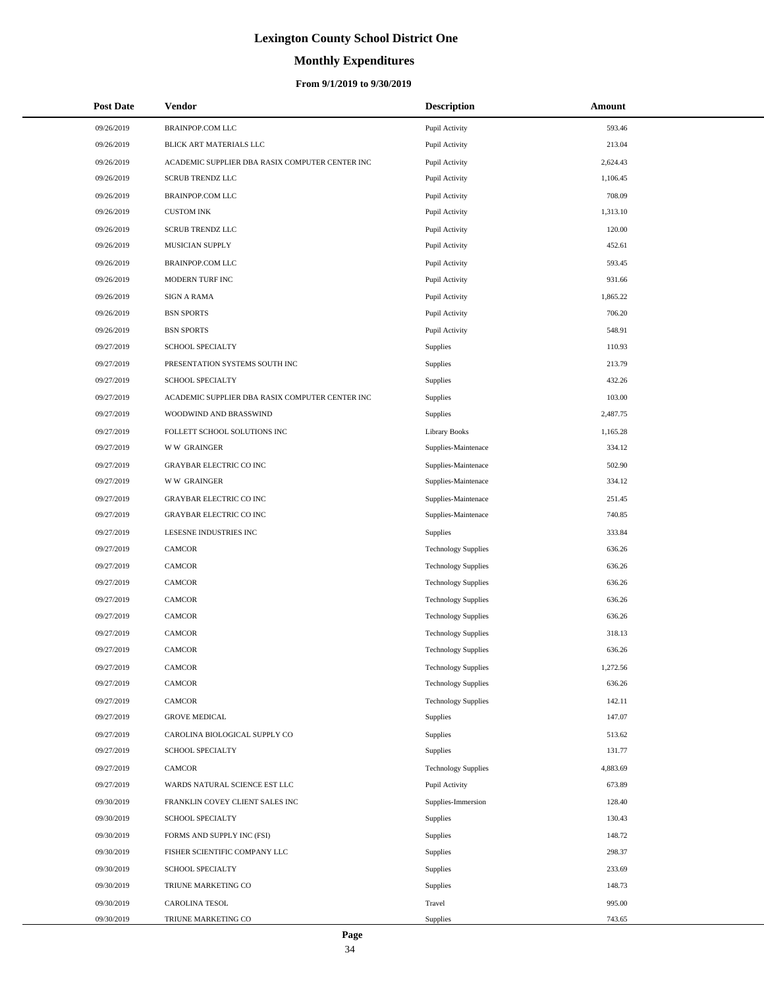# **Monthly Expenditures**

| <b>Post Date</b> | Vendor                                          | <b>Description</b>         | Amount   |  |
|------------------|-------------------------------------------------|----------------------------|----------|--|
| 09/26/2019       | <b>BRAINPOP.COM LLC</b>                         | Pupil Activity             | 593.46   |  |
| 09/26/2019       | BLICK ART MATERIALS LLC                         | Pupil Activity             | 213.04   |  |
| 09/26/2019       | ACADEMIC SUPPLIER DBA RASIX COMPUTER CENTER INC | Pupil Activity             | 2,624.43 |  |
| 09/26/2019       | <b>SCRUB TRENDZ LLC</b>                         | Pupil Activity             | 1,106.45 |  |
| 09/26/2019       | <b>BRAINPOP.COM LLC</b>                         | Pupil Activity             | 708.09   |  |
| 09/26/2019       | <b>CUSTOM INK</b>                               | Pupil Activity             | 1,313.10 |  |
| 09/26/2019       | <b>SCRUB TRENDZ LLC</b>                         | Pupil Activity             | 120.00   |  |
| 09/26/2019       | MUSICIAN SUPPLY                                 | Pupil Activity             | 452.61   |  |
| 09/26/2019       | <b>BRAINPOP.COM LLC</b>                         | Pupil Activity             | 593.45   |  |
| 09/26/2019       | MODERN TURF INC                                 | Pupil Activity             | 931.66   |  |
| 09/26/2019       | <b>SIGN A RAMA</b>                              | Pupil Activity             | 1,865.22 |  |
| 09/26/2019       | <b>BSN SPORTS</b>                               | Pupil Activity             | 706.20   |  |
| 09/26/2019       | <b>BSN SPORTS</b>                               | Pupil Activity             | 548.91   |  |
| 09/27/2019       | SCHOOL SPECIALTY                                | Supplies                   | 110.93   |  |
| 09/27/2019       | PRESENTATION SYSTEMS SOUTH INC                  | Supplies                   | 213.79   |  |
| 09/27/2019       | SCHOOL SPECIALTY                                | Supplies                   | 432.26   |  |
| 09/27/2019       | ACADEMIC SUPPLIER DBA RASIX COMPUTER CENTER INC | Supplies                   | 103.00   |  |
| 09/27/2019       | WOODWIND AND BRASSWIND                          | Supplies                   | 2,487.75 |  |
| 09/27/2019       | FOLLETT SCHOOL SOLUTIONS INC                    | <b>Library Books</b>       | 1,165.28 |  |
| 09/27/2019       | <b>WW GRAINGER</b>                              | Supplies-Maintenace        | 334.12   |  |
| 09/27/2019       | <b>GRAYBAR ELECTRIC CO INC</b>                  | Supplies-Maintenace        | 502.90   |  |
| 09/27/2019       | <b>WW GRAINGER</b>                              | Supplies-Maintenace        | 334.12   |  |
| 09/27/2019       | <b>GRAYBAR ELECTRIC CO INC</b>                  | Supplies-Maintenace        | 251.45   |  |
| 09/27/2019       | <b>GRAYBAR ELECTRIC CO INC</b>                  | Supplies-Maintenace        | 740.85   |  |
| 09/27/2019       | LESESNE INDUSTRIES INC                          | Supplies                   | 333.84   |  |
| 09/27/2019       | CAMCOR                                          | <b>Technology Supplies</b> | 636.26   |  |
| 09/27/2019       | <b>CAMCOR</b>                                   | <b>Technology Supplies</b> | 636.26   |  |
| 09/27/2019       | <b>CAMCOR</b>                                   | <b>Technology Supplies</b> | 636.26   |  |
| 09/27/2019       | <b>CAMCOR</b>                                   | <b>Technology Supplies</b> | 636.26   |  |
| 09/27/2019       | CAMCOR                                          | <b>Technology Supplies</b> | 636.26   |  |
| 09/27/2019       | CAMCOR                                          | <b>Technology Supplies</b> | 318.13   |  |
| 09/27/2019       | CAMCOR                                          | <b>Technology Supplies</b> | 636.26   |  |
| 09/27/2019       | CAMCOR                                          | <b>Technology Supplies</b> | 1,272.56 |  |
| 09/27/2019       | <b>CAMCOR</b>                                   | <b>Technology Supplies</b> | 636.26   |  |
| 09/27/2019       | <b>CAMCOR</b>                                   | <b>Technology Supplies</b> | 142.11   |  |
| 09/27/2019       | <b>GROVE MEDICAL</b>                            | <b>Supplies</b>            | 147.07   |  |
| 09/27/2019       | CAROLINA BIOLOGICAL SUPPLY CO                   | <b>Supplies</b>            | 513.62   |  |
| 09/27/2019       | SCHOOL SPECIALTY                                | Supplies                   | 131.77   |  |
| 09/27/2019       | CAMCOR                                          | <b>Technology Supplies</b> | 4,883.69 |  |
| 09/27/2019       | WARDS NATURAL SCIENCE EST LLC                   | Pupil Activity             | 673.89   |  |
| 09/30/2019       | FRANKLIN COVEY CLIENT SALES INC                 | Supplies-Immersion         | 128.40   |  |
| 09/30/2019       | <b>SCHOOL SPECIALTY</b>                         | Supplies                   | 130.43   |  |
| 09/30/2019       | FORMS AND SUPPLY INC (FSI)                      | Supplies                   | 148.72   |  |
| 09/30/2019       | FISHER SCIENTIFIC COMPANY LLC                   | Supplies                   | 298.37   |  |
| 09/30/2019       | <b>SCHOOL SPECIALTY</b>                         | Supplies                   | 233.69   |  |
| 09/30/2019       | TRIUNE MARKETING CO                             | Supplies                   | 148.73   |  |
| 09/30/2019       | CAROLINA TESOL                                  | Travel                     | 995.00   |  |
| 09/30/2019       | TRIUNE MARKETING CO                             | Supplies                   | 743.65   |  |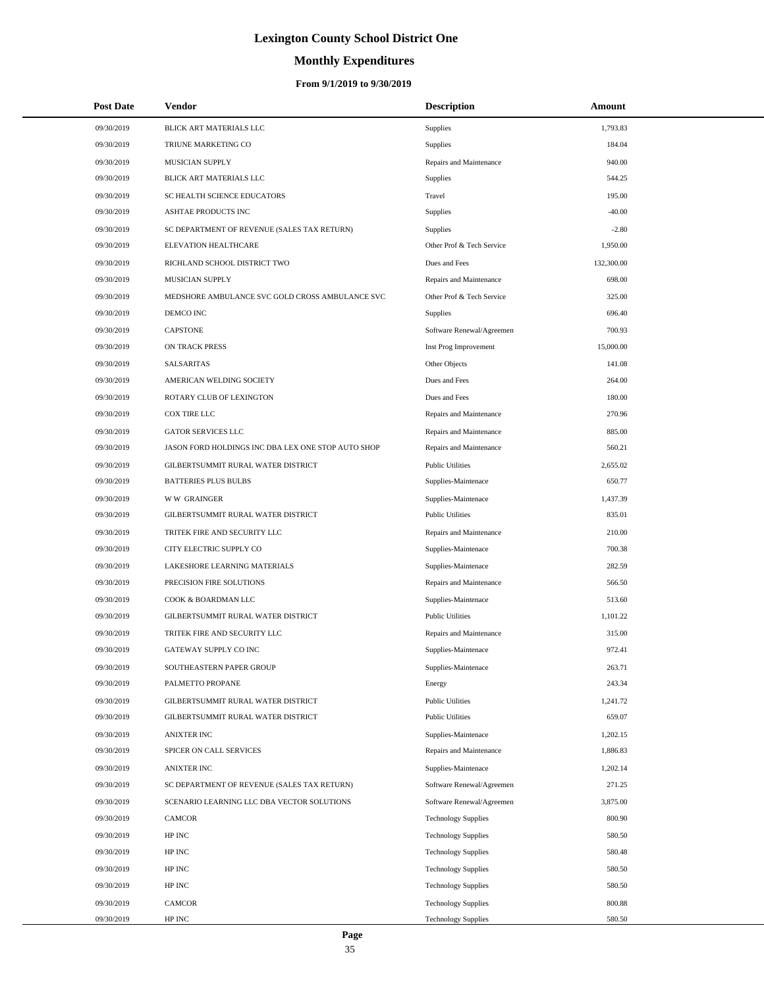# **Monthly Expenditures**

## **From 9/1/2019 to 9/30/2019**

| <b>Post Date</b> | Vendor                                             | <b>Description</b>         | Amount     |
|------------------|----------------------------------------------------|----------------------------|------------|
| 09/30/2019       | BLICK ART MATERIALS LLC                            | Supplies                   | 1,793.83   |
| 09/30/2019       | TRIUNE MARKETING CO                                | Supplies                   | 184.04     |
| 09/30/2019       | MUSICIAN SUPPLY                                    | Repairs and Maintenance    | 940.00     |
| 09/30/2019       | BLICK ART MATERIALS LLC                            | Supplies                   | 544.25     |
| 09/30/2019       | SC HEALTH SCIENCE EDUCATORS                        | Travel                     | 195.00     |
| 09/30/2019       | ASHTAE PRODUCTS INC                                | Supplies                   | $-40.00$   |
| 09/30/2019       | SC DEPARTMENT OF REVENUE (SALES TAX RETURN)        | Supplies                   | $-2.80$    |
| 09/30/2019       | ELEVATION HEALTHCARE                               | Other Prof & Tech Service  | 1,950.00   |
| 09/30/2019       | RICHLAND SCHOOL DISTRICT TWO                       | Dues and Fees              | 132,300.00 |
| 09/30/2019       | MUSICIAN SUPPLY                                    | Repairs and Maintenance    | 698.00     |
| 09/30/2019       | MEDSHORE AMBULANCE SVC GOLD CROSS AMBULANCE SVC    | Other Prof & Tech Service  | 325.00     |
| 09/30/2019       | DEMCO INC                                          | Supplies                   | 696.40     |
| 09/30/2019       | <b>CAPSTONE</b>                                    | Software Renewal/Agreemen  | 700.93     |
| 09/30/2019       | ON TRACK PRESS                                     | Inst Prog Improvement      | 15,000.00  |
| 09/30/2019       | SALSARITAS                                         | Other Objects              | 141.08     |
| 09/30/2019       | AMERICAN WELDING SOCIETY                           | Dues and Fees              | 264.00     |
| 09/30/2019       | ROTARY CLUB OF LEXINGTON                           | Dues and Fees              | 180.00     |
| 09/30/2019       | COX TIRE LLC                                       | Repairs and Maintenance    | 270.96     |
| 09/30/2019       | <b>GATOR SERVICES LLC</b>                          | Repairs and Maintenance    | 885.00     |
| 09/30/2019       | JASON FORD HOLDINGS INC DBA LEX ONE STOP AUTO SHOP | Repairs and Maintenance    | 560.21     |
| 09/30/2019       | GILBERTSUMMIT RURAL WATER DISTRICT                 | <b>Public Utilities</b>    | 2,655.02   |
| 09/30/2019       | <b>BATTERIES PLUS BULBS</b>                        | Supplies-Maintenace        | 650.77     |
| 09/30/2019       | <b>WW GRAINGER</b>                                 | Supplies-Maintenace        | 1,437.39   |
| 09/30/2019       | GILBERTSUMMIT RURAL WATER DISTRICT                 | <b>Public Utilities</b>    | 835.01     |
| 09/30/2019       | TRITEK FIRE AND SECURITY LLC                       | Repairs and Maintenance    | 210.00     |
| 09/30/2019       | CITY ELECTRIC SUPPLY CO                            | Supplies-Maintenace        | 700.38     |
| 09/30/2019       | LAKESHORE LEARNING MATERIALS                       | Supplies-Maintenace        | 282.59     |
| 09/30/2019       | PRECISION FIRE SOLUTIONS                           | Repairs and Maintenance    | 566.50     |
| 09/30/2019       | COOK & BOARDMAN LLC                                | Supplies-Maintenace        | 513.60     |
| 09/30/2019       | GILBERTSUMMIT RURAL WATER DISTRICT                 | <b>Public Utilities</b>    | 1,101.22   |
| 09/30/2019       | TRITEK FIRE AND SECURITY LLC                       | Repairs and Maintenance    | 315.00     |
| 09/30/2019       | GATEWAY SUPPLY CO INC                              | Supplies-Maintenace        | 972.41     |
| 09/30/2019       | SOUTHEASTERN PAPER GROUP                           | Supplies-Maintenace        | 263.71     |
| 09/30/2019       | PALMETTO PROPANE                                   | Energy                     | 243.34     |
| 09/30/2019       | GILBERTSUMMIT RURAL WATER DISTRICT                 | <b>Public Utilities</b>    | 1,241.72   |
| 09/30/2019       | GILBERTSUMMIT RURAL WATER DISTRICT                 | <b>Public Utilities</b>    | 659.07     |
| 09/30/2019       | ANIXTER INC                                        | Supplies-Maintenace        | 1,202.15   |
| 09/30/2019       | SPICER ON CALL SERVICES                            | Repairs and Maintenance    | 1,886.83   |
| 09/30/2019       | <b>ANIXTER INC</b>                                 | Supplies-Maintenace        | 1,202.14   |
| 09/30/2019       | SC DEPARTMENT OF REVENUE (SALES TAX RETURN)        | Software Renewal/Agreemen  | 271.25     |
| 09/30/2019       | SCENARIO LEARNING LLC DBA VECTOR SOLUTIONS         | Software Renewal/Agreemen  | 3,875.00   |
| 09/30/2019       | CAMCOR                                             | <b>Technology Supplies</b> | 800.90     |
| 09/30/2019       | HP INC                                             | <b>Technology Supplies</b> | 580.50     |
| 09/30/2019       | HP INC                                             | <b>Technology Supplies</b> | 580.48     |
| 09/30/2019       | HP INC                                             | <b>Technology Supplies</b> | 580.50     |
| 09/30/2019       | HP INC                                             | <b>Technology Supplies</b> | 580.50     |
| 09/30/2019       | CAMCOR                                             | <b>Technology Supplies</b> | 800.88     |
| 09/30/2019       | HP INC                                             | <b>Technology Supplies</b> | 580.50     |

 $\overline{a}$